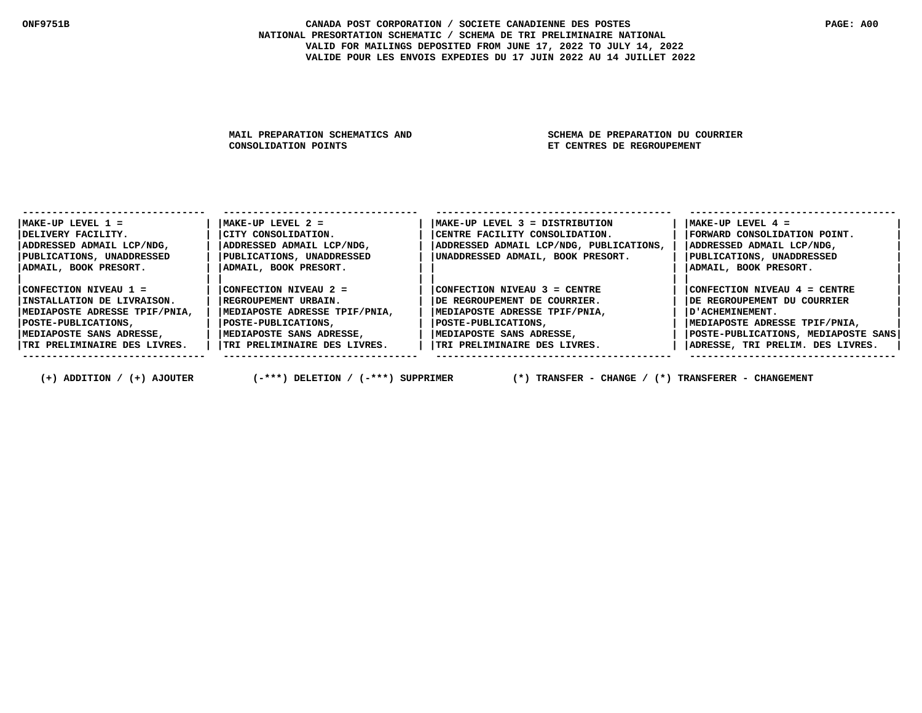MAIL PREPARATION SCHEMATICS AND SCHEMA DE PREPARATION DU COURRIER<br>CONSOLIDATION POINTS SAND SET CENTRES DE REGROUPEMENT **ET CENTRES DE REGROUPEMENT** 

| $MAKE-UP$ LEVEL $1 =$         | $ MAKE-UP$ LEVEL $2 =$        | $MAKE-UP$ LEVEL $3 = DISTRIBUTION$      | $MAKE-UP$ LEVEL $4 =$               |
|-------------------------------|-------------------------------|-----------------------------------------|-------------------------------------|
| IDELIVERY FACILITY.           | CITY CONSOLIDATION.           | CENTRE FACILITY CONSOLIDATION.          | FORWARD CONSOLIDATION POINT.        |
| ADDRESSED ADMAIL LCP/NDG,     | ADDRESSED ADMAIL LCP/NDG,     | ADDRESSED ADMAIL LCP/NDG, PUBLICATIONS, | ADDRESSED ADMAIL LCP/NDG,           |
| PUBLICATIONS, UNADDRESSED     | PUBLICATIONS, UNADDRESSED     | UNADDRESSED ADMAIL, BOOK PRESORT.       | PUBLICATIONS, UNADDRESSED           |
| ADMAIL, BOOK PRESORT.         | ADMAIL, BOOK PRESORT.         |                                         | ADMAIL, BOOK PRESORT.               |
|                               |                               |                                         |                                     |
| CONFECTION NIVEAU 1 =         | CONFECTION NIVEAU 2 =         | CONFECTION NIVEAU 3 = CENTRE            | CONFECTION NIVEAU 4 = CENTRE        |
| IINSTALLATION DE LIVRAISON.   | REGROUPEMENT URBAIN.          | IDE REGROUPEMENT DE COURRIER.           | DE REGROUPEMENT DU COURRIER         |
| MEDIAPOSTE ADRESSE TPIF/PNIA, | MEDIAPOSTE ADRESSE TPIF/PNIA, | MEDIAPOSTE ADRESSE TPIF/PNIA,           | D'ACHEMINEMENT.                     |
| POSTE-PUBLICATIONS,           | POSTE-PUBLICATIONS,           | POSTE-PUBLICATIONS,                     | MEDIAPOSTE ADRESSE TPIF/PNIA,       |
| IMEDIAPOSTE SANS ADRESSE,     | MEDIAPOSTE SANS ADRESSE,      | MEDIAPOSTE SANS ADRESSE,                | POSTE-PUBLICATIONS, MEDIAPOSTE SANS |
| TRI PRELIMINAIRE DES LIVRES.  | TRI PRELIMINAIRE DES LIVRES.  | TRI PRELIMINAIRE DES LIVRES.            | ADRESSE, TRI PRELIM. DES LIVRES.    |
|                               |                               |                                         |                                     |

 **(+) ADDITION / (+) AJOUTER (-\*\*\*) DELETION / (-\*\*\*) SUPPRIMER (\*) TRANSFER - CHANGE / (\*) TRANSFERER - CHANGEMENT**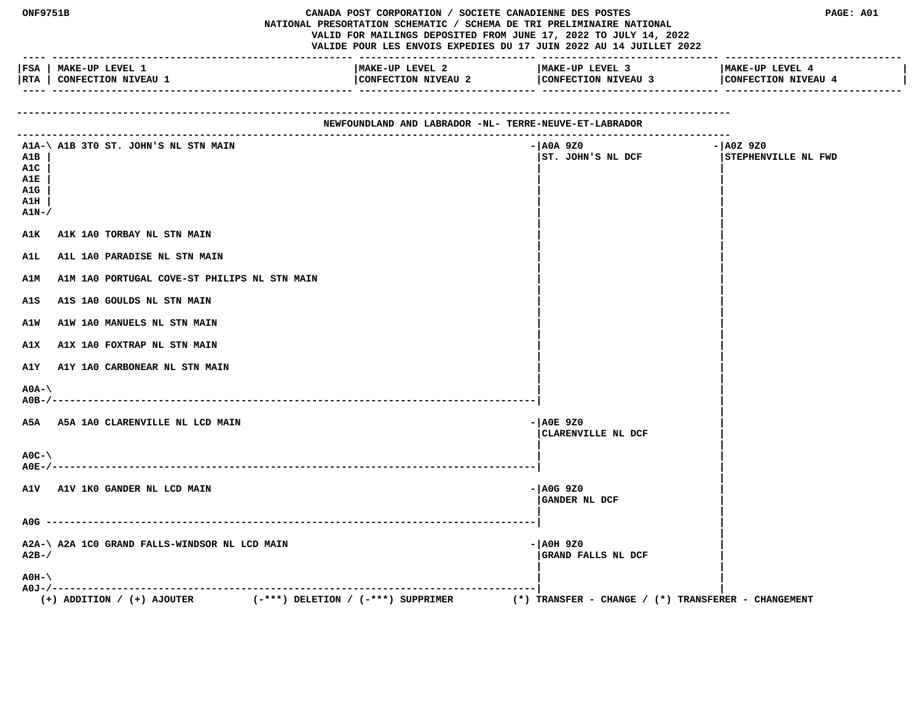|                                                        | <b>ONF9751B</b><br>CANADA POST CORPORATION / SOCIETE CANADIENNE DES POSTES<br>NATIONAL PRESORTATION SCHEMATIC / SCHEMA DE TRI PRELIMINAIRE NATIONAL<br>VALID FOR MAILINGS DEPOSITED FROM JUNE 17, 2022 TO JULY 14, 2022<br>VALIDE POUR LES ENVOIS EXPEDIES DU 17 JUIN 2022 AU 14 JUILLET 2022 |                                        |                                                         | PAGE: A01<br>__________________________ |
|--------------------------------------------------------|-----------------------------------------------------------------------------------------------------------------------------------------------------------------------------------------------------------------------------------------------------------------------------------------------|----------------------------------------|---------------------------------------------------------|-----------------------------------------|
|                                                        | FSA   MAKE-UP LEVEL 1<br> RTA   CONFECTION NIVEAU 1                                                                                                                                                                                                                                           | MAKE-UP LEVEL 2<br>CONFECTION NIVEAU 2 | MAKE-UP LEVEL 3<br>CONFECTION NIVEAU 3                  | MAKE-UP LEVEL 4<br>CONFECTION NIVEAU 4  |
| NEWFOUNDLAND AND LABRADOR -NL- TERRE-NEUVE-ET-LABRADOR |                                                                                                                                                                                                                                                                                               |                                        |                                                         |                                         |
| A1B<br>A1C<br>A1E<br>A1G<br>A1H<br>$A1N-$              | A1A-\ A1B 3T0 ST. JOHN'S NL STN MAIN                                                                                                                                                                                                                                                          |                                        | - AOA 9Z0<br>ST. JOHN'S NL DCF                          | - A0Z 9Z0<br>STEPHENVILLE NL FWD        |
| AlK                                                    | A1K 1A0 TORBAY NL STN MAIN                                                                                                                                                                                                                                                                    |                                        |                                                         |                                         |
| A1L<br><b>A1M</b>                                      | A1L 1A0 PARADISE NL STN MAIN<br>A1M 1A0 PORTUGAL COVE-ST PHILIPS NL STN MAIN                                                                                                                                                                                                                  |                                        |                                                         |                                         |
| A1S                                                    | A1S 1A0 GOULDS NL STN MAIN                                                                                                                                                                                                                                                                    |                                        |                                                         |                                         |
| A1W                                                    | A1W 1A0 MANUELS NL STN MAIN                                                                                                                                                                                                                                                                   |                                        |                                                         |                                         |
| A1X                                                    | A1X 1A0 FOXTRAP NL STN MAIN                                                                                                                                                                                                                                                                   |                                        |                                                         |                                         |
| AlY                                                    | A1Y 1A0 CARBONEAR NL STN MAIN                                                                                                                                                                                                                                                                 |                                        |                                                         |                                         |
| $A0A-\lambda$                                          |                                                                                                                                                                                                                                                                                               |                                        |                                                         |                                         |
|                                                        | A5A A5A 1A0 CLARENVILLE NL LCD MAIN                                                                                                                                                                                                                                                           |                                        | $ A0E$ 920<br>CLARENVILLE NL DCF                        |                                         |
| $AOC - \lambda$                                        |                                                                                                                                                                                                                                                                                               |                                        |                                                         |                                         |
|                                                        | A1V A1V 1KO GANDER NL LCD MAIN                                                                                                                                                                                                                                                                |                                        | $-$ AOG 9Z0<br>GANDER NL DCF                            |                                         |
|                                                        |                                                                                                                                                                                                                                                                                               |                                        |                                                         |                                         |
| $A2B-$ /                                               | A2A-\ A2A 1C0 GRAND FALLS-WINDSOR NL LCD MAIN                                                                                                                                                                                                                                                 |                                        | - AOH 9Z0<br>GRAND FALLS NL DCF                         |                                         |
| $AOH - \$                                              |                                                                                                                                                                                                                                                                                               |                                        |                                                         |                                         |
|                                                        | $(+)$ ADDITION / $(+)$ AJOUTER<br>$(-***)$ DELETION / $(-***)$ SUPPRIMER                                                                                                                                                                                                                      |                                        | $(*)$ TRANSFER - CHANGE / $(*)$ TRANSFERER - CHANGEMENT |                                         |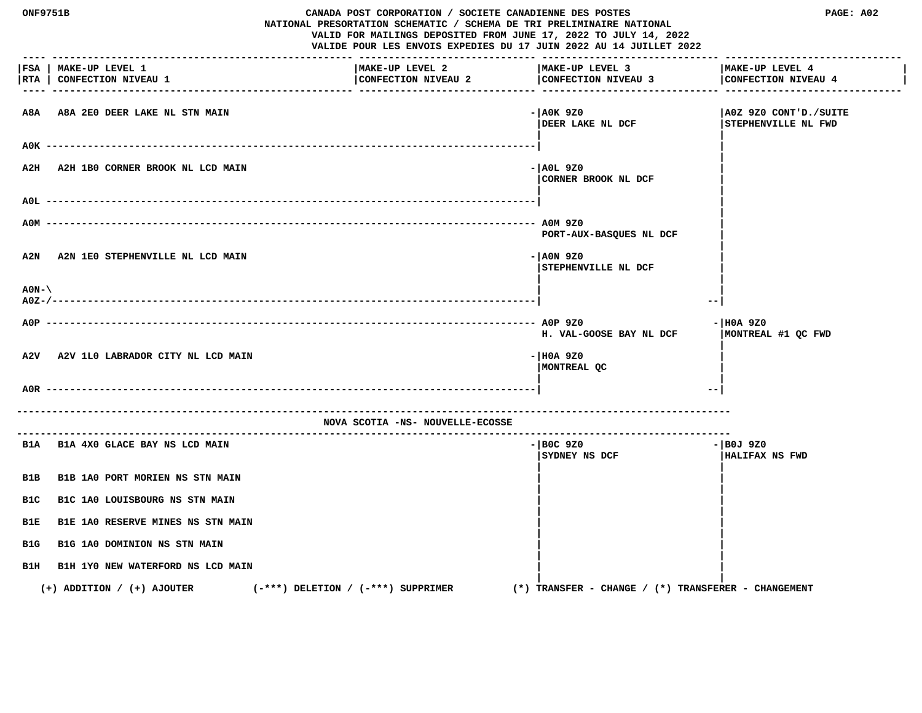| CANADA POST CORPORATION / SOCIETE CANADIENNE DES POSTES<br><b>ONF9751B</b><br>NATIONAL PRESORTATION SCHEMATIC / SCHEMA DE TRI PRELIMINAIRE NATIONAL<br>VALID FOR MAILINGS DEPOSITED FROM JUNE 17, 2022 TO JULY 14, 2022<br>VALIDE POUR LES ENVOIS EXPEDIES DU 17 JUIN 2022 AU 14 JUILLET 2022 |                                                    |                                        |                                                     | PAGE: A02                                    |
|-----------------------------------------------------------------------------------------------------------------------------------------------------------------------------------------------------------------------------------------------------------------------------------------------|----------------------------------------------------|----------------------------------------|-----------------------------------------------------|----------------------------------------------|
|                                                                                                                                                                                                                                                                                               | FSA   MAKE-UP LEVEL 1<br>RTA   CONFECTION NIVEAU 1 | MAKE-UP LEVEL 2<br>CONFECTION NIVEAU 2 | MAKE-UP LEVEL 3<br>CONFECTION NIVEAU 3              | MAKE-UP LEVEL 4<br>CONFECTION NIVEAU 4       |
|                                                                                                                                                                                                                                                                                               | A8A A8A 2E0 DEER LAKE NL STN MAIN                  |                                        | - AOK 9Z0<br>DEER LAKE NL DCF                       | A0Z 9Z0 CONT'D./SUITE<br>STEPHENVILLE NL FWD |
|                                                                                                                                                                                                                                                                                               |                                                    |                                        |                                                     |                                              |
| A2H                                                                                                                                                                                                                                                                                           | A2H 1B0 CORNER BROOK NL LCD MAIN                   |                                        | - AOL 9Z0<br>CORNER BROOK NL DCF                    |                                              |
| AOL.                                                                                                                                                                                                                                                                                          |                                                    |                                        |                                                     |                                              |
| A0M                                                                                                                                                                                                                                                                                           |                                                    |                                        | PORT-AUX-BASQUES NL DCF                             |                                              |
| A2N                                                                                                                                                                                                                                                                                           | A2N 1E0 STEPHENVILLE NL LCD MAIN                   |                                        | $- A0N 9Z0$<br>STEPHENVILLE NL DCF                  |                                              |
| $AON-\setminus$                                                                                                                                                                                                                                                                               |                                                    |                                        | --                                                  |                                              |
| $ADP$ -----                                                                                                                                                                                                                                                                                   |                                                    |                                        |                                                     | - HOA 9Z0                                    |
|                                                                                                                                                                                                                                                                                               |                                                    |                                        | H. VAL-GOOSE BAY NL DCF                             | MONTREAL #1 QC FWD                           |
| A2V                                                                                                                                                                                                                                                                                           | A2V 1L0 LABRADOR CITY NL LCD MAIN                  |                                        | $-$ HOA 9Z0<br>MONTREAL QC                          |                                              |
| A0R -                                                                                                                                                                                                                                                                                         |                                                    |                                        | $- -$                                               |                                              |
|                                                                                                                                                                                                                                                                                               |                                                    | NOVA SCOTIA -NS- NOUVELLE-ECOSSE       |                                                     |                                              |
|                                                                                                                                                                                                                                                                                               | B1A B1A 4X0 GLACE BAY NS LCD MAIN                  |                                        | - BOC 9Z0<br>SYDNEY NS DCF                          | - BOJ 9Z0<br><b>HALIFAX NS FWD</b>           |
| B1B                                                                                                                                                                                                                                                                                           | B1B 1A0 PORT MORIEN NS STN MAIN                    |                                        |                                                     |                                              |
| B1C                                                                                                                                                                                                                                                                                           | B1C 1A0 LOUISBOURG NS STN MAIN                     |                                        |                                                     |                                              |
| B1E                                                                                                                                                                                                                                                                                           | B1E 1A0 RESERVE MINES NS STN MAIN                  |                                        |                                                     |                                              |
| B1G                                                                                                                                                                                                                                                                                           | B1G 1A0 DOMINION NS STN MAIN                       |                                        |                                                     |                                              |
| B1H                                                                                                                                                                                                                                                                                           | B1H 1Y0 NEW WATERFORD NS LCD MAIN                  |                                        |                                                     |                                              |
|                                                                                                                                                                                                                                                                                               | $(+)$ ADDITION / $(+)$ AJOUTER                     | $(-***)$ DELETION / $(-***)$ SUPPRIMER | (*) TRANSFER - CHANGE / (*) TRANSFERER - CHANGEMENT |                                              |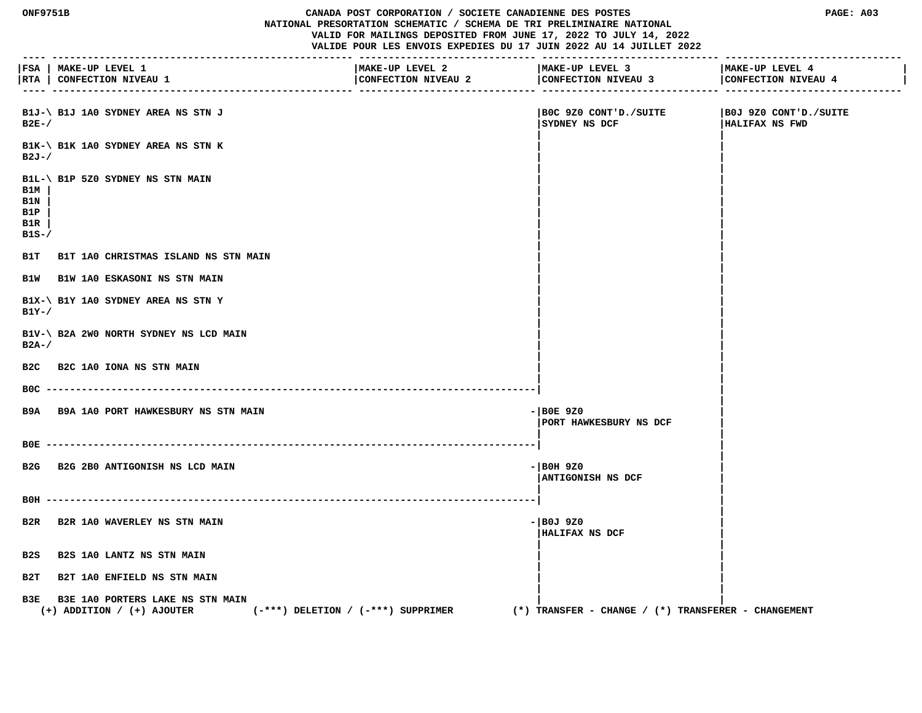#### **ONF9751B CANADA POST CORPORATION / SOCIETE CANADIENNE DES POSTES PAGE: A03 NATIONAL PRESORTATION SCHEMATIC / SCHEMA DE TRI PRELIMINAIRE NATIONAL VALID FOR MAILINGS DEPOSITED FROM JUNE 17, 2022 TO JULY 14, 2022 VALIDE POUR LES ENVOIS EXPEDIES DU 17 JUIN 2022 AU 14 JUILLET 2022**

 **---- --------------------------------------------------- ------------------------------ ------------------------------ ------------------------------ |FSA | MAKE-UP LEVEL 1 |MAKE-UP LEVEL 2 |MAKE-UP LEVEL 3 |MAKE-UP LEVEL 4 | |RTA | CONFECTION NIVEAU 1 |CONFECTION NIVEAU 2 |CONFECTION NIVEAU 3 |CONFECTION NIVEAU 4 | ---- --------------------------------------------------- ------------------------------ ------------------------------ ------------------------------ B1J-\ B1J 1A0 SYDNEY AREA NS STN J |B0C 9Z0 CONT'D./SUITE |B0J 9Z0 CONT'D./SUITE B2E-/ |SYDNEY NS DCF |HALIFAX NS FWD | | B1K-\ B1K 1A0 SYDNEY AREA NS STN K | | B2J-/ | | | | B1L-\ B1P 5Z0 SYDNEY NS STN MAIN | | B1M | | | B1N | | | B1P | | | B1R | | | B1S-/**  $\blacksquare$  **| | B1T B1T 1A0 CHRISTMAS ISLAND NS STN MAIN | | B1W B1W 1A0 ESKASONI NS STN MAIN | | | | B1X-\ B1Y 1A0 SYDNEY AREA NS STN Y | | B1Y-/**  $\qquad \qquad$  |  **| | B1V-\ B2A 2W0 NORTH SYDNEY NS LCD MAIN | | B2A-/ | | | | B2C B2C 1A0 IONA NS STN MAIN | | | | B0C -----------------------------------------------------------------------------------| | | B9A B9A 1A0 PORT HAWKESBURY NS STN MAIN -|B0E 9Z0 | |PORT HAWKESBURY NS DCF | | | B0E -----------------------------------------------------------------------------------| | | B2G B2G 2B0 ANTIGONISH NS LCD MAIN -|B0H 9Z0 | |ANTIGONISH NS DCF | | | B0H -----------------------------------------------------------------------------------| | | B2R B2R 1A0 WAVERLEY NS STN MAIN -|B0J 9Z0 | |HALIFAX NS DCF | | | B2S B2S 1A0 LANTZ NS STN MAIN | | | | B2T B2T 1A0 ENFIELD NS STN MAIN | | | | B3E B3E 1A0 PORTERS LAKE NS STN MAIN | | (+) ADDITION / (+) AJOUTER (-\*\*\*) DELETION / (-\*\*\*) SUPPRIMER (\*) TRANSFER - CHANGE / (\*) TRANSFERER - CHANGEMENT**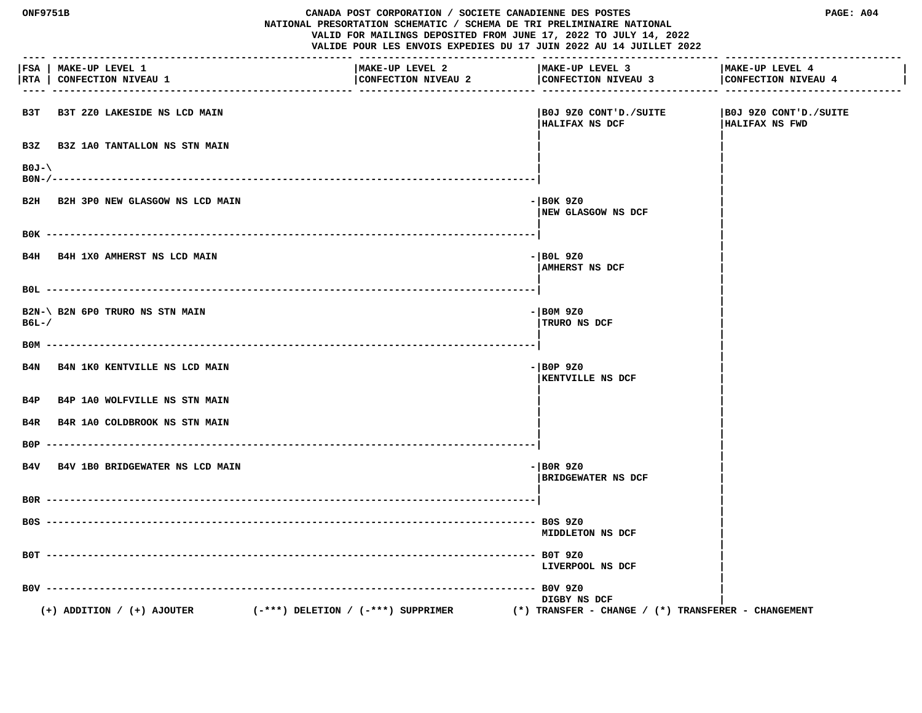| <b>ONF9751B</b> |                                                     | CANADA POST CORPORATION / SOCIETE CANADIENNE DES POSTES<br>NATIONAL PRESORTATION SCHEMATIC / SCHEMA DE TRI PRELIMINAIRE NATIONAL<br>VALID FOR MAILINGS DEPOSITED FROM JUNE 17, 2022 TO JULY 14, 2022<br>VALIDE POUR LES ENVOIS EXPEDIES DU 17 JUIN 2022 AU 14 JUILLET 2022 | PAGE: A04                                               |                                                 |
|-----------------|-----------------------------------------------------|----------------------------------------------------------------------------------------------------------------------------------------------------------------------------------------------------------------------------------------------------------------------------|---------------------------------------------------------|-------------------------------------------------|
| RTA             | FSA   MAKE-UP LEVEL 1<br><b>CONFECTION NIVEAU 1</b> | MAKE-UP LEVEL 2<br>CONFECTION NIVEAU 2                                                                                                                                                                                                                                     | MAKE-UP LEVEL 3<br>CONFECTION NIVEAU 3                  | MAKE-UP LEVEL 4<br>CONFECTION NIVEAU 4          |
| взт             | B3T 2Z0 LAKESIDE NS LCD MAIN                        |                                                                                                                                                                                                                                                                            | B0J 9Z0 CONT'D./SUITE <br>HALIFAX NS DCF                | SUITE   BOJ 9Z0 CONT'D./SUITE<br>HALIFAX NS FWD |
| B3Z             | <b>B3Z 1A0 TANTALLON NS STN MAIN</b>                |                                                                                                                                                                                                                                                                            |                                                         |                                                 |
| $B0J-\lambda$   |                                                     |                                                                                                                                                                                                                                                                            |                                                         |                                                 |
|                 | B2H B2H 3P0 NEW GLASGOW NS LCD MAIN                 |                                                                                                                                                                                                                                                                            | - BOK 9Z0<br>NEW GLASGOW NS DCF                         |                                                 |
|                 |                                                     |                                                                                                                                                                                                                                                                            |                                                         |                                                 |
|                 | B4H B4H 1X0 AMHERST NS LCD MAIN                     |                                                                                                                                                                                                                                                                            | $-$ BOL 9Z0<br>AMHERST NS DCF                           |                                                 |
|                 |                                                     |                                                                                                                                                                                                                                                                            |                                                         |                                                 |
| $B6L-$          | B2N-\ B2N 6P0 TRURO NS STN MAIN                     |                                                                                                                                                                                                                                                                            | $ \mid$ BOM 9Z0<br>TRURO NS DCF                         |                                                 |
| вом             |                                                     |                                                                                                                                                                                                                                                                            |                                                         |                                                 |
| B4N             | B4N 1K0 KENTVILLE NS LCD MAIN                       |                                                                                                                                                                                                                                                                            | $-$ BOP 9Z0<br><b>KENTVILLE NS DCF</b>                  |                                                 |
|                 | B4P B4P 1A0 WOLFVILLE NS STN MAIN                   |                                                                                                                                                                                                                                                                            |                                                         |                                                 |
| B4R             | B4R 1A0 COLDBROOK NS STN MAIN                       |                                                                                                                                                                                                                                                                            |                                                         |                                                 |
| B0P.            |                                                     |                                                                                                                                                                                                                                                                            |                                                         |                                                 |
|                 | B4V B4V 1B0 BRIDGEWATER NS LCD MAIN                 |                                                                                                                                                                                                                                                                            | $-$ BOR 9Z0<br><b>BRIDGEWATER NS DCF</b>                |                                                 |
|                 |                                                     |                                                                                                                                                                                                                                                                            |                                                         |                                                 |
|                 |                                                     |                                                                                                                                                                                                                                                                            | <b>MIDDLETON NS DCF</b>                                 |                                                 |
|                 |                                                     |                                                                                                                                                                                                                                                                            | B0T 9Z0<br>LIVERPOOL NS DCF                             |                                                 |
| $B0V -$         |                                                     |                                                                                                                                                                                                                                                                            | $--$ BOV 9Z0<br>DIGBY NS DCF                            |                                                 |
|                 | $(+)$ ADDITION / $(+)$ AJOUTER                      | $(-***)$ DELETION / $(-***)$ SUPPRIMER                                                                                                                                                                                                                                     | $(*)$ TRANSFER - CHANGE / $(*)$ TRANSFERER - CHANGEMENT |                                                 |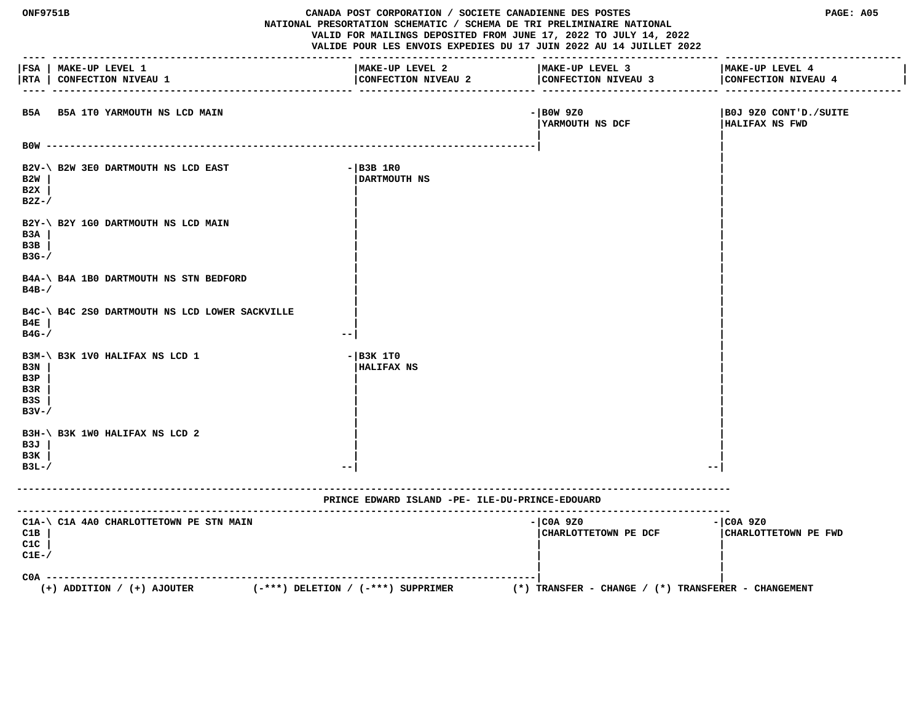| <b>ONF9751B</b><br>CANADA POST CORPORATION / SOCIETE CANADIENNE DES POSTES<br>NATIONAL PRESORTATION SCHEMATIC / SCHEMA DE TRI PRELIMINAIRE NATIONAL<br>VALID FOR MAILINGS DEPOSITED FROM JUNE 17, 2022 TO JULY 14, 2022<br>VALIDE POUR LES ENVOIS EXPEDIES DU 17 JUIN 2022 AU 14 JUILLET 2022 |                                                                                               |                                                              | PAGE: A05                                           |                                                        |
|-----------------------------------------------------------------------------------------------------------------------------------------------------------------------------------------------------------------------------------------------------------------------------------------------|-----------------------------------------------------------------------------------------------|--------------------------------------------------------------|-----------------------------------------------------|--------------------------------------------------------|
| RTA                                                                                                                                                                                                                                                                                           | FSA   MAKE-UP LEVEL 1<br>CONFECTION NIVEAU 1                                                  | MAKE-UP LEVEL 2<br>CONFECTION NIVEAU 2<br>-- --------------- | MAKE-UP LEVEL 3<br>CONFECTION NIVEAU 3              | MAKE-UP LEVEL 4<br>CONFECTION NIVEAU 4<br>-- --------- |
|                                                                                                                                                                                                                                                                                               | B5A B5A 1T0 YARMOUTH NS LCD MAIN                                                              |                                                              | $-$ BOW 9Z0<br><b>IYARMOUTH NS DCF</b>              | B0J 9Z0 CONT'D./SUITE<br>HALIFAX NS FWD                |
|                                                                                                                                                                                                                                                                                               |                                                                                               |                                                              |                                                     |                                                        |
| B2W<br>B2X<br>$B2Z-$                                                                                                                                                                                                                                                                          | B2V-\ B2W 3E0 DARTMOUTH NS LCD EAST                                                           | $ B3B$ 1R0<br>DARTMOUTH NS                                   |                                                     |                                                        |
| B3A<br>B3B<br>$B3G-$ /                                                                                                                                                                                                                                                                        | B2Y-\ B2Y 1G0 DARTMOUTH NS LCD MAIN                                                           |                                                              |                                                     |                                                        |
| $B4B-$ /                                                                                                                                                                                                                                                                                      | B4A-\ B4A 1B0 DARTMOUTH NS STN BEDFORD                                                        |                                                              |                                                     |                                                        |
| B4E<br>$B4G-$ /                                                                                                                                                                                                                                                                               | B4C-\ B4C 2S0 DARTMOUTH NS LCD LOWER SACKVILLE                                                |                                                              |                                                     |                                                        |
| B3N<br>B3P<br>B3R<br>B3S<br>$B3V - /$                                                                                                                                                                                                                                                         | B3M-\ B3K 1V0 HALIFAX NS LCD 1                                                                | $ B3K$ 1TO<br><b>HALIFAX NS</b>                              |                                                     |                                                        |
| B3J<br>B3K<br>$B3L-$                                                                                                                                                                                                                                                                          | B3H-\ B3K 1W0 HALIFAX NS LCD 2                                                                | $ -$                                                         |                                                     | --                                                     |
|                                                                                                                                                                                                                                                                                               |                                                                                               | PRINCE EDWARD ISLAND -PE- ILE-DU-PRINCE-EDOUARD              |                                                     |                                                        |
| C1B<br>C1C<br>$C1E-$                                                                                                                                                                                                                                                                          | C1A-\ C1A 4A0 CHARLOTTETOWN PE STN MAIN                                                       |                                                              | - COA 9Z0<br>CHARLOTTETOWN PE DCF                   | $ COA$ 9Z0<br>CHARLOTTETOWN PE FWD                     |
| $COA -$                                                                                                                                                                                                                                                                                       | -----------------<br>$(-***)$ DELETION / $(-***)$ SUPPRIMER<br>$(+)$ ADDITION / $(+)$ AJOUTER |                                                              | (*) TRANSFER - CHANGE / (*) TRANSFERER - CHANGEMENT |                                                        |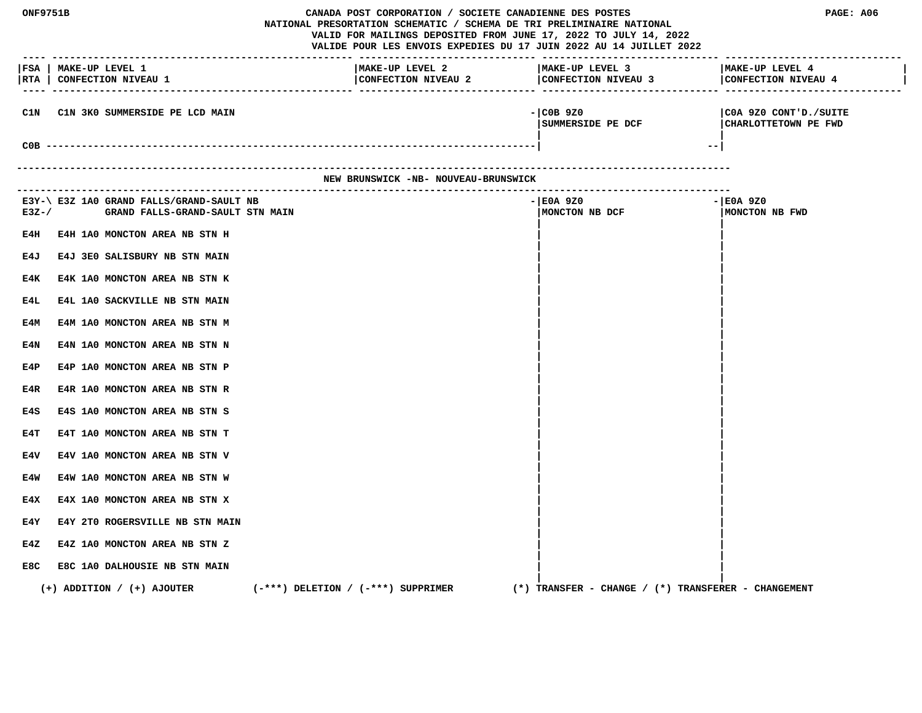| <b>ONF9751B</b> |                                                                              | CANADA POST CORPORATION / SOCIETE CANADIENNE DES POSTES<br>NATIONAL PRESORTATION SCHEMATIC / SCHEMA DE TRI PRELIMINAIRE NATIONAL<br>VALID FOR MAILINGS DEPOSITED FROM JUNE 17, 2022 TO JULY 14, 2022<br>VALIDE POUR LES ENVOIS EXPEDIES DU 17 JUIN 2022 AU 14 JUILLET 2022 | PAGE: A06                                           |                                               |
|-----------------|------------------------------------------------------------------------------|----------------------------------------------------------------------------------------------------------------------------------------------------------------------------------------------------------------------------------------------------------------------------|-----------------------------------------------------|-----------------------------------------------|
|                 | FSA   MAKE-UP LEVEL 1<br> RTA   CONFECTION NIVEAU 1                          | MAKE-UP LEVEL 2<br>CONFECTION NIVEAU 2 CONFECTION NIVEAU 3<br>------------------ --------                                                                                                                                                                                  | MAKE-UP LEVEL 3                                     | MAKE-UP LEVEL 4<br>CONFECTION NIVEAU 4        |
| C1N             | C1N 3K0 SUMMERSIDE PE LCD MAIN                                               |                                                                                                                                                                                                                                                                            | $-$ COB 9Z0<br> SUMMERSIDE PE DCF<br>$--$           | COA 9Z0 CONT'D./SUITE<br>CHARLOTTETOWN PE FWD |
|                 | --------------------------------------                                       | NEW BRUNSWICK -NB- NOUVEAU-BRUNSWICK                                                                                                                                                                                                                                       |                                                     |                                               |
|                 |                                                                              |                                                                                                                                                                                                                                                                            |                                                     |                                               |
| $E3Z - /$       | E3Y-\ E3Z 1A0 GRAND FALLS/GRAND-SAULT NB<br>GRAND FALLS-GRAND-SAULT STN MAIN |                                                                                                                                                                                                                                                                            | -IE0A 9Z0<br>MONCTON NB DCF                         | - E0A 9Z0<br>MONCTON NB FWD                   |
| E4H             | E4H 1A0 MONCTON AREA NB STN H                                                |                                                                                                                                                                                                                                                                            |                                                     |                                               |
| E4J             | E4J 3E0 SALISBURY NB STN MAIN                                                |                                                                                                                                                                                                                                                                            |                                                     |                                               |
| E4K             | E4K 1A0 MONCTON AREA NB STN K                                                |                                                                                                                                                                                                                                                                            |                                                     |                                               |
| E4L             | E4L 1A0 SACKVILLE NB STN MAIN                                                |                                                                                                                                                                                                                                                                            |                                                     |                                               |
| E4M             | E4M 1A0 MONCTON AREA NB STN M                                                |                                                                                                                                                                                                                                                                            |                                                     |                                               |
| E4N             | E4N 1A0 MONCTON AREA NB STN N                                                |                                                                                                                                                                                                                                                                            |                                                     |                                               |
| E4P             | E4P 1A0 MONCTON AREA NB STN P                                                |                                                                                                                                                                                                                                                                            |                                                     |                                               |
| E4R<br>E4S      | E4R 1A0 MONCTON AREA NB STN R<br>E4S 1A0 MONCTON AREA NB STN S               |                                                                                                                                                                                                                                                                            |                                                     |                                               |
| E4T             | E4T 1A0 MONCTON AREA NB STN T                                                |                                                                                                                                                                                                                                                                            |                                                     |                                               |
| E4V             | E4V 1A0 MONCTON AREA NB STN V                                                |                                                                                                                                                                                                                                                                            |                                                     |                                               |
| E4W             | E4W 1A0 MONCTON AREA NB STN W                                                |                                                                                                                                                                                                                                                                            |                                                     |                                               |
| E4X             | E4X 1A0 MONCTON AREA NB STN X                                                |                                                                                                                                                                                                                                                                            |                                                     |                                               |
| E4Y             | E4Y 2T0 ROGERSVILLE NB STN MAIN                                              |                                                                                                                                                                                                                                                                            |                                                     |                                               |
| E4Z             | E4Z 1A0 MONCTON AREA NB STN Z                                                |                                                                                                                                                                                                                                                                            |                                                     |                                               |
| E8C             | E8C 1A0 DALHOUSIE NB STN MAIN                                                |                                                                                                                                                                                                                                                                            |                                                     |                                               |
|                 | $(-***)$ DELETION / $(-***)$ SUPPRIMER<br>$(+)$ ADDITION / $(+)$ AJOUTER     |                                                                                                                                                                                                                                                                            | (*) TRANSFER – CHANGE / (*) TRANSFERER – CHANGEMENT |                                               |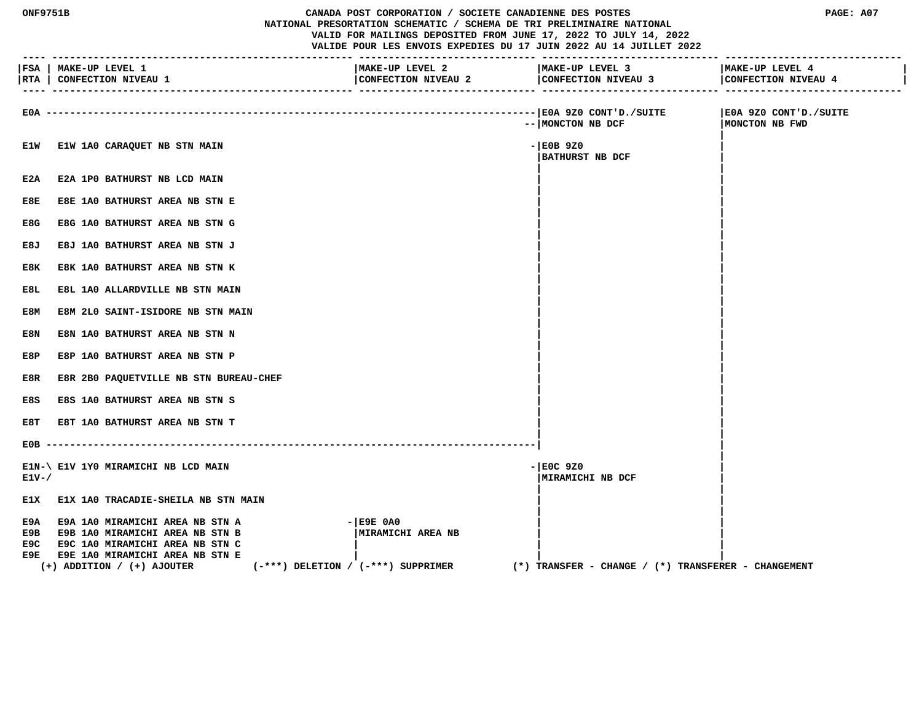| <b>ONF9751B</b><br>CANADA POST CORPORATION / SOCIETE CANADIENNE DES POSTES<br>NATIONAL PRESORTATION SCHEMATIC / SCHEMA DE TRI PRELIMINAIRE NATIONAL<br>VALID FOR MAILINGS DEPOSITED FROM JUNE 17, 2022 TO JULY 14, 2022<br>VALIDE POUR LES ENVOIS EXPEDIES DU 17 JUIN 2022 AU 14 JUILLET 2022 |                                                                                                                                                                                                 |                                                                               | PAGE: A07 |                                                                           |                                         |
|-----------------------------------------------------------------------------------------------------------------------------------------------------------------------------------------------------------------------------------------------------------------------------------------------|-------------------------------------------------------------------------------------------------------------------------------------------------------------------------------------------------|-------------------------------------------------------------------------------|-----------|---------------------------------------------------------------------------|-----------------------------------------|
|                                                                                                                                                                                                                                                                                               | FSA   MAKE-UP LEVEL 1<br> RTA   CONFECTION NIVEAU 1                                                                                                                                             | MAKE-UP LEVEL 2<br>CONFECTION NIVEAU 2                                        |           | MAKE-UP LEVEL 3<br>CONFECTION NIVEAU 3<br>_______________________________ | MAKE-UP LEVEL 4<br>CONFECTION NIVEAU 4  |
| E0A -----                                                                                                                                                                                                                                                                                     |                                                                                                                                                                                                 |                                                                               |           | -- MONCTON NB DCF                                                         | E0A 9Z0 CONT'D./SUITE<br>MONCTON NB FWD |
| E1W                                                                                                                                                                                                                                                                                           | E1W 1A0 CARAQUET NB STN MAIN                                                                                                                                                                    |                                                                               |           | $-$ EOB 9Z0<br><b>BATHURST NB DCF</b>                                     |                                         |
| E2A                                                                                                                                                                                                                                                                                           | E2A 1PO BATHURST NB LCD MAIN                                                                                                                                                                    |                                                                               |           |                                                                           |                                         |
| E8E                                                                                                                                                                                                                                                                                           | E8E 1A0 BATHURST AREA NB STN E                                                                                                                                                                  |                                                                               |           |                                                                           |                                         |
| E8G                                                                                                                                                                                                                                                                                           | E8G 1A0 BATHURST AREA NB STN G                                                                                                                                                                  |                                                                               |           |                                                                           |                                         |
| E8J                                                                                                                                                                                                                                                                                           | E8J 1A0 BATHURST AREA NB STN J                                                                                                                                                                  |                                                                               |           |                                                                           |                                         |
| E8K                                                                                                                                                                                                                                                                                           | E8K 1A0 BATHURST AREA NB STN K                                                                                                                                                                  |                                                                               |           |                                                                           |                                         |
| E8L                                                                                                                                                                                                                                                                                           | E8L 1A0 ALLARDVILLE NB STN MAIN                                                                                                                                                                 |                                                                               |           |                                                                           |                                         |
| E8M                                                                                                                                                                                                                                                                                           | E8M 2L0 SAINT-ISIDORE NB STN MAIN                                                                                                                                                               |                                                                               |           |                                                                           |                                         |
| E8N                                                                                                                                                                                                                                                                                           | E8N 1A0 BATHURST AREA NB STN N                                                                                                                                                                  |                                                                               |           |                                                                           |                                         |
| E8P                                                                                                                                                                                                                                                                                           | E8P 1A0 BATHURST AREA NB STN P                                                                                                                                                                  |                                                                               |           |                                                                           |                                         |
| E8R                                                                                                                                                                                                                                                                                           | E8R 2B0 PAQUETVILLE NB STN BUREAU-CHEF                                                                                                                                                          |                                                                               |           |                                                                           |                                         |
| E8S                                                                                                                                                                                                                                                                                           | E8S 1A0 BATHURST AREA NB STN S                                                                                                                                                                  |                                                                               |           |                                                                           |                                         |
| E8T                                                                                                                                                                                                                                                                                           | E8T 1A0 BATHURST AREA NB STN T                                                                                                                                                                  |                                                                               |           |                                                                           |                                         |
|                                                                                                                                                                                                                                                                                               |                                                                                                                                                                                                 |                                                                               |           |                                                                           |                                         |
| $E1V - /$                                                                                                                                                                                                                                                                                     | E1N-\ E1V 1Y0 MIRAMICHI NB LCD MAIN                                                                                                                                                             |                                                                               |           | $-$ EOC 9Z0<br>MIRAMICHI NB DCF                                           |                                         |
| E1X                                                                                                                                                                                                                                                                                           | <b>E1X 1A0 TRACADIE-SHEILA NB STN MAIN</b>                                                                                                                                                      |                                                                               |           |                                                                           |                                         |
| E9A<br>E9B<br>E9C<br>E9E.                                                                                                                                                                                                                                                                     | <b>E9A 1A0 MIRAMICHI AREA NB STN A</b><br><b>E9B 1A0 MIRAMICHI AREA NB STN B</b><br>E9C 1A0 MIRAMICHI AREA NB STN C<br><b>E9E 1A0 MIRAMICHI AREA NB STN E</b><br>$(+)$ ADDITION / $(+)$ AJOUTER | $ E9E$ $0A0$<br>  MIRAMICHI AREA NB<br>$(-***)$ DELETION / $(-***)$ SUPPRIMER |           | $(*)$ TRANSFER - CHANGE / $(*)$ TRANSFERER - CHANGEMENT                   |                                         |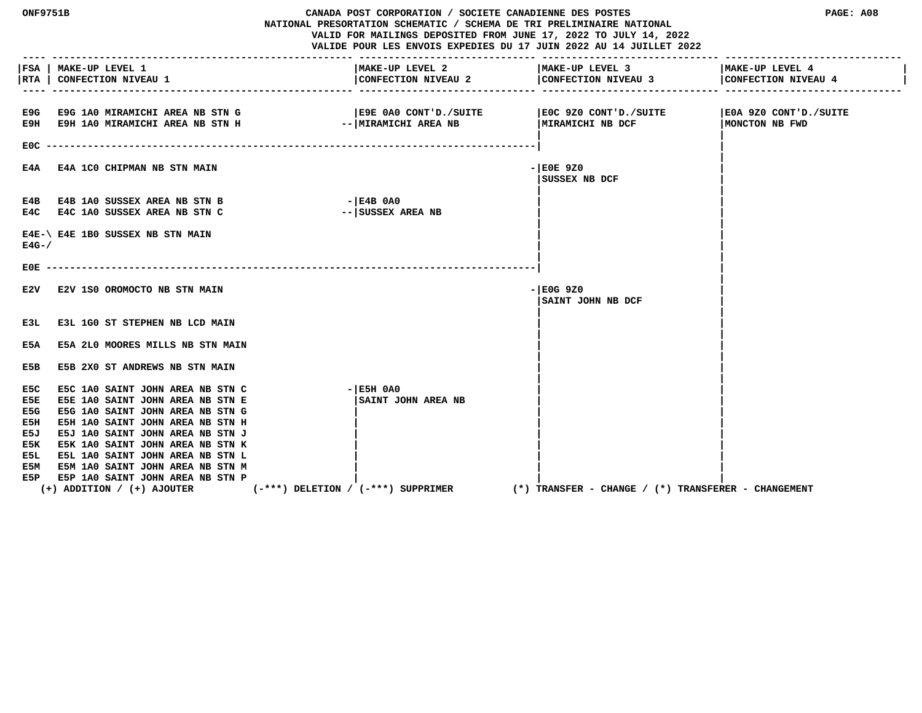|                                  | PAGE: A08                                 |                                                                                                                                                                                                                                                                                                                                                                                                       |
|----------------------------------|-------------------------------------------|-------------------------------------------------------------------------------------------------------------------------------------------------------------------------------------------------------------------------------------------------------------------------------------------------------------------------------------------------------------------------------------------------------|
| MAKE-UP LEVEL 2                  | MAKE-UP LEVEL 3                           | MAKE-UP LEVEL 4<br>CONFECTION NIVEAU 4                                                                                                                                                                                                                                                                                                                                                                |
| --   MIRAMICHI AREA NB           | E0C 9Z0 CONT'D./SUITE<br>MIRAMICHI NB DCF | E0A 9Z0 CONT'D./SUITE<br>MONCTON NB FWD                                                                                                                                                                                                                                                                                                                                                               |
|                                  | $-$ EOE 9Z0<br>SUSSEX NB DCF              |                                                                                                                                                                                                                                                                                                                                                                                                       |
| $ E4B$ 0A0<br>-- SUSSEX AREA NB  |                                           |                                                                                                                                                                                                                                                                                                                                                                                                       |
|                                  |                                           |                                                                                                                                                                                                                                                                                                                                                                                                       |
|                                  |                                           |                                                                                                                                                                                                                                                                                                                                                                                                       |
|                                  | - E0G 9Z0<br>SAINT JOHN NB DCF            |                                                                                                                                                                                                                                                                                                                                                                                                       |
|                                  |                                           |                                                                                                                                                                                                                                                                                                                                                                                                       |
|                                  |                                           |                                                                                                                                                                                                                                                                                                                                                                                                       |
|                                  |                                           |                                                                                                                                                                                                                                                                                                                                                                                                       |
| $ E5H$ 0A0<br>SAINT JOHN AREA NB |                                           |                                                                                                                                                                                                                                                                                                                                                                                                       |
|                                  | $(-***)$ DELETION / $(-***)$ SUPPRIMER    | CANADA POST CORPORATION / SOCIETE CANADIENNE DES POSTES<br>NATIONAL PRESORTATION SCHEMATIC / SCHEMA DE TRI PRELIMINAIRE NATIONAL<br>VALID FOR MAILINGS DEPOSITED FROM JUNE 17, 2022 TO JULY 14, 2022<br>VALIDE POUR LES ENVOIS EXPEDIES DU 17 JUIN 2022 AU 14 JUILLET 2022<br>CONFECTION NIVEAU 2 CONFECTION NIVEAU 3<br>E9E 0A0 CONT'D./SUITE<br>(*) TRANSFER - CHANGE / (*) TRANSFERER - CHANGEMENT |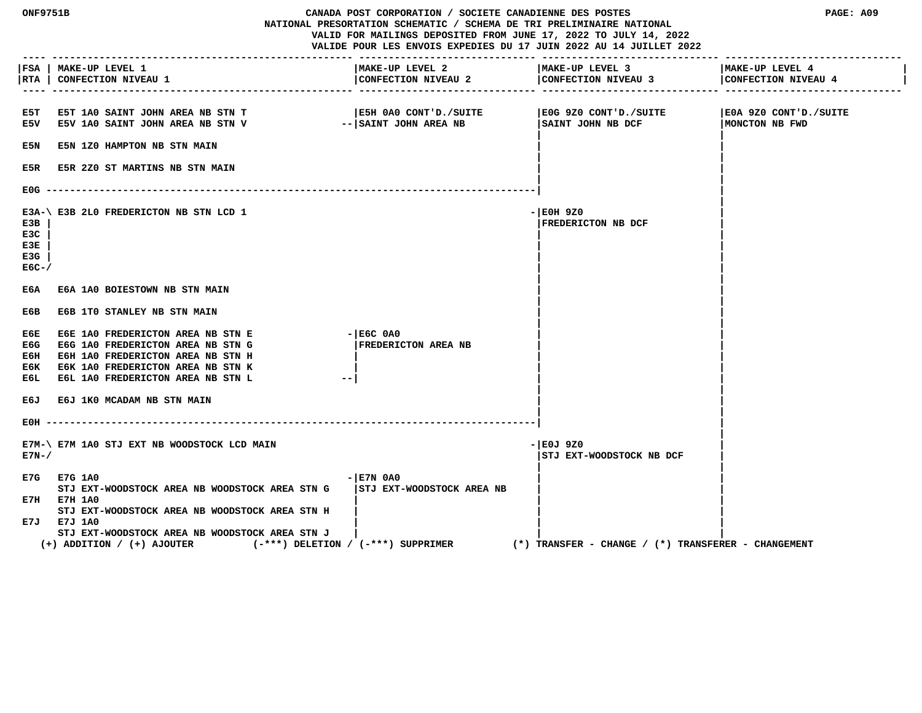| <b>ONF9751B</b>                    |                                                                                                                                                                                       | CANADA POST CORPORATION / SOCIETE CANADIENNE DES POSTES<br>NATIONAL PRESORTATION SCHEMATIC / SCHEMA DE TRI PRELIMINAIRE NATIONAL<br>VALID FOR MAILINGS DEPOSITED FROM JUNE 17, 2022 TO JULY 14, 2022<br>VALIDE POUR LES ENVOIS EXPEDIES DU 17 JUIN 2022 AU 14 JUILLET 2022 |           |                                                         | PAGE: A09                               |  |
|------------------------------------|---------------------------------------------------------------------------------------------------------------------------------------------------------------------------------------|----------------------------------------------------------------------------------------------------------------------------------------------------------------------------------------------------------------------------------------------------------------------------|-----------|---------------------------------------------------------|-----------------------------------------|--|
| <b>RTA</b>                         | FSA   MAKE-UP LEVEL 1<br><b>CONFECTION NIVEAU 1</b>                                                                                                                                   | MAKE-UP LEVEL 2<br>CONFECTION NIVEAU 2                                                                                                                                                                                                                                     |           | MAKE-UP LEVEL 3<br>CONFECTION NIVEAU 3                  | MAKE-UP LEVEL 4<br>CONFECTION NIVEAU 4  |  |
| E5T<br>E5V                         | <b>E5T 1A0 SAINT JOHN AREA NB STN T</b><br>E5V 1A0 SAINT JOHN AREA NB STN V                                                                                                           | SH 0A0 CONT'D./SUITE<br>-- SAINT JOHN AREA NB                                                                                                                                                                                                                              |           | E0G 9Z0 CONT'D./SUITE<br>  SAINT JOHN NB DCF            | E0A 9Z0 CONT'D./SUITE<br>MONCTON NB FWD |  |
| E5N                                | E5N 1Z0 HAMPTON NB STN MAIN                                                                                                                                                           |                                                                                                                                                                                                                                                                            |           |                                                         |                                         |  |
| E5R.                               | <b>E5R 2Z0 ST MARTINS NB STN MAIN</b>                                                                                                                                                 |                                                                                                                                                                                                                                                                            |           |                                                         |                                         |  |
| E0G.                               |                                                                                                                                                                                       |                                                                                                                                                                                                                                                                            |           |                                                         |                                         |  |
| E3B<br>E3C<br>E3E<br>E3G<br>$EGC-$ | E3A-\ E3B 2L0 FREDERICTON NB STN LCD 1                                                                                                                                                |                                                                                                                                                                                                                                                                            | - E0H 9Z0 | FREDERICTON NB DCF                                      |                                         |  |
| ЕбА                                | E6A 1A0 BOIESTOWN NB STN MAIN                                                                                                                                                         |                                                                                                                                                                                                                                                                            |           |                                                         |                                         |  |
| E6B                                | E6B 1TO STANLEY NB STN MAIN                                                                                                                                                           |                                                                                                                                                                                                                                                                            |           |                                                         |                                         |  |
| ЕбЕ<br>E6G<br>Ебн<br>ЕбК<br>ЕбL    | E6E 1A0 FREDERICTON AREA NB STN E<br>E6G 1A0 FREDERICTON AREA NB STN G<br>E6H 1A0 FREDERICTON AREA NB STN H<br>E6K 1A0 FREDERICTON AREA NB STN K<br>E6L 1A0 FREDERICTON AREA NB STN L | $ E6C$ $0A0$<br><b>FREDERICTON AREA NB</b><br>$- -$                                                                                                                                                                                                                        |           |                                                         |                                         |  |
| E6J                                | E6J 1K0 MCADAM NB STN MAIN                                                                                                                                                            |                                                                                                                                                                                                                                                                            |           |                                                         |                                         |  |
| EOH                                |                                                                                                                                                                                       |                                                                                                                                                                                                                                                                            |           |                                                         |                                         |  |
| $E7N-$                             | E7M-\ E7M 1A0 STJ EXT NB WOODSTOCK LCD MAIN                                                                                                                                           |                                                                                                                                                                                                                                                                            | - E0J 9Z0 | STJ EXT-WOODSTOCK NB DCF                                |                                         |  |
|                                    | E7G E7G 1A0<br>STJ EXT-WOODSTOCK AREA NB WOODSTOCK AREA STN G<br>E7H E7H 1A0                                                                                                          | $ E7N$ 0A0<br>STJ EXT-WOODSTOCK AREA NB                                                                                                                                                                                                                                    |           |                                                         |                                         |  |
|                                    | STJ EXT-WOODSTOCK AREA NB WOODSTOCK AREA STN H<br>E7J E7J 1A0<br>STJ EXT-WOODSTOCK AREA NB WOODSTOCK AREA STN J<br>$(+)$ ADDITION / $(+)$ AJOUTER                                     | $(-***)$ DELETION / $(-***)$ SUPPRIMER                                                                                                                                                                                                                                     |           | $(*)$ TRANSFER - CHANGE / $(*)$ TRANSFERER - CHANGEMENT |                                         |  |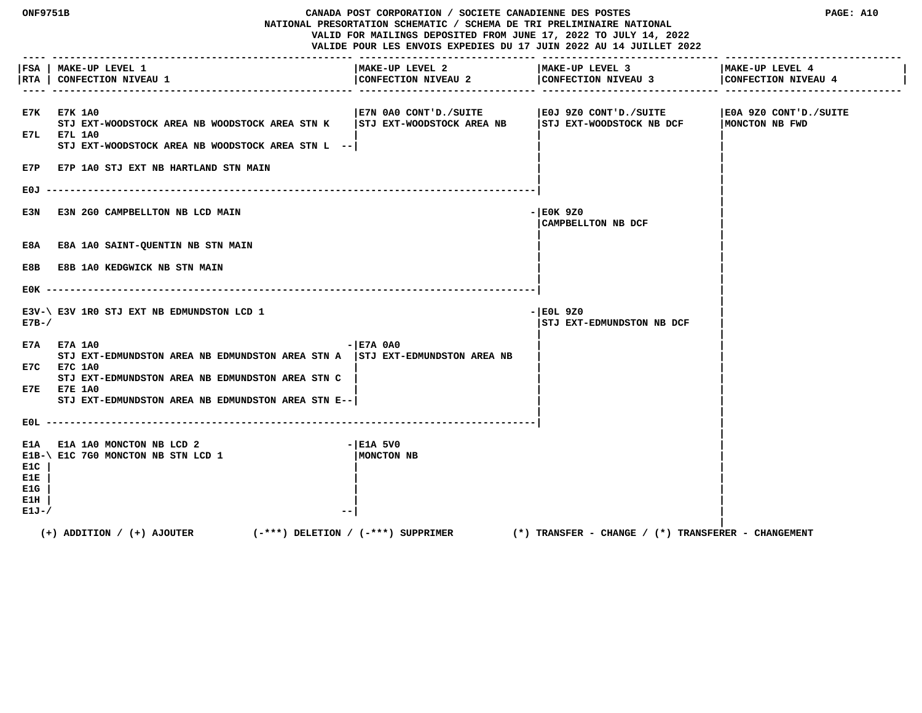| <b>ONF9751B</b><br>CANADA POST CORPORATION / SOCIETE CANADIENNE DES POSTES<br>NATIONAL PRESORTATION SCHEMATIC / SCHEMA DE TRI PRELIMINAIRE NATIONAL<br>VALID FOR MAILINGS DEPOSITED FROM JUNE 17, 2022 TO JULY 14, 2022<br>VALIDE POUR LES ENVOIS EXPEDIES DU 17 JUIN 2022 AU 14 JUILLET 2022 |                                                                                                                                                                                                                                      |                                                      |                                                     | PAGE: A10                               |
|-----------------------------------------------------------------------------------------------------------------------------------------------------------------------------------------------------------------------------------------------------------------------------------------------|--------------------------------------------------------------------------------------------------------------------------------------------------------------------------------------------------------------------------------------|------------------------------------------------------|-----------------------------------------------------|-----------------------------------------|
|                                                                                                                                                                                                                                                                                               | FSA   MAKE-UP LEVEL 1<br> RTA   CONFECTION NIVEAU 1                                                                                                                                                                                  | MAKE-UP LEVEL 2<br>CONFECTION NIVEAU 2               | MAKE-UP LEVEL 3<br>CONFECTION NIVEAU 3              | MAKE-UP LEVEL 4<br>CONFECTION NIVEAU 4  |
|                                                                                                                                                                                                                                                                                               | E7K E7K 1A0<br>STJ EXT-WOODSTOCK AREA NB WOODSTOCK AREA STN K<br>E7L E7L 1A0<br>STJ EXT-WOODSTOCK AREA NB WOODSTOCK AREA STN L --<br>E7P E7P 1A0 STJ EXT NB HARTLAND STN MAIN                                                        | E7N 0A0 CONT'D./SUITE<br>  STJ EXT-WOODSTOCK AREA NB | E0J 9Z0 CONT'D./SUITE<br>STJ EXT-WOODSTOCK NB DCF   | E0A 9Z0 CONT'D./SUITE<br>MONCTON NB FWD |
| E0J.                                                                                                                                                                                                                                                                                          |                                                                                                                                                                                                                                      |                                                      |                                                     |                                         |
| E3N                                                                                                                                                                                                                                                                                           | E3N 2G0 CAMPBELLTON NB LCD MAIN                                                                                                                                                                                                      |                                                      | $-$ EOK 9Z0<br><b>CAMPBELLTON NB DCF</b>            |                                         |
|                                                                                                                                                                                                                                                                                               | E8A E8A 1A0 SAINT-QUENTIN NB STN MAIN                                                                                                                                                                                                |                                                      |                                                     |                                         |
| E8B                                                                                                                                                                                                                                                                                           | <b>E8B 1A0 KEDGWICK NB STN MAIN</b>                                                                                                                                                                                                  |                                                      |                                                     |                                         |
|                                                                                                                                                                                                                                                                                               |                                                                                                                                                                                                                                      |                                                      |                                                     |                                         |
| $E7B-$                                                                                                                                                                                                                                                                                        | E3V-\ E3V 1R0 STJ EXT NB EDMUNDSTON LCD 1                                                                                                                                                                                            |                                                      | $ E0L$ 9Z0<br> STJ EXT-EDMUNDSTON NB DCF            |                                         |
|                                                                                                                                                                                                                                                                                               | E7A E7A 1A0<br>STJ EXT-EDMUNDSTON AREA NB EDMUNDSTON AREA STN A   STJ EXT-EDMUNDSTON AREA NB<br>E7C E7C 1A0<br>STJ EXT-EDMUNDSTON AREA NB EDMUNDSTON AREA STN C<br>E7E E7E 1A0<br>STJ EXT-EDMUNDSTON AREA NB EDMUNDSTON AREA STN E-- | $ E7A$ 0A0                                           |                                                     |                                         |
|                                                                                                                                                                                                                                                                                               |                                                                                                                                                                                                                                      |                                                      |                                                     |                                         |
| E1A<br>E1C<br>E1E<br>E1G<br>E1H<br>E1J-/                                                                                                                                                                                                                                                      | E1A 1A0 MONCTON NB LCD 2<br>E1B-\ E1C 7G0 MONCTON NB STN LCD 1                                                                                                                                                                       | - E1A 5V0<br>MONCTON NB                              |                                                     |                                         |
|                                                                                                                                                                                                                                                                                               | $(+)$ ADDITION / $(+)$ AJOUTER<br>(-***) DELETION / (-***) SUPPRIMER                                                                                                                                                                 |                                                      | (*) TRANSFER – CHANGE / (*) TRANSFERER – CHANGEMENT |                                         |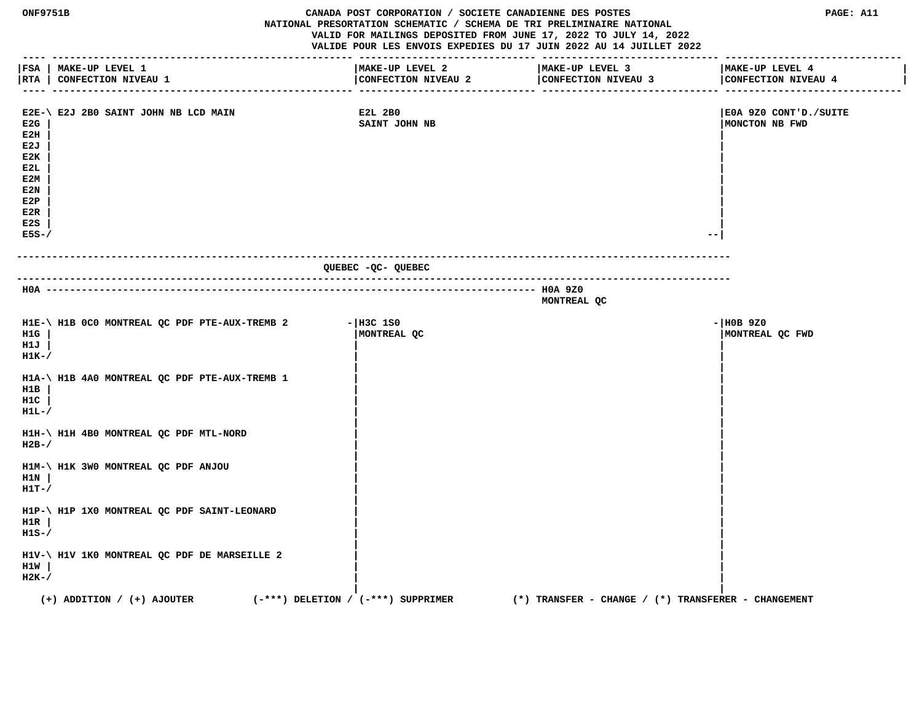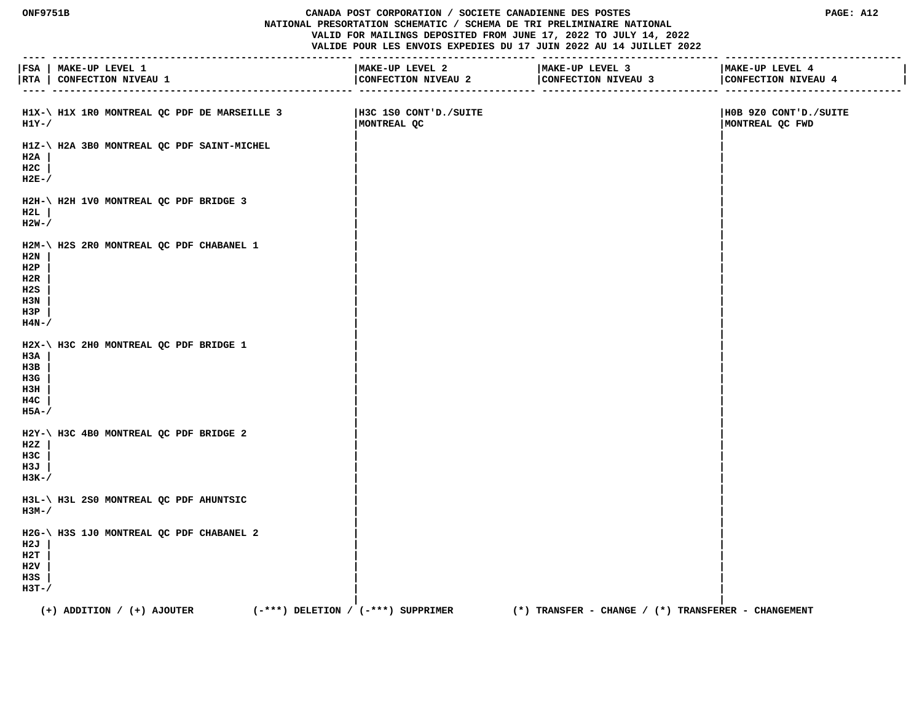#### **ONF9751B CANADA POST CORPORATION / SOCIETE CANADIENNE DES POSTES PAGE: A12 NATIONAL PRESORTATION SCHEMATIC / SCHEMA DE TRI PRELIMINAIRE NATIONAL VALID FOR MAILINGS DEPOSITED FROM JUNE 17, 2022 TO JULY 14, 2022 VALIDE POUR LES ENVOIS EXPEDIES DU 17 JUIN 2022 AU 14 JUILLET 2022**

 **---- --------------------------------------------------- ------------------------------ ------------------------------ ------------------------------ |FSA | MAKE-UP LEVEL 1 |MAKE-UP LEVEL 2 |MAKE-UP LEVEL 3 |MAKE-UP LEVEL 4 |** |RTA | CONFECTION NIVEAU 1 | CONFECTION NIVEAU 2 | CONFECTION NIVEAU 3 | CONFECTION NIVEAU 4  **---- --------------------------------------------------- ------------------------------ ------------------------------ ------------------------------** H1X-\ H1X 1R0 MONTREAL QC PDF DE MARSEILLE 3 |H3C 1S0 CONT'D./SUITE | |H0B 9Z0 CONT'D./SUITE | |H0B 9Z0 CONT'D./SUITE<br>|H0B 9Z0 CONT'D./SUITE | |H0RTREAL QC | |H0RTREAL QC FWD  **H1Y-/ |MONTREAL QC |MONTREAL QC FWD | | H1Z-\ H2A 3B0 MONTREAL QC PDF SAINT-MICHEL | | H2A | | | H2C | | | H2E-/ | | | | H2H-\ H2H 1V0 MONTREAL QC PDF BRIDGE 3 | | H2L | | | H2W-/ | | | | H2M-\ H2S 2R0 MONTREAL QC PDF CHABANEL 1 | | H2N | | | H2P | | | H2R | | | H2S | | | H3N | | | H3P | | | H4N-/ | | | | H2X-\ H3C 2H0 MONTREAL QC PDF BRIDGE 1 | | H3A | | | H3B | | | H3G | | | H3H | | | H4C | | | H5A-/ | | | | H2Y-\ H3C 4B0 MONTREAL QC PDF BRIDGE 2 | | H2Z | | | H3C | | | H3J | | | H3K-/ | | | | H3L-\ H3L 2S0 MONTREAL QC PDF AHUNTSIC | | H3M-/ | | | | H2G-\ H3S 1J0 MONTREAL QC PDF CHABANEL 2 | | H2J | | | H2T | | |**

 **| |**

 **H2V | | | H3S | | | H3T-/ | |**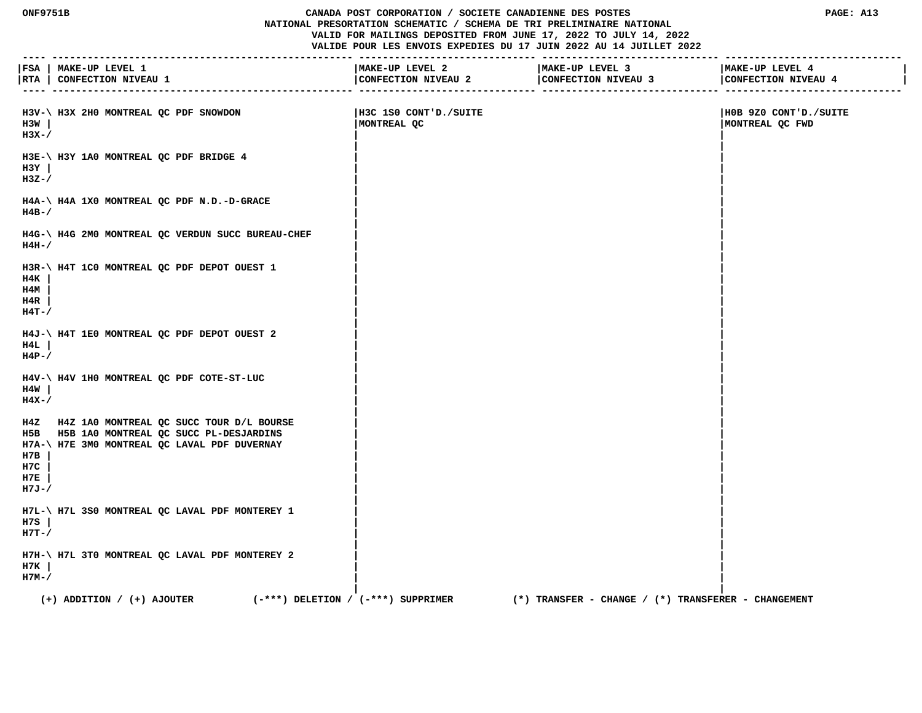#### **ONF9751B CANADA POST CORPORATION / SOCIETE CANADIENNE DES POSTES PAGE: A13 NATIONAL PRESORTATION SCHEMATIC / SCHEMA DE TRI PRELIMINAIRE NATIONAL VALID FOR MAILINGS DEPOSITED FROM JUNE 17, 2022 TO JULY 14, 2022 VALIDE POUR LES ENVOIS EXPEDIES DU 17 JUIN 2022 AU 14 JUILLET 2022**

 **---- --------------------------------------------------- ------------------------------ ------------------------------ ------------------------------ |FSA | MAKE-UP LEVEL 1 |MAKE-UP LEVEL 2 |MAKE-UP LEVEL 3 |MAKE-UP LEVEL 4 |** | CONFECTION NIVEAU 3 | CONFECTION NIVEAU 4

| H3V-\ H3X 2H0 MONTREAL QC PDF SNOWDON<br>H3W<br>$H3X-$                                                                                                                   | H3C 1S0 CONT'D./SUITE<br>MONTREAL QC                    | H0B 9Z0 CONT'D./SUITE<br>MONTREAL QC FWD |
|--------------------------------------------------------------------------------------------------------------------------------------------------------------------------|---------------------------------------------------------|------------------------------------------|
| H3E-\ H3Y 1A0 MONTREAL QC PDF BRIDGE 4<br>$H3Y$  <br>$H3Z-$                                                                                                              |                                                         |                                          |
| H4A-\ H4A 1X0 MONTREAL QC PDF N.D.-D-GRACE<br>$H4B-$                                                                                                                     |                                                         |                                          |
| H4G-\ H4G 2M0 MONTREAL QC VERDUN SUCC BUREAU-CHEF<br>$H4H-$ /                                                                                                            |                                                         |                                          |
| H3R-\ H4T 1C0 MONTREAL QC PDF DEPOT OUEST 1<br>H4K<br>H4M<br>H4R<br>$H4T - /$                                                                                            |                                                         |                                          |
| H4J-\ H4T 1E0 MONTREAL QC PDF DEPOT OUEST 2<br>H4L<br>$H4P-$ /                                                                                                           |                                                         |                                          |
| H4V-\ H4V 1H0 MONTREAL QC PDF COTE-ST-LUC<br>H4W<br>$H4X-$                                                                                                               |                                                         |                                          |
| H4Z H4Z 1A0 MONTREAL QC SUCC TOUR D/L BOURSE<br>H5B H5B 1A0 MONTREAL QC SUCC PL-DESJARDINS<br>H7A-\ H7E 3M0 MONTREAL QC LAVAL PDF DUVERNAY<br>н7в<br>H7C<br>H7E<br>H7J-/ |                                                         |                                          |
| H7L-\ H7L 3S0 MONTREAL QC LAVAL PDF MONTEREY 1<br>H7S<br>$H7T - /$                                                                                                       |                                                         |                                          |
| H7H-\ H7L 3T0 MONTREAL QC LAVAL PDF MONTEREY 2<br>H7K<br>H7M-/                                                                                                           |                                                         |                                          |
| $(+)$ ADDITION / $(+)$ AJOUTER<br>(-***) DELETION / (-***) SUPPRIMER                                                                                                     | $(*)$ TRANSFER - CHANGE / $(*)$ TRANSFERER - CHANGEMENT |                                          |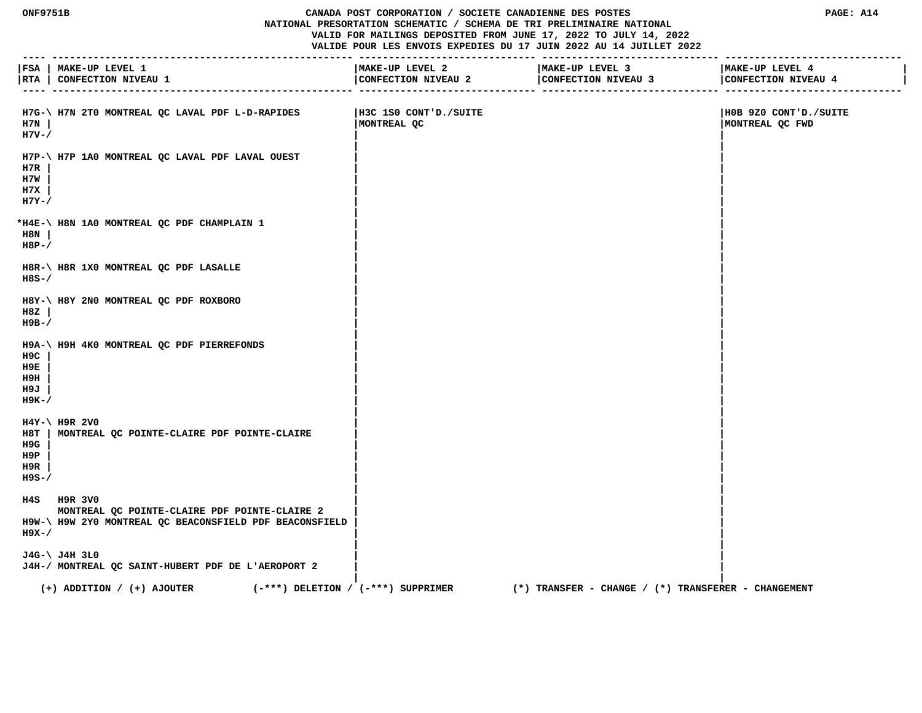## **ONF9751B CANADA POST CORPORATION / SOCIETE CANADIENNE DES POSTES PAGE: A14 NATIONAL PRESORTATION SCHEMATIC / SCHEMA DE TRI PRELIMINAIRE NATIONAL VALID FOR MAILINGS DEPOSITED FROM JUNE 17, 2022 TO JULY 14, 2022 VALIDE POUR LES ENVOIS EXPEDIES DU 17 JUIN 2022 AU 14 JUILLET 2022**

|                                   | FSA   MAKE-UP LEVEL 1<br> RTA   CONFECTION NIVEAU 1<br>_____ ______________________                                     | MAKE-UP LEVEL 2                       | MAKE-UP LEVEL 3                                         | MAKE-UP LEVEL 4<br>CONFECTION NIVEAU 4   |
|-----------------------------------|-------------------------------------------------------------------------------------------------------------------------|---------------------------------------|---------------------------------------------------------|------------------------------------------|
| H7N<br>$H7V - /$                  | H7G-\ H7N 2T0 MONTREAL QC LAVAL PDF L-D-RAPIDES                                                                         | IH3C 1SO CONT'D./SUITE<br>MONTREAL QC |                                                         | HOB 9Z0 CONT'D./SUITE<br>MONTREAL QC FWD |
| H7R<br>H7W<br>н7х<br>$H7Y-$       | H7P-\ H7P 1A0 MONTREAL QC LAVAL PDF LAVAL OUEST                                                                         |                                       |                                                         |                                          |
| H8N<br>$H8P-$ /                   | *H4E-\ H8N 1A0 MONTREAL QC PDF CHAMPLAIN 1                                                                              |                                       |                                                         |                                          |
| $H8S-$ /                          | H8R-\ H8R 1X0 MONTREAL QC PDF LASALLE                                                                                   |                                       |                                                         |                                          |
| H8Z<br>$H9B-$                     | H8Y-\ H8Y 2N0 MONTREAL QC PDF ROXBORO                                                                                   |                                       |                                                         |                                          |
| H9C<br>H9E<br>H9H<br>H9J<br>н9к-/ | H9A-\ H9H 4K0 MONTREAL QC PDF PIERREFONDS                                                                               |                                       |                                                         |                                          |
| H9G<br>H9P<br>H9R<br>$H9S-$       | $H4Y-\$ H9R 2V0<br>H8T   MONTREAL QC POINTE-CLAIRE PDF POINTE-CLAIRE                                                    |                                       |                                                         |                                          |
| $H9X - /$                         | H4S H9R 3V0<br>MONTREAL QC POINTE-CLAIRE PDF POINTE-CLAIRE 2<br>H9W-\ H9W 2Y0 MONTREAL QC BEACONSFIELD PDF BEACONSFIELD |                                       |                                                         |                                          |
|                                   | J4G-\ J4H 3L0<br>J4H-/ MONTREAL QC SAINT-HUBERT PDF DE L'AEROPORT 2                                                     |                                       |                                                         |                                          |
|                                   | $(-***)$ DELETION / $(-***)$ SUPPRIMER<br>$(+)$ ADDITION / $(+)$ AJOUTER                                                |                                       | $(*)$ TRANSFER - CHANGE / $(*)$ TRANSFERER - CHANGEMENT |                                          |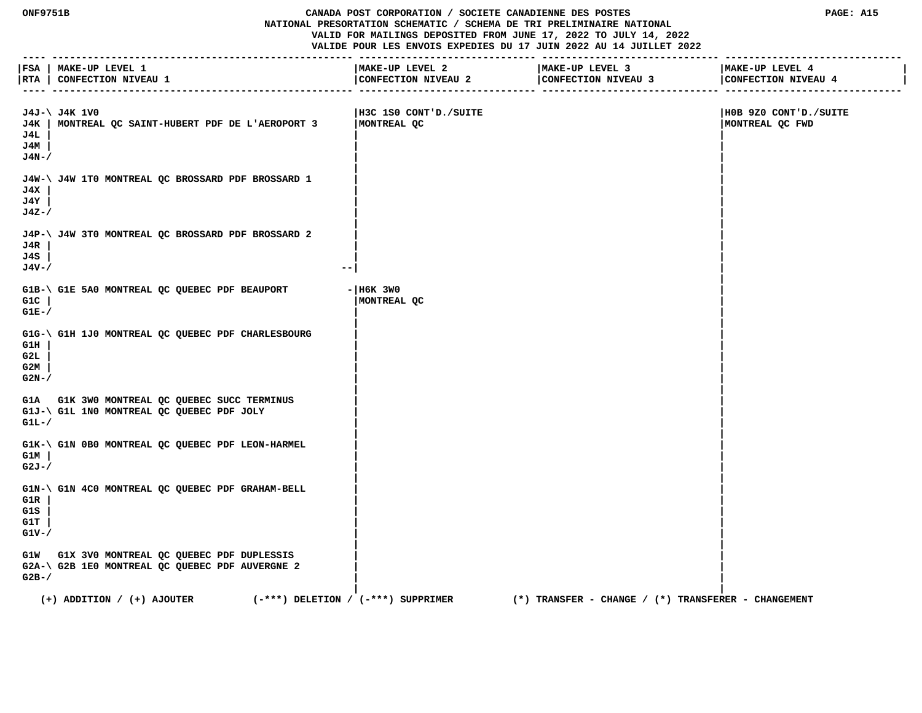# **ONF9751B CANADA POST CORPORATION / SOCIETE CANADIENNE DES POSTES PAGE: A15 NATIONAL PRESORTATION SCHEMATIC / SCHEMA DE TRI PRELIMINAIRE NATIONAL VALID FOR MAILINGS DEPOSITED FROM JUNE 17, 2022 TO JULY 14, 2022**

 **VALIDE POUR LES ENVOIS EXPEDIES DU 17 JUIN 2022 AU 14 JUILLET 2022 ---- --------------------------------------------------- ------------------------------ ------------------------------ ------------------------------ |FSA | MAKE-UP LEVEL 1 |MAKE-UP LEVEL 2 |MAKE-UP LEVEL 3 |MAKE-UP LEVEL 4 | |RTA | CONFECTION NIVEAU 1 |CONFECTION NIVEAU 2 |CONFECTION NIVEAU 3 |CONFECTION NIVEAU 4 |**

| J4J-\ J4K 1V0<br>MONTREAL QC SAINT-HUBERT PDF DE L'AEROPORT 3<br>J4K<br>J4L<br>J4M<br>$J4N-$ /            | H3C 1S0 CONT'D./SUITE<br>MONTREAL QC                                                              | H0B 9Z0 CONT'D./SUITE<br>MONTREAL QC FWD |
|-----------------------------------------------------------------------------------------------------------|---------------------------------------------------------------------------------------------------|------------------------------------------|
| J4W-\ J4W 1T0 MONTREAL QC BROSSARD PDF BROSSARD 1<br>J4X<br>J4Y<br>$J4Z - /$                              |                                                                                                   |                                          |
| J4P-\ J4W 3T0 MONTREAL QC BROSSARD PDF BROSSARD 2<br>J4R<br>J4S<br>$J4V - /$<br>$- -$                     |                                                                                                   |                                          |
| G1B-\ G1E 5A0 MONTREAL QC QUEBEC PDF BEAUPORT<br>G1C<br>$GLE-$                                            | $-$ H6K 3W0<br>MONTREAL QC                                                                        |                                          |
| G1G-\ G1H 1J0 MONTREAL QC QUEBEC PDF CHARLESBOURG<br>G1H<br>G2L<br>G2M<br>$G2N-$ /                        |                                                                                                   |                                          |
| G1A G1K 3W0 MONTREAL QC QUEBEC SUCC TERMINUS<br>G1J-\ G1L 1N0 MONTREAL QC QUEBEC PDF JOLY<br>$GLL-$       |                                                                                                   |                                          |
| G1K-\ G1N 0B0 MONTREAL QC QUEBEC PDF LEON-HARMEL<br>G1M<br>$G2J - /$                                      |                                                                                                   |                                          |
| G1N-\ G1N 4C0 MONTREAL QC QUEBEC PDF GRAHAM-BELL<br>G1R<br>G1S<br>G1T<br>$G1V-$ /                         |                                                                                                   |                                          |
| G1W G1X 3V0 MONTREAL QC QUEBEC PDF DUPLESSIS<br>G2A-\ G2B 1E0 MONTREAL QC QUEBEC PDF AUVERGNE 2<br>$G2B-$ |                                                                                                   |                                          |
| $(+)$ ADDITION / $(+)$ AJOUTER                                                                            | $(-***)$ DELETION / $(-***)$ SUPPRIMER<br>$(*)$ TRANSFER - CHANGE / $(*)$ TRANSFERER - CHANGEMENT |                                          |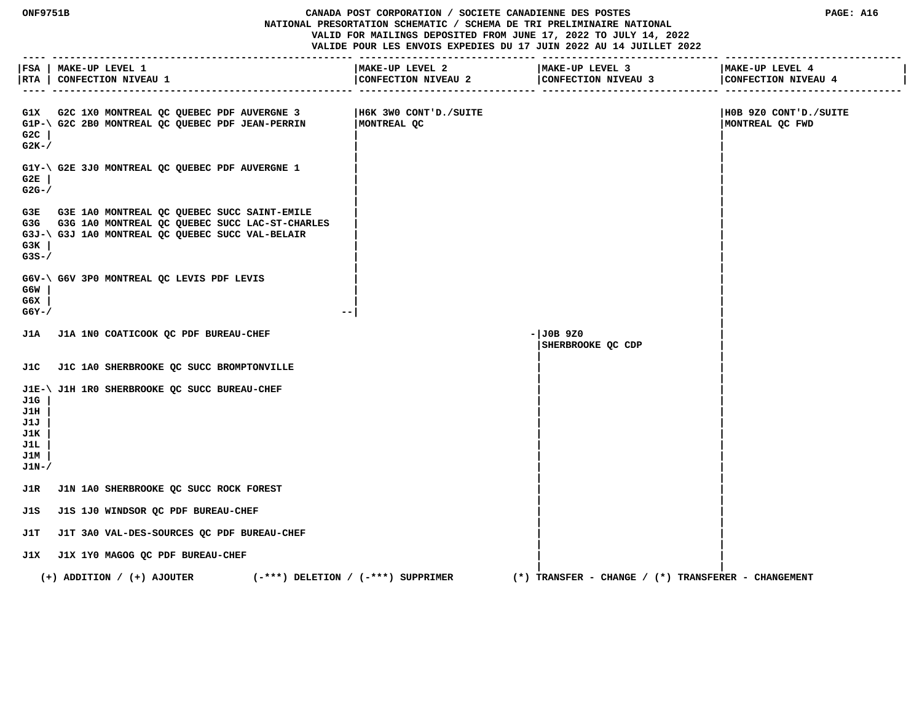**VALID FOR MAILINGS DEPOSITED FROM JUNE 17, 2022 TO JULY 14, 2022 VALIDE POUR LES ENVOIS EXPEDIES DU 17 JUIN 2022 AU 14 JUILLET 2022 ---- --------------------------------------------------- ------------------------------ ------------------------------ ------------------------------ |FSA | MAKE-UP LEVEL 1 |MAKE-UP LEVEL 2 |MAKE-UP LEVEL 3 |MAKE-UP LEVEL 4 | |RTA | CONFECTION NIVEAU 1 |CONFECTION NIVEAU 2 |CONFECTION NIVEAU 3 |CONFECTION NIVEAU 4 | ---- --------------------------------------------------- ------------------------------ ------------------------------ ------------------------------ G1X G2C 1X0 MONTREAL QC QUEBEC PDF AUVERGNE 3 |H6K 3W0 CONT'D./SUITE |H0B 9Z0 CONT'D./SUITE G1P-\ G2C 2B0 MONTREAL QC QUEBEC PDF JEAN-PERRIN |MONTREAL QC |MONTREAL QC FWD G2C | | | G2K-/ | | | |** G1Y-\ G2E 3J0 MONTREAL QC QUEBEC PDF AUVERGNE 1  **G2E | | | G2G-/ | | | | G3E G3E 1A0 MONTREAL QC QUEBEC SUCC SAINT-EMILE | | G3G G3G 1A0 MONTREAL QC QUEBEC SUCC LAC-ST-CHARLES | | G3J-\ G3J 1A0 MONTREAL QC QUEBEC SUCC VAL-BELAIR | | G3K | | | G3S-/ | | | | G6V-\ G6V 3P0 MONTREAL QC LEVIS PDF LEVIS | | G6W | | | G6X | | | G6Y-/ --| | | J1A J1A 1N0 COATICOOK QC PDF BUREAU-CHEF -|J0B 9Z0 | |SHERBROOKE QC CDP | | | J1C J1C 1A0 SHERBROOKE QC SUCC BROMPTONVILLE | | | | J1E-\ J1H 1R0 SHERBROOKE QC SUCC BUREAU-CHEF | | J1G | | | J1H | | | J1J | | | J1K | | | J1L | | | J1M | | | J1N-/ | | | | J1R J1N 1A0 SHERBROOKE QC SUCC ROCK FOREST | | | | J1S J1S 1J0 WINDSOR QC PDF BUREAU-CHEF | | | | J1T J1T 3A0 VAL-DES-SOURCES QC PDF BUREAU-CHEF | | | | J1X J1X 1Y0 MAGOG QC PDF BUREAU-CHEF | | | | (+) ADDITION / (+) AJOUTER (-\*\*\*) DELETION / (-\*\*\*) SUPPRIMER (\*) TRANSFER - CHANGE / (\*) TRANSFERER - CHANGEMENT**

 **ONF9751B CANADA POST CORPORATION / SOCIETE CANADIENNE DES POSTES PAGE: A16 NATIONAL PRESORTATION SCHEMATIC / SCHEMA DE TRI PRELIMINAIRE NATIONAL**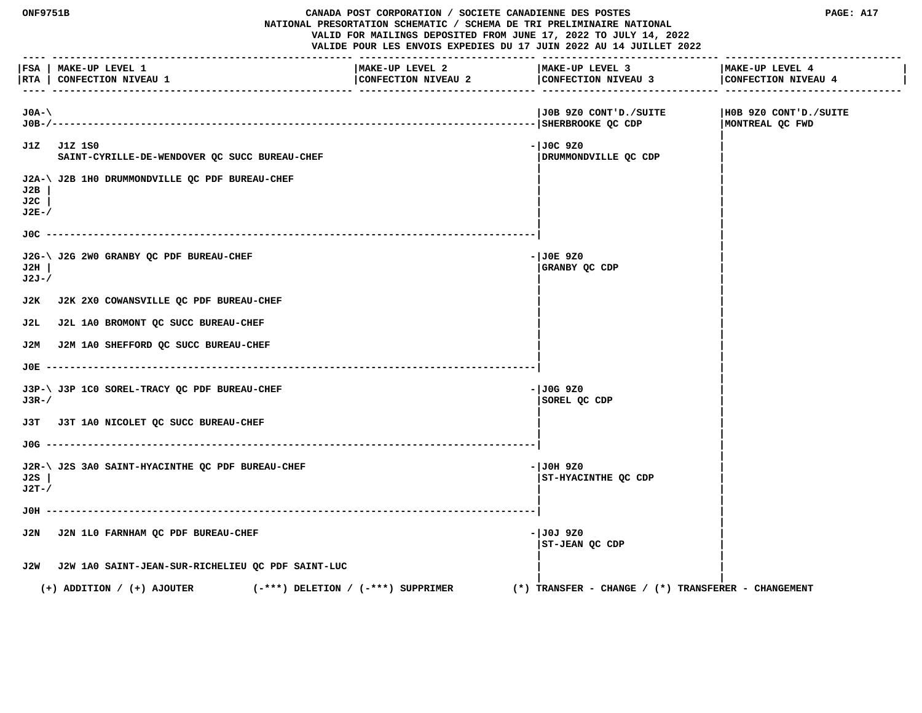| ONF9751B<br>CANADA POST CORPORATION / SOCIETE CANADIENNE DES POSTES<br>NATIONAL PRESORTATION SCHEMATIC / SCHEMA DE TRI PRELIMINAIRE NATIONAL<br>VALID FOR MAILINGS DEPOSITED FROM JUNE 17, 2022 TO JULY 14, 2022<br>VALIDE POUR LES ENVOIS EXPEDIES DU 17 JUIN 2022 AU 14 JUILLET 2022 |                                                                          |                                        |                                                          | PAGE: A17                                |
|----------------------------------------------------------------------------------------------------------------------------------------------------------------------------------------------------------------------------------------------------------------------------------------|--------------------------------------------------------------------------|----------------------------------------|----------------------------------------------------------|------------------------------------------|
|                                                                                                                                                                                                                                                                                        | FSA   MAKE-UP LEVEL 1<br> RTA   CONFECTION NIVEAU 1                      | MAKE-UP LEVEL 2<br>CONFECTION NIVEAU 2 | MAKE-UP LEVEL 3<br>CONFECTION NIVEAU 3                   | MAKE-UP LEVEL 4<br>CONFECTION NIVEAU 4   |
| $J0A-$<br>J0B-/---                                                                                                                                                                                                                                                                     |                                                                          |                                        | JOB 9Z0 CONT'D./SUITE<br>------------- SHERBROOKE QC CDP | H0B 9Z0 CONT'D./SUITE<br>MONTREAL QC FWD |
| J1Z                                                                                                                                                                                                                                                                                    | J1Z 1S0<br>SAINT-CYRILLE-DE-WENDOVER QC SUCC BUREAU-CHEF                 |                                        | $-1J0C$ 920<br>DRUMMONDVILLE QC CDP                      |                                          |
| J2B<br>J2C<br>$J2E-$                                                                                                                                                                                                                                                                   | J2A-\ J2B 1H0 DRUMMONDVILLE QC PDF BUREAU-CHEF                           |                                        |                                                          |                                          |
| $JOC$ -                                                                                                                                                                                                                                                                                |                                                                          |                                        |                                                          |                                          |
| J2H<br>$J2J-$                                                                                                                                                                                                                                                                          | J2G-\ J2G 2W0 GRANBY QC PDF BUREAU-CHEF                                  |                                        | - JOE 9Z0<br>GRANBY QC CDP                               |                                          |
| J2K                                                                                                                                                                                                                                                                                    | J2K 2X0 COWANSVILLE QC PDF BUREAU-CHEF                                   |                                        |                                                          |                                          |
| J2L.                                                                                                                                                                                                                                                                                   | J2L 1A0 BROMONT QC SUCC BUREAU-CHEF                                      |                                        |                                                          |                                          |
| J2M                                                                                                                                                                                                                                                                                    | J2M 1A0 SHEFFORD QC SUCC BUREAU-CHEF                                     |                                        |                                                          |                                          |
|                                                                                                                                                                                                                                                                                        |                                                                          |                                        |                                                          |                                          |
| $J3R-$                                                                                                                                                                                                                                                                                 | J3P-\ J3P 1C0 SOREL-TRACY QC PDF BUREAU-CHEF                             |                                        | - JOG 9Z0<br>SOREL QC CDP                                |                                          |
|                                                                                                                                                                                                                                                                                        | J3T J3T 1A0 NICOLET QC SUCC BUREAU-CHEF                                  |                                        |                                                          |                                          |
|                                                                                                                                                                                                                                                                                        |                                                                          |                                        |                                                          |                                          |
| J2S<br>$J2T-$                                                                                                                                                                                                                                                                          | J2R-\ J2S 3A0 SAINT-HYACINTHE QC PDF BUREAU-CHEF                         |                                        | $-JOH 9Z0$<br>ST-HYACINTHE QC CDP                        |                                          |
| лон                                                                                                                                                                                                                                                                                    |                                                                          |                                        |                                                          |                                          |
| J2N                                                                                                                                                                                                                                                                                    | J2N 1L0 FARNHAM QC PDF BUREAU-CHEF                                       |                                        | - JOJ 9Z0<br>ST-JEAN QC CDP                              |                                          |
|                                                                                                                                                                                                                                                                                        | J2W J2W 1A0 SAINT-JEAN-SUR-RICHELIEU QC PDF SAINT-LUC                    |                                        |                                                          |                                          |
|                                                                                                                                                                                                                                                                                        | $(-***)$ DELETION / $(-***)$ SUPPRIMER<br>$(+)$ ADDITION / $(+)$ AJOUTER |                                        | $(*)$ TRANSFER - CHANGE / $(*)$ TRANSFERER - CHANGEMENT  |                                          |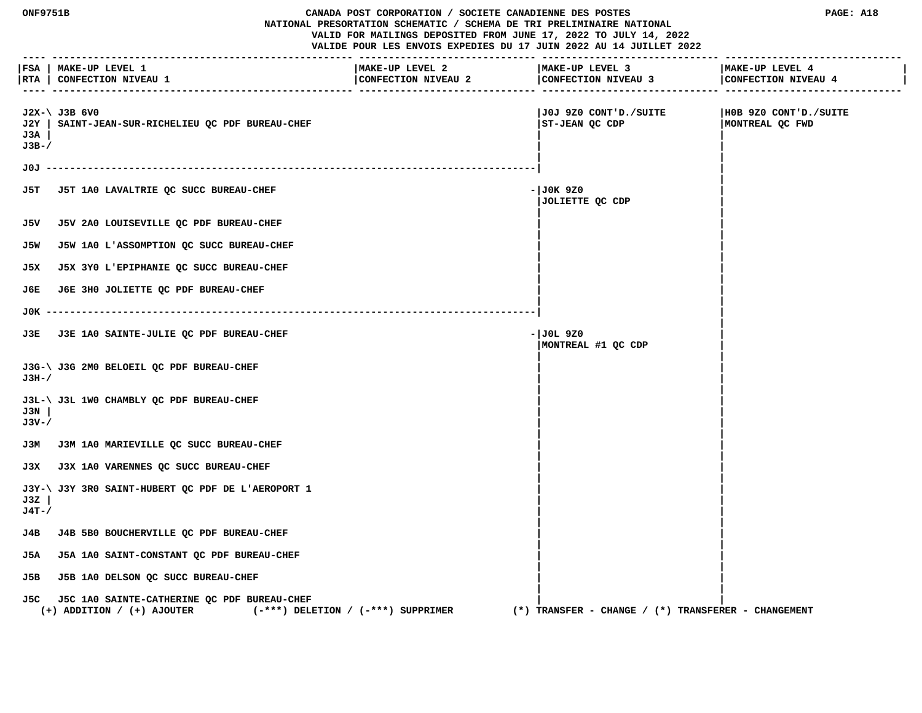|                        | ONF9751B<br>CANADA POST CORPORATION / SOCIETE CANADIENNE DES POSTES<br>NATIONAL PRESORTATION SCHEMATIC / SCHEMA DE TRI PRELIMINAIRE NATIONAL<br>VALID FOR MAILINGS DEPOSITED FROM JUNE 17, 2022 TO JULY 14, 2022<br>VALIDE POUR LES ENVOIS EXPEDIES DU 17 JUIN 2022 AU 14 JUILLET 2022 |                                        |                                                         | PAGE: A18                                |
|------------------------|----------------------------------------------------------------------------------------------------------------------------------------------------------------------------------------------------------------------------------------------------------------------------------------|----------------------------------------|---------------------------------------------------------|------------------------------------------|
| $- - - -$              | FSA   MAKE-UP LEVEL 1<br> RTA   CONFECTION NIVEAU 1                                                                                                                                                                                                                                    | MAKE-UP LEVEL 2<br>CONFECTION NIVEAU 2 | MAKE-UP LEVEL 3<br>CONFECTION NIVEAU 3                  | MAKE-UP LEVEL 4<br>CONFECTION NIVEAU 4   |
| J2Y  <br>J3A<br>$J3B-$ | $J2X-\  J3B$ 6V0<br>SAINT-JEAN-SUR-RICHELIEU QC PDF BUREAU-CHEF                                                                                                                                                                                                                        |                                        | J0J 9Z0 CONT'D./SUITE <br>ST-JEAN QC CDP                | HOB 9Z0 CONT'D./SUITE<br>MONTREAL QC FWD |
|                        |                                                                                                                                                                                                                                                                                        |                                        |                                                         |                                          |
| J5T.                   | J5T 1A0 LAVALTRIE QC SUCC BUREAU-CHEF                                                                                                                                                                                                                                                  |                                        | - JOK 9Z0<br>JOLIETTE QC CDP                            |                                          |
| J5V                    | J5V 2A0 LOUISEVILLE QC PDF BUREAU-CHEF                                                                                                                                                                                                                                                 |                                        |                                                         |                                          |
| J5W                    | J5W 1A0 L'ASSOMPTION OC SUCC BUREAU-CHEF                                                                                                                                                                                                                                               |                                        |                                                         |                                          |
| J5X                    | J5X 3Y0 L'EPIPHANIE QC SUCC BUREAU-CHEF                                                                                                                                                                                                                                                |                                        |                                                         |                                          |
| J6E.                   | J6E 3H0 JOLIETTE QC PDF BUREAU-CHEF                                                                                                                                                                                                                                                    |                                        |                                                         |                                          |
| JOК -                  |                                                                                                                                                                                                                                                                                        |                                        |                                                         |                                          |
| J3E.                   | J3E 1A0 SAINTE-JULIE QC PDF BUREAU-CHEF                                                                                                                                                                                                                                                |                                        | - JOL 9Z0<br>MONTREAL #1 QC CDP                         |                                          |
| J3H-/                  | J3G-\ J3G 2M0 BELOEIL QC PDF BUREAU-CHEF                                                                                                                                                                                                                                               |                                        |                                                         |                                          |
| J3N<br>J3V-/           | J3L-\ J3L 1W0 CHAMBLY QC PDF BUREAU-CHEF                                                                                                                                                                                                                                               |                                        |                                                         |                                          |
|                        | J3M J3M 1A0 MARIEVILLE QC SUCC BUREAU-CHEF                                                                                                                                                                                                                                             |                                        |                                                         |                                          |
|                        | J3X J3X 1A0 VARENNES QC SUCC BUREAU-CHEF                                                                                                                                                                                                                                               |                                        |                                                         |                                          |
| J3Z<br>$J4T - /$       | J3Y-\ J3Y 3R0 SAINT-HUBERT OC PDF DE L'AEROPORT 1                                                                                                                                                                                                                                      |                                        |                                                         |                                          |
| J4B                    | J4B 5B0 BOUCHERVILLE QC PDF BUREAU-CHEF                                                                                                                                                                                                                                                |                                        |                                                         |                                          |
| J5A                    | J5A 1A0 SAINT-CONSTANT QC PDF BUREAU-CHEF                                                                                                                                                                                                                                              |                                        |                                                         |                                          |
| J5B                    | J5B 1A0 DELSON QC SUCC BUREAU-CHEF                                                                                                                                                                                                                                                     |                                        |                                                         |                                          |
| J5C.                   | J5C 1A0 SAINTE-CATHERINE QC PDF BUREAU-CHEF<br>$(+)$ ADDITION / $(+)$ AJOUTER                                                                                                                                                                                                          | $(-***)$ DELETION / $(-***)$ SUPPRIMER | $(*)$ TRANSFER - CHANGE / $(*)$ TRANSFERER - CHANGEMENT |                                          |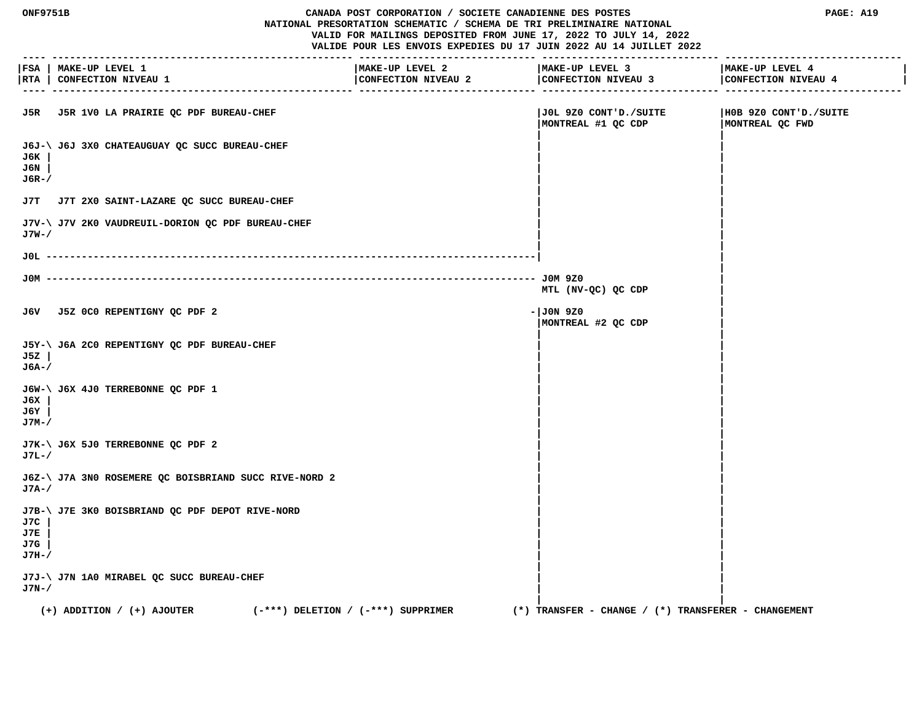#### **ONF9751B CANADA POST CORPORATION / SOCIETE CANADIENNE DES POSTES PAGE: A19 NATIONAL PRESORTATION SCHEMATIC / SCHEMA DE TRI PRELIMINAIRE NATIONAL VALID FOR MAILINGS DEPOSITED FROM JUNE 17, 2022 TO JULY 14, 2022 VALIDE POUR LES ENVOIS EXPEDIES DU 17 JUIN 2022 AU 14 JUILLET 2022**

 **---- --------------------------------------------------- ------------------------------ ------------------------------ ------------------------------ |FSA | MAKE-UP LEVEL 1 |MAKE-UP LEVEL 2 |MAKE-UP LEVEL 3 |MAKE-UP LEVEL 4 | |RTA | CONFECTION NIVEAU 1 |CONFECTION NIVEAU 2 |CONFECTION NIVEAU 3 |CONFECTION NIVEAU 4 | ---- --------------------------------------------------- ------------------------------ ------------------------------ ------------------------------ J5R J5R 1V0 LA PRAIRIE QC PDF BUREAU-CHEF |J0L 9Z0 CONT'D./SUITE |H0B 9Z0 CONT'D./SUITE |MONTREAL #1 QC CDP |MONTREAL QC FWD | | J6J-\ J6J 3X0 CHATEAUGUAY QC SUCC BUREAU-CHEF | | J6K | | | J6N | | | J6R-/ | | | | J7T J7T 2X0 SAINT-LAZARE QC SUCC BUREAU-CHEF | | | | J7V-\ J7V 2K0 VAUDREUIL-DORION QC PDF BUREAU-CHEF | | J7W-/ | | | | J0L -----------------------------------------------------------------------------------| | | J0M ----------------------------------------------------------------------------------- J0M 9Z0 | MTL (NV-QC) QC CDP | | J6V J5Z 0C0 REPENTIGNY QC PDF 2 -|J0N 9Z0 | |MONTREAL #2 QC CDP | | | J5Y-\ J6A 2C0 REPENTIGNY QC PDF BUREAU-CHEF | | J5Z | | | J6A-/ | | | | J6W-\ J6X 4J0 TERREBONNE QC PDF 1 | | J6X | | | J6Y | | | J7M-/ | | | | J7K-\ J6X 5J0 TERREBONNE QC PDF 2 | | J7L-/ | | | | J6Z-\ J7A 3N0 ROSEMERE QC BOISBRIAND SUCC RIVE-NORD 2 | | J7A-/ | | | | J7B-\ J7E 3K0 BOISBRIAND QC PDF DEPOT RIVE-NORD | | J7C | | | J7E | | | J7G | | | J7H-/ | | | | J7J-\ J7N 1A0 MIRABEL QC SUCC BUREAU-CHEF | | J7N-/ | | | | (+) ADDITION / (+) AJOUTER (-\*\*\*) DELETION / (-\*\*\*) SUPPRIMER (\*) TRANSFER - CHANGE / (\*) TRANSFERER - CHANGEMENT**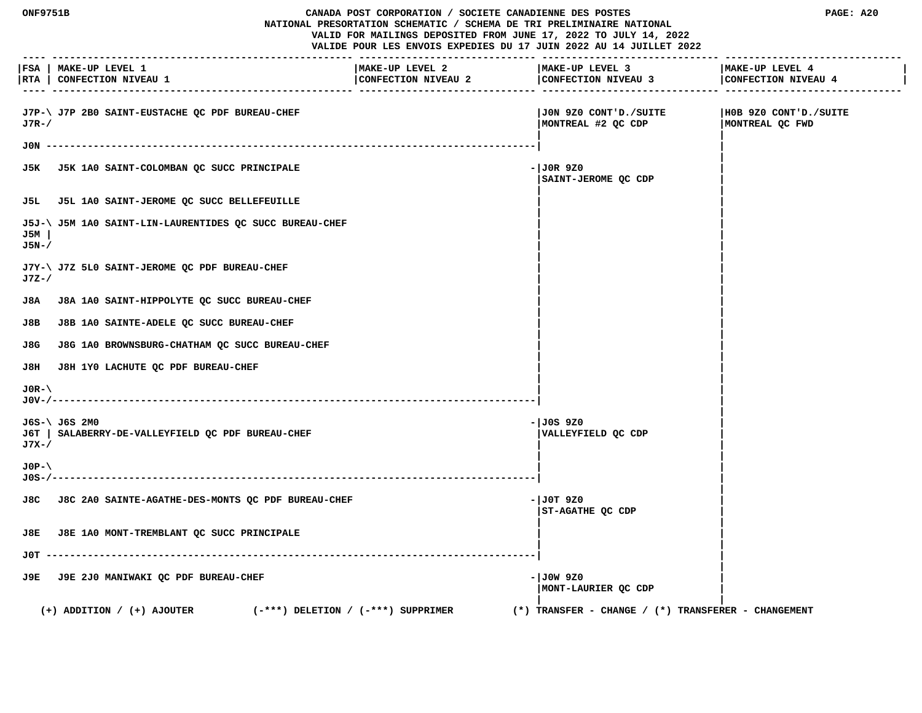| CANADA POST CORPORATION / SOCIETE CANADIENNE DES POSTES<br><b>ONF9751B</b><br>NATIONAL PRESORTATION SCHEMATIC / SCHEMA DE TRI PRELIMINAIRE NATIONAL<br>VALID FOR MAILINGS DEPOSITED FROM JUNE 17, 2022 TO JULY 14, 2022<br>VALIDE POUR LES ENVOIS EXPEDIES DU 17 JUIN 2022 AU 14 JUILLET 2022 |                                                                    |                                        | PAGE: A20                                               |                                           |
|-----------------------------------------------------------------------------------------------------------------------------------------------------------------------------------------------------------------------------------------------------------------------------------------------|--------------------------------------------------------------------|----------------------------------------|---------------------------------------------------------|-------------------------------------------|
|                                                                                                                                                                                                                                                                                               | FSA   MAKE-UP LEVEL 1<br> RTA   CONFECTION NIVEAU 1                | MAKE-UP LEVEL 2<br>CONFECTION NIVEAU 2 | MAKE-UP LEVEL 3<br>CONFECTION NIVEAU 3                  | MAKE-UP LEVEL 4<br>CONFECTION NIVEAU 4    |
| $J7R-$                                                                                                                                                                                                                                                                                        | J7P-\ J7P 2B0 SAINT-EUSTACHE QC PDF BUREAU-CHEF                    |                                        | JON 9Z0 CONT'D./SUITE<br>MONTREAL #2 QC CDP             | H0B 9Z0 CONT'D./SUITE<br> MONTREAL QC FWD |
|                                                                                                                                                                                                                                                                                               |                                                                    |                                        |                                                         |                                           |
|                                                                                                                                                                                                                                                                                               | J5K J5K 1A0 SAINT-COLOMBAN QC SUCC PRINCIPALE                      |                                        | $-JOR9Z0$<br>SAINT-JEROME QC CDP                        |                                           |
|                                                                                                                                                                                                                                                                                               | J5L J5L 1A0 SAINT-JEROME QC SUCC BELLEFEUILLE                      |                                        |                                                         |                                           |
| J5M<br>J5N-/                                                                                                                                                                                                                                                                                  | J5J-\ J5M 1A0 SAINT-LIN-LAURENTIDES QC SUCC BUREAU-CHEF            |                                        |                                                         |                                           |
| J7Z-/                                                                                                                                                                                                                                                                                         | J7Y-\ J7Z 5L0 SAINT-JEROME QC PDF BUREAU-CHEF                      |                                        |                                                         |                                           |
| J8A                                                                                                                                                                                                                                                                                           | J8A 1A0 SAINT-HIPPOLYTE QC SUCC BUREAU-CHEF                        |                                        |                                                         |                                           |
| J8B                                                                                                                                                                                                                                                                                           | J8B 1A0 SAINTE-ADELE QC SUCC BUREAU-CHEF                           |                                        |                                                         |                                           |
| J8G                                                                                                                                                                                                                                                                                           | J8G 1A0 BROWNSBURG-CHATHAM QC SUCC BUREAU-CHEF                     |                                        |                                                         |                                           |
| J8H                                                                                                                                                                                                                                                                                           | J8H 1Y0 LACHUTE QC PDF BUREAU-CHEF                                 |                                        |                                                         |                                           |
| $J0R-\lambda$                                                                                                                                                                                                                                                                                 |                                                                    |                                        |                                                         |                                           |
| J7X-/                                                                                                                                                                                                                                                                                         | J6S-\ J6S 2M0<br>J6T   SALABERRY-DE-VALLEYFIELD QC PDF BUREAU-CHEF |                                        | - JOS 9Z0<br>VALLEYFIELD QC CDP                         |                                           |
| $JOP-1$<br>J0S-/-                                                                                                                                                                                                                                                                             |                                                                    |                                        |                                                         |                                           |
|                                                                                                                                                                                                                                                                                               | J8C J8C 2A0 SAINTE-AGATHE-DES-MONTS OC PDF BUREAU-CHEF             |                                        | $-1$ JOT 9Z0<br>ST-AGATHE OC CDP                        |                                           |
| J8E                                                                                                                                                                                                                                                                                           | J8E 1A0 MONT-TREMBLANT QC SUCC PRINCIPALE                          |                                        |                                                         |                                           |
| JOT -                                                                                                                                                                                                                                                                                         |                                                                    |                                        |                                                         |                                           |
|                                                                                                                                                                                                                                                                                               | J9E J9E 2J0 MANIWAKI QC PDF BUREAU-CHEF                            |                                        | - JOW 9Z0<br>MONT-LAURIER QC CDP                        |                                           |
|                                                                                                                                                                                                                                                                                               | $(+)$ ADDITION / $(+)$ AJOUTER                                     | $(-***)$ DELETION / $(-***)$ SUPPRIMER | $(*)$ TRANSFER - CHANGE / $(*)$ TRANSFERER - CHANGEMENT |                                           |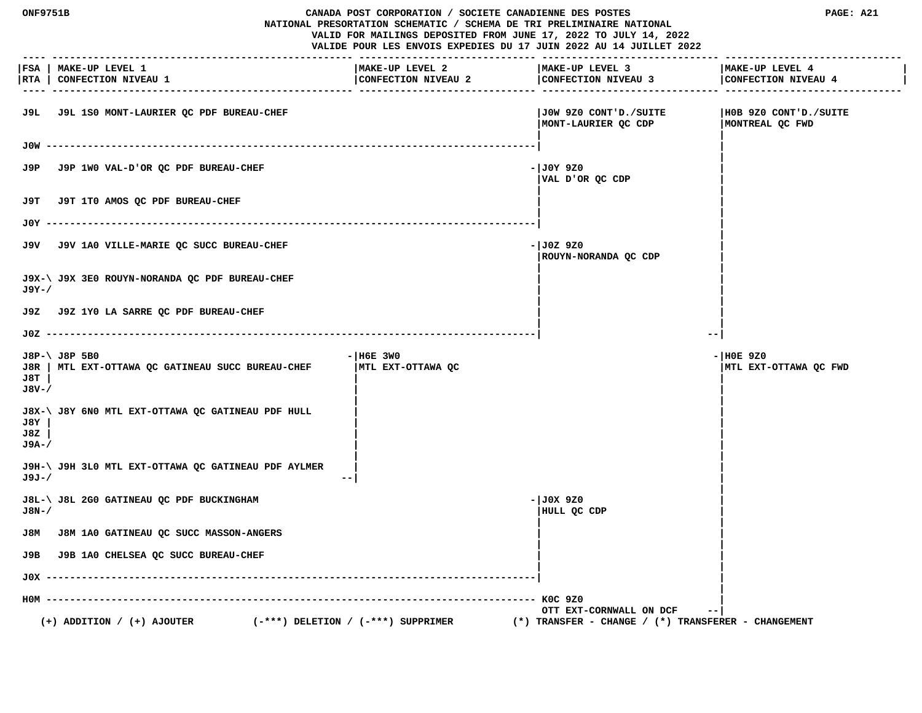**ONF9751B CANADA POST CORPORATION / SOCIETE CANADIENNE DES POSTES PAGE: A21 NATIONAL PRESORTATION SCHEMATIC / SCHEMA DE TRI PRELIMINAIRE NATIONAL VALID FOR MAILINGS DEPOSITED FROM JUNE 17, 2022 TO JULY 14, 2022 VALIDE POUR LES ENVOIS EXPEDIES DU 17 JUIN 2022 AU 14 JUILLET 2022 ---- --------------------------------------------------- ------------------------------ ------------------------------ ------------------------------ |FSA | MAKE-UP LEVEL 1 |MAKE-UP LEVEL 2 |MAKE-UP LEVEL 3 |MAKE-UP LEVEL 4 | |RTA | CONFECTION NIVEAU 1 |CONFECTION NIVEAU 2 |CONFECTION NIVEAU 3 |CONFECTION NIVEAU 4 | ---- --------------------------------------------------- ------------------------------ ------------------------------ ------------------------------ J9L J9L 1S0 MONT-LAURIER QC PDF BUREAU-CHEF |J0W 9Z0 CONT'D./SUITE |H0B 9Z0 CONT'D./SUITE |MONT-LAURIER QC CDP |MONTREAL QC FWD | | J0W -----------------------------------------------------------------------------------| | | J9P** J9P 1WO VAL-D'OR QC PDF BUREAU-CHEF  $|J0Y9Z0$  **|VAL D'OR QC CDP | | | J9T J9T 1T0 AMOS QC PDF BUREAU-CHEF | | | | J0Y -----------------------------------------------------------------------------------| | | J9V** J9V 1A0 VILLE-MARIE QC SUCC BUREAU-CHEF **And CHEF 1999 -**  $|J0Z|$  9Z0  **|ROUYN-NORANDA QC CDP | | | J9X-\ J9X 3E0 ROUYN-NORANDA QC PDF BUREAU-CHEF | | J9Y-/ | | | | J9Z J9Z 1Y0 LA SARRE QC PDF BUREAU-CHEF | | | | J0Z -----------------------------------------------------------------------------------| --| J8P-\ J8P 5B0 -|H6E 3W0 -|H0E 9Z0 J8R | MTL EXT-OTTAWA QC GATINEAU SUCC BUREAU-CHEF |MTL EXT-OTTAWA QC |MTL EXT-OTTAWA QC FWD J8T | | | J8V-/ | | | | J8X-\ J8Y 6N0 MTL EXT-OTTAWA QC GATINEAU PDF HULL | | J8Y | | | J8Z | | | J9A-/ | | | | J9H-\ J9H 3L0 MTL EXT-OTTAWA QC GATINEAU PDF AYLMER | | J9J-/ --| | | J8L-\ J8L 2G0 GATINEAU QC PDF BUCKINGHAM -|J0X 9Z0 | J8N-/ |HULL QC CDP | | | J8M J8M 1A0 GATINEAU QC SUCC MASSON-ANGERS | | | | J9B J9B 1A0 CHELSEA QC SUCC BUREAU-CHEF | | | | J0X -----------------------------------------------------------------------------------| | | H0M ----------------------------------------------------------------------------------- K0C 9Z0 | OTT EXT-CORNWALL ON DCF --| (+) ADDITION / (+) AJOUTER (-\*\*\*) DELETION / (-\*\*\*) SUPPRIMER (\*) TRANSFER - CHANGE / (\*) TRANSFERER - CHANGEMENT**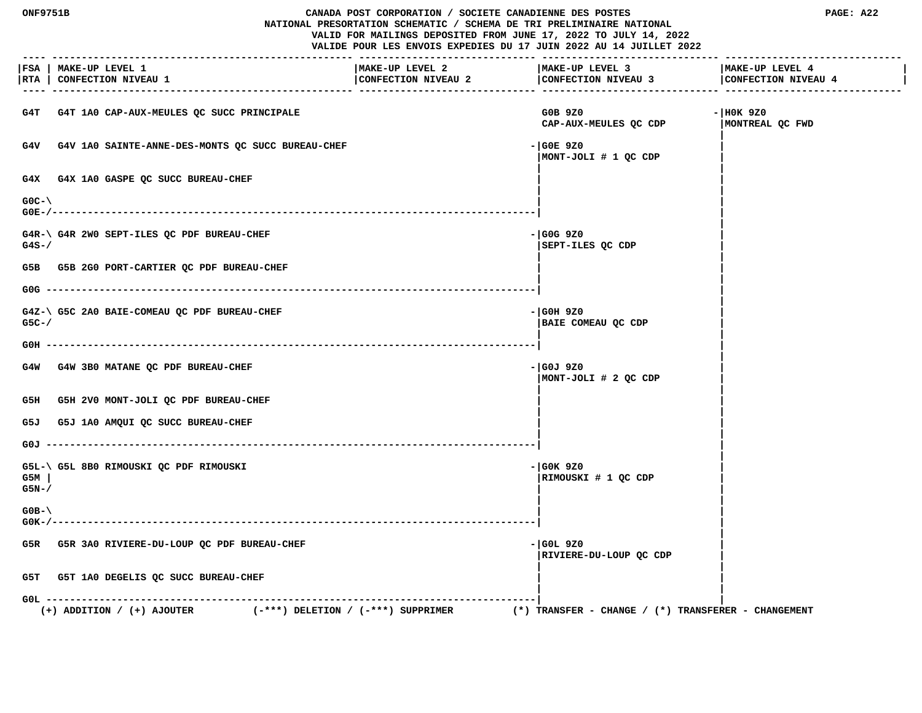## **ONF9751B CANADA POST CORPORATION / SOCIETE CANADIENNE DES POSTES PAGE: A22 NATIONAL PRESORTATION SCHEMATIC / SCHEMA DE TRI PRELIMINAIRE NATIONAL**

 **VALID FOR MAILINGS DEPOSITED FROM JUNE 17, 2022 TO JULY 14, 2022 VALIDE POUR LES ENVOIS EXPEDIES DU 17 JUIN 2022 AU 14 JUILLET 2022**

 **---- --------------------------------------------------- ------------------------------ ------------------------------ ------------------------------ |FSA | MAKE-UP LEVEL 1 |MAKE-UP LEVEL 2 |MAKE-UP LEVEL 3 |MAKE-UP LEVEL 4 | |RTA | CONFECTION NIVEAU 1 |CONFECTION NIVEAU 2 |CONFECTION NIVEAU 3 |CONFECTION NIVEAU 4 | ---- --------------------------------------------------- ------------------------------ ------------------------------ ------------------------------** G4T G4T 1A0 CAP-AUX-MEULES OC SUCC PRINCIPALE **GOB CONSUMING SUBSET ASSAULT A** G0B 9Z0 GOB 9Z0  **CAP-AUX-MEULES QC CDP |MONTREAL QC FWD |** G4V G4V 1A0 SAINTE-ANNE-DES-MONTS QC SUCC BUREAU-CHEF **1990 CONTRAL SERVICE ACCESS 1990 |MONT-JOLI # 1 QC CDP | | |** G4X G4X 1A0 GASPE QC SUCC BUREAU-CHEF  **| | G0C-\ | | G0E-/----------------------------------------------------------------------------------| | |** G4R-\ G4R 2W0 SEPT-ILES QC PDF BUREAU-CHEF **-**  $|\text{G0G } 920$  **G4S-/ |SEPT-ILES QC CDP | | |** G5B G5B 2G0 PORT-CARTIER OC PDF BUREAU-CHEF  **| | G0G -----------------------------------------------------------------------------------| | |** G4Z-\ G5C 2A0 BAIE-COMEAU QC PDF BUREAU-CHEF **-** end and a set of the set of the set of the set of the set of the set of the set of the set of the set of the set of the set of the set of the set of the set of the set of th  **G5C-/ |BAIE COMEAU QC CDP | | | G0H -----------------------------------------------------------------------------------| | |** G4W G4W 3B0 MATANE QC PDF BUREAU-CHEF **All CHEF 1999 CONSUMING A SET ALL CHAPTER**  $-$  | G0J 9Z0  **|MONT-JOLI # 2 QC CDP | | |** G5H G5H 2V0 MONT-JOLI QC PDF BUREAU-CHEF  **| | G5J G5J 1A0 AMQUI QC SUCC BUREAU-CHEF | | | | G0J -----------------------------------------------------------------------------------| | | G5L-\ G5L 8B0 RIMOUSKI QC PDF RIMOUSKI -|G0K 9Z0 | G5M | |RIMOUSKI # 1 QC CDP | G5N-/ | | | | G0B-\ | | G0K-/----------------------------------------------------------------------------------| | |** G5R G5R 3A0 RIVIERE-DU-LOUP OC PDF BUREAU-CHEF **-**  $\frac{1}{100}$  -  $\frac{1}{100}$  -  $\frac{1}{100}$  9Z0  **|RIVIERE-DU-LOUP QC CDP | | | G5T G5T 1A0 DEGELIS QC SUCC BUREAU-CHEF | | | | G0L -----------------------------------------------------------------------------------| | (+) ADDITION / (+) AJOUTER (-\*\*\*) DELETION / (-\*\*\*) SUPPRIMER (\*) TRANSFER - CHANGE / (\*) TRANSFERER - CHANGEMENT**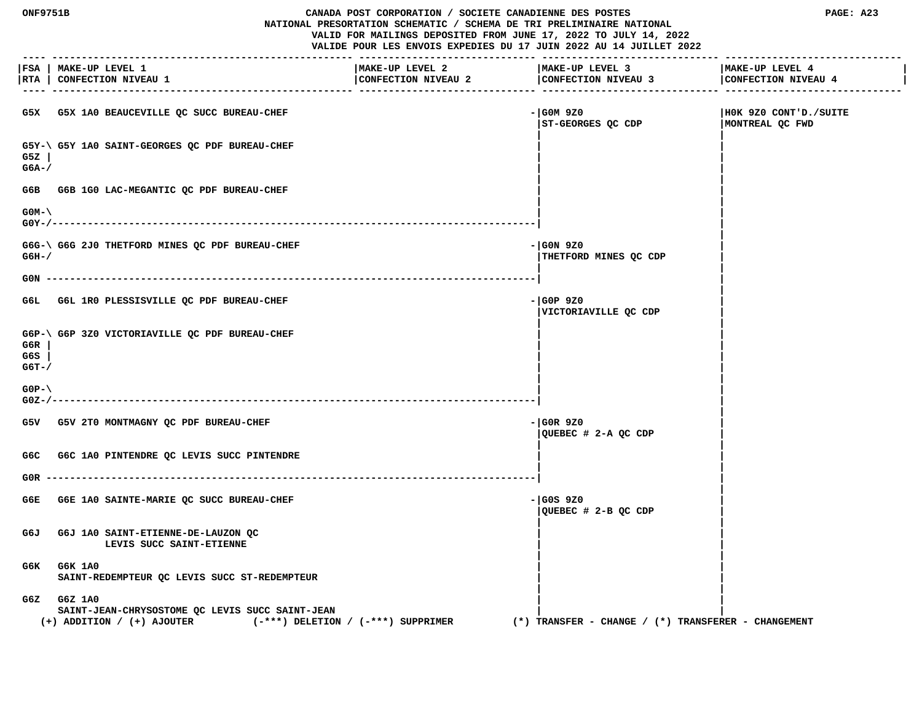#### **ONF9751B CANADA POST CORPORATION / SOCIETE CANADIENNE DES POSTES PAGE: A23 NATIONAL PRESORTATION SCHEMATIC / SCHEMA DE TRI PRELIMINAIRE NATIONAL VALID FOR MAILINGS DEPOSITED FROM JUNE 17, 2022 TO JULY 14, 2022 VALIDE POUR LES ENVOIS EXPEDIES DU 17 JUIN 2022 AU 14 JUILLET 2022**

 **---- --------------------------------------------------- ------------------------------ ------------------------------ ------------------------------ |FSA | MAKE-UP LEVEL 1 |MAKE-UP LEVEL 2 |MAKE-UP LEVEL 3 |MAKE-UP LEVEL 4 |** |RTA | CONFECTION NIVEAU 1 | CONFECTION NIVEAU 2 | CONFECTION NIVEAU 4 | CONFECTION NIVEAU 4 | CONFECTION NIVEAU 4 | CONFECTION NIVEAU 4 | CONFECTION NIVEAU 4  **---- --------------------------------------------------- ------------------------------ ------------------------------ ------------------------------ G5X G5X 1A0 BEAUCEVILLE QC SUCC BUREAU-CHEF -|G0M 9Z0 |H0K 9Z0 CONT'D./SUITE |ST-GEORGES QC CDP |MONTREAL QC FWD | | G5Y-\ G5Y 1A0 SAINT-GEORGES QC PDF BUREAU-CHEF | | G5Z | | | G6A-/ | | | |** G6B G6B 1G0 LAC-MEGANTIC OC PDF BUREAU-CHEF  **| | G0M-\ | | G0Y-/----------------------------------------------------------------------------------| | |** G6G-\ G6G 2J0 THETFORD MINES OC PDF BUREAU-CHEF **AUDIT CONSUMER ASSAULT AS A CONSUMER A G6H-/ |THETFORD MINES QC CDP | | | G0N -----------------------------------------------------------------------------------| | | G6L G6L 1R0 PLESSISVILLE QC PDF BUREAU-CHEF -|G0P 9Z0 | |VICTORIAVILLE QC CDP | | | G6P-\ G6P 3Z0 VICTORIAVILLE QC PDF BUREAU-CHEF | | G6R | | | G6S | | | G6T-/ | | | | G0P-\ | | G0Z-/----------------------------------------------------------------------------------| | | G5V G5V 2T0 MONTMAGNY QC PDF BUREAU-CHEF -|G0R 9Z0 | |QUEBEC # 2-A QC CDP | | |** G6C G6C 1A0 PINTENDRE QC LEVIS SUCC PINTENDRE  **| | G0R -----------------------------------------------------------------------------------| | |** G6E G6E 1A0 SAINTE-MARIE QC SUCC BUREAU-CHEF **-** end and a state of the state of the state of the state of the state of the state of the state of the state of the state of the state of the state of the state of the state o  **|QUEBEC # 2-B QC CDP | | | G6J G6J 1A0 SAINT-ETIENNE-DE-LAUZON QC | |** LEVIS SUCC SAINT-ETIENNE  **| | G6K G6K 1A0 | |** SAINT-REDEMPTEUR OC LEVIS SUCC ST-REDEMPTEUR  **| | G6Z G6Z 1A0 | | SAINT-JEAN-CHRYSOSTOME QC LEVIS SUCC SAINT-JEAN | | (+) ADDITION / (+) AJOUTER (-\*\*\*) DELETION / (-\*\*\*) SUPPRIMER (\*) TRANSFER - CHANGE / (\*) TRANSFERER - CHANGEMENT**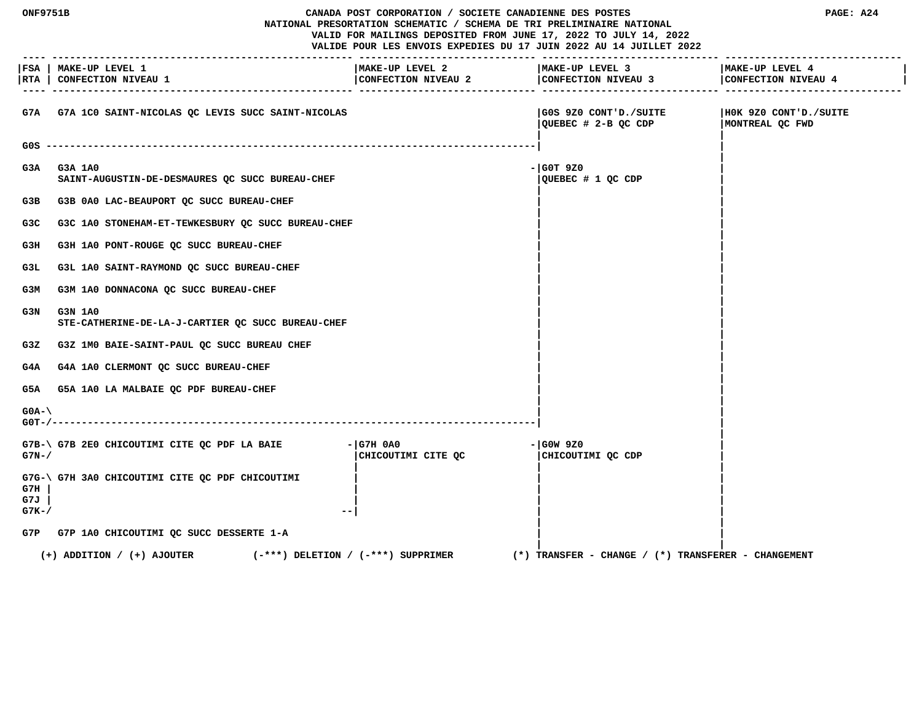**ONF9751B CANADA POST CORPORATION / SOCIETE CANADIENNE DES POSTES PAGE: A24 NATIONAL PRESORTATION SCHEMATIC / SCHEMA DE TRI PRELIMINAIRE NATIONAL VALID FOR MAILINGS DEPOSITED FROM JUNE 17, 2022 TO JULY 14, 2022 VALIDE POUR LES ENVOIS EXPEDIES DU 17 JUIN 2022 AU 14 JUILLET 2022 ---- --------------------------------------------------- ------------------------------ ------------------------------ ------------------------------ |FSA | MAKE-UP LEVEL 1 |MAKE-UP LEVEL 2 |MAKE-UP LEVEL 3 |MAKE-UP LEVEL 4 | |RTA | CONFECTION NIVEAU 1 |CONFECTION NIVEAU 2 |CONFECTION NIVEAU 3 |CONFECTION NIVEAU 4 | ---- --------------------------------------------------- ------------------------------ ------------------------------ ------------------------------ G7A G7A 1C0 SAINT-NICOLAS QC LEVIS SUCC SAINT-NICOLAS |G0S 9Z0 CONT'D./SUITE |H0K 9Z0 CONT'D./SUITE |QUEBEC # 2-B QC CDP |MONTREAL QC FWD | | G0S -----------------------------------------------------------------------------------| | | G3A G3A 1A0 -|G0T 9Z0 | SAINT-AUGUSTIN-DE-DESMAURES QC SUCC BUREAU-CHEF |QUEBEC # 1 QC CDP | | |** G3B G3B 0A0 LAC-BEAUPORT QC SUCC BUREAU-CHEF  **| | G3C G3C 1A0 STONEHAM-ET-TEWKESBURY QC SUCC BUREAU-CHEF | | | |** G3H G3H 1A0 PONT-ROUGE QC SUCC BUREAU-CHEF  **| |** G3L G3L 1A0 SAINT-RAYMOND QC SUCC BUREAU-CHEF  **| |** G3M G3M 1A0 DONNACONA QC SUCC BUREAU-CHEF  **| | G3N G3N 1A0 |** | STE-CATHERINE-DE-LA-J-CARTIER QC SUCC BUREAU-CHEF  **| | G3Z G3Z 1M0 BAIE-SAINT-PAUL QC SUCC BUREAU CHEF | | | |** G4A G4A 1A0 CLERMONT OC SUCC BUREAU-CHEF  **| |** G5A G5A 1A0 LA MALBAIE QC PDF BUREAU-CHEF  **| | G0A-\ | | G0T-/----------------------------------------------------------------------------------| | |** G7B-\ G7B 2E0 CHICOUTIMI CITE QC PDF LA BAIE - |G7H 0A0 - |G0W 9Z0 G7N-/ **G7N-/ G7N-/ CHICOUTIMI CITE QC**  $\sim$  **| CHICOUTIMI** QC CDP  **| | | G7G-\ G7H 3A0 CHICOUTIMI CITE QC PDF CHICOUTIMI | | | G7H | | | | G7J | | | | G7K-/ --| | | | | G7P G7P 1A0 CHICOUTIMI QC SUCC DESSERTE 1-A | | | | (+) ADDITION / (+) AJOUTER (-\*\*\*) DELETION / (-\*\*\*) SUPPRIMER (\*) TRANSFER - CHANGE / (\*) TRANSFERER - CHANGEMENT**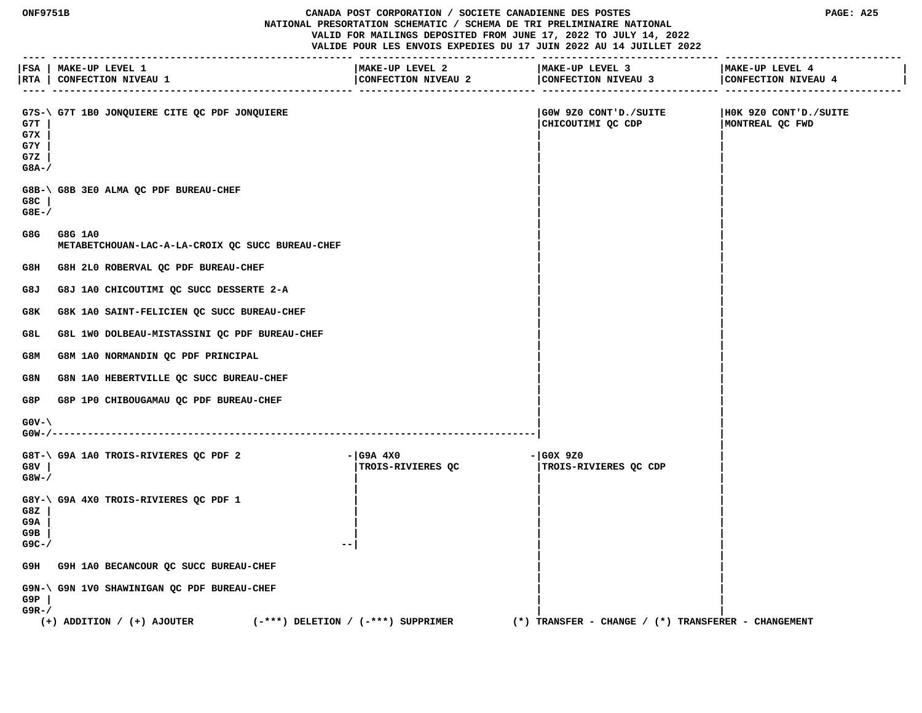**ONF9751B CANADA POST CORPORATION / SOCIETE CANADIENNE DES POSTES PAGE: A25 NATIONAL PRESORTATION SCHEMATIC / SCHEMA DE TRI PRELIMINAIRE NATIONAL VALID FOR MAILINGS DEPOSITED FROM JUNE 17, 2022 TO JULY 14, 2022 VALIDE POUR LES ENVOIS EXPEDIES DU 17 JUIN 2022 AU 14 JUILLET 2022**

 **---- --------------------------------------------------- ------------------------------ ------------------------------ ------------------------------ |FSA | MAKE-UP LEVEL 1 |MAKE-UP LEVEL 2 |MAKE-UP LEVEL 3 |MAKE-UP LEVEL 4 | |RTA | CONFECTION NIVEAU 1 |CONFECTION NIVEAU 2 |CONFECTION NIVEAU 3 |CONFECTION NIVEAU 4 | ---- --------------------------------------------------- ------------------------------ ------------------------------ ------------------------------** G7S-\ G7T 1B0 JONOUIERE CITE OC PDF JONOUIERE | G0W 9Z0 CONT'D./SUITE | H0K 9Z0 CONT'D./SUITE  **G7T | |CHICOUTIMI QC CDP |MONTREAL QC FWD G7X | | | G7Y | | | G7Z | | | G8A-/ | | | | G8B-\ G8B 3E0 ALMA QC PDF BUREAU-CHEF | | G8C | | | G8E-/ | | | | G8G G8G 1A0 | | METABETCHOUAN-LAC-A-LA-CROIX QC SUCC BUREAU-CHEF | | | |** G8H G8H 2L0 ROBERVAL QC PDF BUREAU-CHEF  **| | G8J G8J 1A0 CHICOUTIMI QC SUCC DESSERTE 2-A | | | |** G8K G8K 1A0 SAINT-FELICIEN QC SUCC BUREAU-CHEF  **| | G8L G8L 1W0 DOLBEAU-MISTASSINI QC PDF BUREAU-CHEF | | | | G8M G8M 1A0 NORMANDIN QC PDF PRINCIPAL | | | |** G8N G8N 1A0 HEBERTVILLE QC SUCC BUREAU-CHEF  **| |** G8P G8P 1P0 CHIBOUGAMAU QC PDF BUREAU-CHEF  **| | G0V-\ | | G0W-/----------------------------------------------------------------------------------| | |** G8T-\G9A 1A0 TROIS-RIVIERES QC PDF 2 - |G9A 4X0<br>G8V | | TROIS-RIVIERES QC | ITROIS-R  **G8V | |TROIS-RIVIERES QC |TROIS-RIVIERES QC CDP | G8W-/ | | | | | | G8Y-\ G9A 4X0 TROIS-RIVIERES QC PDF 1 | | | G8Z | | | | G9A | | | | G9B | | | | G9C-/ --| | | | |** G9H G9H 1A0 BECANCOUR QC SUCC BUREAU-CHEF  **| | G9N-\ G9N 1V0 SHAWINIGAN QC PDF BUREAU-CHEF | | G9P | | | G9R-/ | | (+) ADDITION / (+) AJOUTER (-\*\*\*) DELETION / (-\*\*\*) SUPPRIMER (\*) TRANSFER - CHANGE / (\*) TRANSFERER - CHANGEMENT**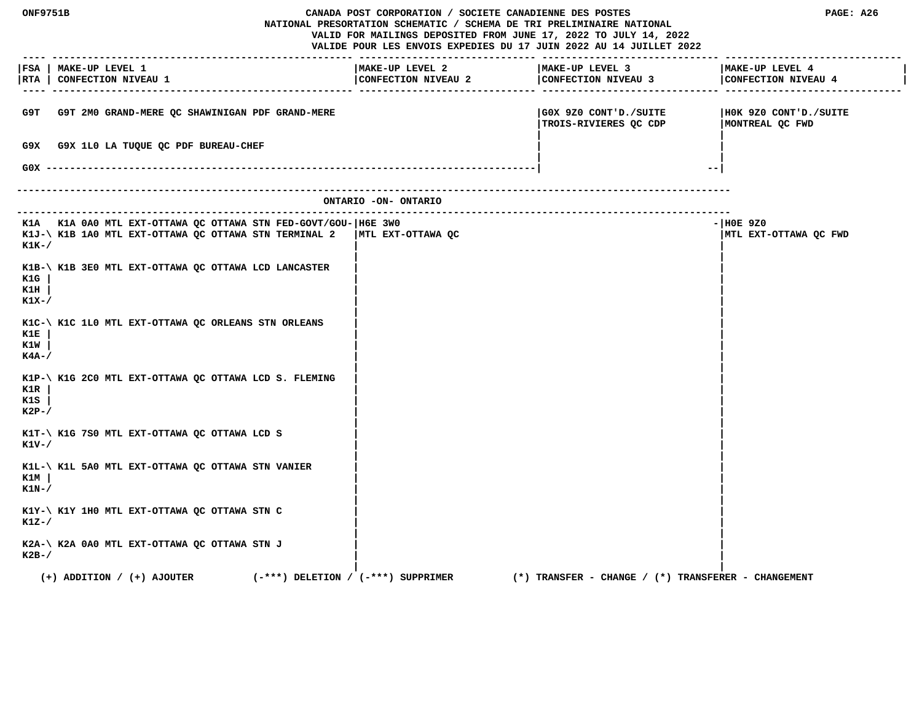| ONF9751B<br>CANADA POST CORPORATION / SOCIETE CANADIENNE DES POSTES<br>NATIONAL PRESORTATION SCHEMATIC / SCHEMA DE TRI PRELIMINAIRE NATIONAL<br>VALID FOR MAILINGS DEPOSITED FROM JUNE 17, 2022 TO JULY 14, 2022<br>VALIDE POUR LES ENVOIS EXPEDIES DU 17 JUIN 2022 AU 14 JUILLET 2022 |                                                                                                                         |                                        | PAGE: A26                                                             |                                                         |                                          |
|----------------------------------------------------------------------------------------------------------------------------------------------------------------------------------------------------------------------------------------------------------------------------------------|-------------------------------------------------------------------------------------------------------------------------|----------------------------------------|-----------------------------------------------------------------------|---------------------------------------------------------|------------------------------------------|
|                                                                                                                                                                                                                                                                                        | FSA   MAKE-UP LEVEL 1<br> RTA   CONFECTION NIVEAU 1                                                                     |                                        | MAKE-UP LEVEL 2<br>$\overline{\overline{\text{COMFECTION NIVEAU 2}}}$ | MAKE-UP LEVEL 3<br>CONFECTION NIVEAU 3                  | MAKE-UP LEVEL 4<br>CONFECTION NIVEAU 4   |
| G9T                                                                                                                                                                                                                                                                                    | G9T 2M0 GRAND-MERE QC SHAWINIGAN PDF GRAND-MERE                                                                         |                                        |                                                                       | GOX 9Z0 CONT'D./SUITE <br>TROIS-RIVIERES QC CDP         | HOK 9Z0 CONT'D./SUITE<br>MONTREAL QC FWD |
| G9X.                                                                                                                                                                                                                                                                                   | G9X 1L0 LA TUQUE QC PDF BUREAU-CHEF<br>$G0X$ --------                                                                   |                                        |                                                                       | $- -$                                                   |                                          |
|                                                                                                                                                                                                                                                                                        |                                                                                                                         |                                        | ONTARIO -ON- ONTARIO                                                  |                                                         |                                          |
| $K1K-$                                                                                                                                                                                                                                                                                 | K1A K1A 0A0 MTL EXT-OTTAWA QC OTTAWA STN FED-GOVT/GOU- H6E 3W0<br>K1J-\ K1B 1A0 MTL EXT-OTTAWA QC OTTAWA STN TERMINAL 2 |                                        | MTL EXT-OTTAWA QC                                                     |                                                         | $ H0E$ 9Z0<br>MTL EXT-OTTAWA QC FWD      |
| K1G<br>K1H<br>$K1X-$                                                                                                                                                                                                                                                                   | K1B-\ K1B 3E0 MTL EXT-OTTAWA QC OTTAWA LCD LANCASTER                                                                    |                                        |                                                                       |                                                         |                                          |
| K1E<br>K1W<br>K4A-/                                                                                                                                                                                                                                                                    | K1C-\ K1C 1L0 MTL EXT-OTTAWA QC ORLEANS STN ORLEANS                                                                     |                                        |                                                                       |                                                         |                                          |
| K1R<br>K1S<br>$K2P-$ /                                                                                                                                                                                                                                                                 | K1P-\ K1G 2C0 MTL EXT-OTTAWA QC OTTAWA LCD S. FLEMING                                                                   |                                        |                                                                       |                                                         |                                          |
| K1V-/                                                                                                                                                                                                                                                                                  | K1T-\ K1G 7S0 MTL EXT-OTTAWA QC OTTAWA LCD S                                                                            |                                        |                                                                       |                                                         |                                          |
| K1M<br>$K1N-$ /                                                                                                                                                                                                                                                                        | K1L-\ K1L 5A0 MTL EXT-OTTAWA QC OTTAWA STN VANIER                                                                       |                                        |                                                                       |                                                         |                                          |
| $K1Z-$ /                                                                                                                                                                                                                                                                               | K1Y-\ K1Y 1H0 MTL EXT-OTTAWA QC OTTAWA STN C                                                                            |                                        |                                                                       |                                                         |                                          |
| $K2B-$                                                                                                                                                                                                                                                                                 | K2A-\ K2A 0A0 MTL EXT-OTTAWA QC OTTAWA STN J                                                                            |                                        |                                                                       |                                                         |                                          |
|                                                                                                                                                                                                                                                                                        | $(+)$ ADDITION / $(+)$ AJOUTER                                                                                          | $(-***)$ DELETION / $(-***)$ SUPPRIMER |                                                                       | $(*)$ TRANSFER - CHANGE / $(*)$ TRANSFERER - CHANGEMENT |                                          |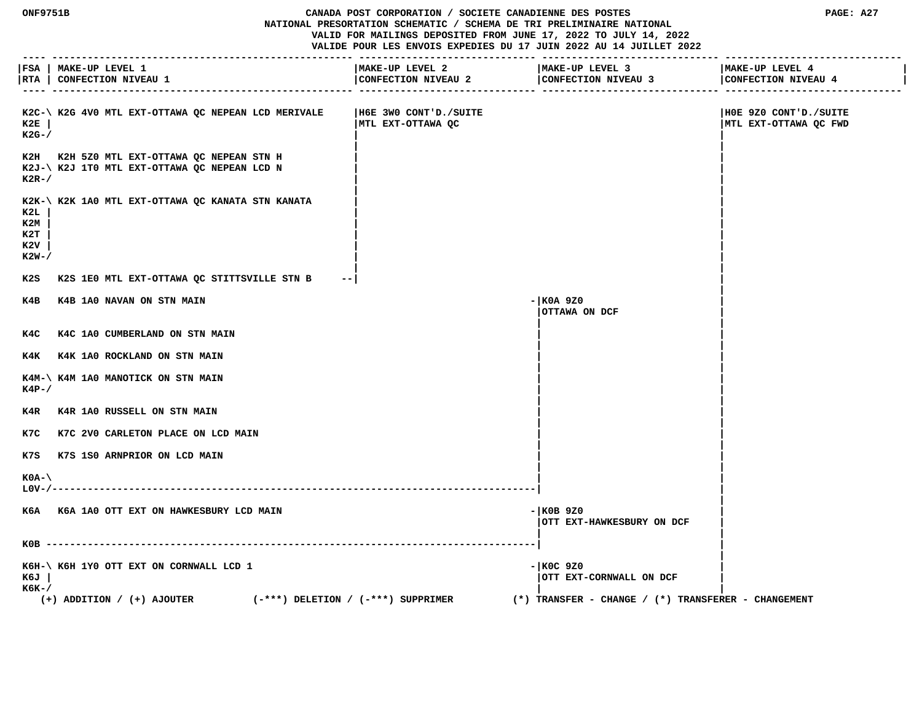**ONF9751B CANADA POST CORPORATION / SOCIETE CANADIENNE DES POSTES PAGE: A27 NATIONAL PRESORTATION SCHEMATIC / SCHEMA DE TRI PRELIMINAIRE NATIONAL VALID FOR MAILINGS DEPOSITED FROM JUNE 17, 2022 TO JULY 14, 2022 VALIDE POUR LES ENVOIS EXPEDIES DU 17 JUIN 2022 AU 14 JUILLET 2022**

 **---- --------------------------------------------------- ------------------------------ ------------------------------ ------------------------------**

|                                     | FSA   MAKE-UP LEVEL 1                                                                      | MAKE-UP LEVEL 2                                | MAKE-UP LEVEL 3                                         | MAKE-UP LEVEL 4                                |
|-------------------------------------|--------------------------------------------------------------------------------------------|------------------------------------------------|---------------------------------------------------------|------------------------------------------------|
| -----                               | RTA   CONFECTION NIVEAU 1                                                                  | CONFECTION NIVEAU 2<br>------------------ ---- | CONFECTION NIVEAU 3<br>---------------                  | CONFECTION NIVEAU 4<br>--------------------    |
| к2Е<br>K2G-/                        | K2C-\ K2G 4V0 MTL EXT-OTTAWA QC NEPEAN LCD MERIVALE                                        | H6E 3W0 CONT'D./SUITE <br> MTL EXT-OTTAWA QC   |                                                         | HOE 9Z0 CONT'D./SUITE<br>MTL EXT-OTTAWA QC FWD |
| $K2R-$ /                            | K2H K2H 5Z0 MTL EXT-OTTAWA QC NEPEAN STN H<br>K2J-\ K2J 1T0 MTL EXT-OTTAWA QC NEPEAN LCD N |                                                |                                                         |                                                |
| K2L<br>K2M<br>к2т<br>K2V<br>$K2W-7$ | K2K-\ K2K 1A0 MTL EXT-OTTAWA QC KANATA STN KANATA                                          |                                                |                                                         |                                                |
| K2S                                 | K2S 1E0 MTL EXT-OTTAWA QC STITTSVILLE STN B                                                |                                                |                                                         |                                                |
| к4в                                 | K4B 1A0 NAVAN ON STN MAIN                                                                  |                                                | $-$ KOA 9Z0<br>OTTAWA ON DCF                            |                                                |
| к4с                                 | K4C 1A0 CUMBERLAND ON STN MAIN                                                             |                                                |                                                         |                                                |
|                                     | K4K K4K 1A0 ROCKLAND ON STN MAIN                                                           |                                                |                                                         |                                                |
| $K4P-$ /                            | K4M-\ K4M 1A0 MANOTICK ON STN MAIN                                                         |                                                |                                                         |                                                |
| K4R                                 | K4R 1A0 RUSSELL ON STN MAIN                                                                |                                                |                                                         |                                                |
| K7C                                 | K7C 2V0 CARLETON PLACE ON LCD MAIN                                                         |                                                |                                                         |                                                |
| K7S                                 | K7S 1S0 ARNPRIOR ON LCD MAIN                                                               |                                                |                                                         |                                                |
| $KOA-\setminus$                     |                                                                                            |                                                |                                                         |                                                |
|                                     | K6A K6A 1A0 OTT EXT ON HAWKESBURY LCD MAIN                                                 |                                                | $-$ KOB 9Z0<br>OTT EXT-HAWKESBURY ON DCF                |                                                |
|                                     |                                                                                            |                                                |                                                         |                                                |
| к6л<br>к6к-/                        | K6H-\ K6H 1Y0 OTT EXT ON CORNWALL LCD 1                                                    |                                                | $-$ KOC 9Z0<br>OTT EXT-CORNWALL ON DCF                  |                                                |
|                                     | $(-***)$ DELETION / $(-***)$ SUPPRIMER<br>(+) ADDITION / (+) AJOUTER                       |                                                | $(*)$ TRANSFER - CHANGE / $(*)$ TRANSFERER - CHANGEMENT |                                                |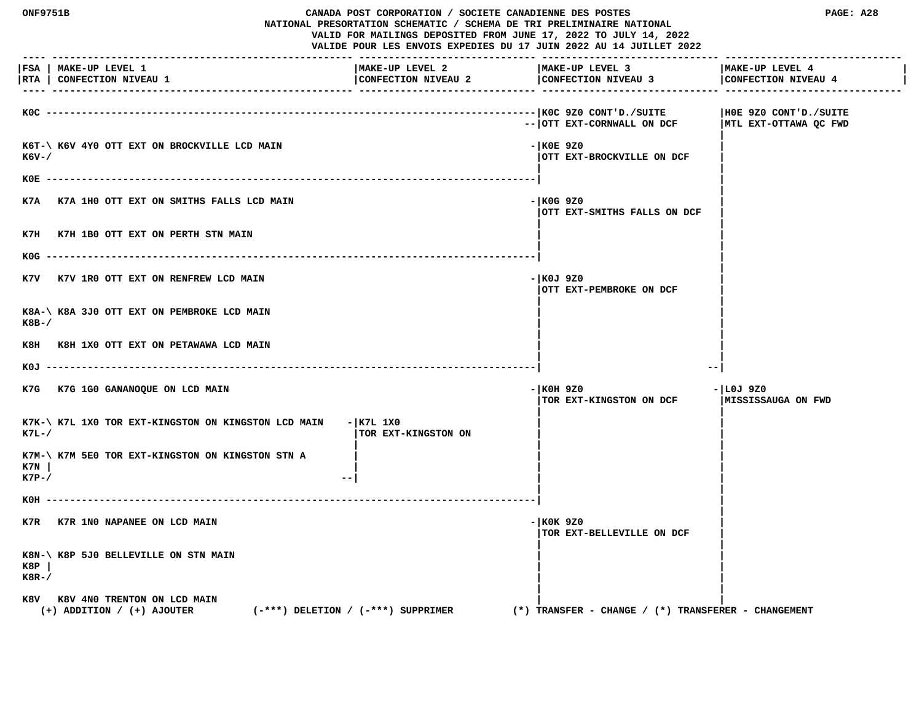**ONF9751B CANADA POST CORPORATION / SOCIETE CANADIENNE DES POSTES PAGE: A28 NATIONAL PRESORTATION SCHEMATIC / SCHEMA DE TRI PRELIMINAIRE NATIONAL VALID FOR MAILINGS DEPOSITED FROM JUNE 17, 2022 TO JULY 14, 2022 VALIDE POUR LES ENVOIS EXPEDIES DU 17 JUIN 2022 AU 14 JUILLET 2022 ---- --------------------------------------------------- ------------------------------ ------------------------------ ------------------------------ |FSA | MAKE-UP LEVEL 1 |MAKE-UP LEVEL 2 |MAKE-UP LEVEL 3 |MAKE-UP LEVEL 4 |** |RTA | CONFECTION NIVEAU 1 | CONFECTION NIVEAU 2 | CONFECTION NIVEAU 4 | CONFECTION NIVEAU 4 | CONFECTION NIVEAU 4 | CONFECTION NIVEAU 4 | CONFECTION NIVEAU 4  **---- --------------------------------------------------- ------------------------------ ------------------------------ ------------------------------ K0C -----------------------------------------------------------------------------------|K0C 9Z0 CONT'D./SUITE |H0E 9Z0 CONT'D./SUITE** -- | OTT EXT-CORNWALL ON DCF | MTL EXT-OTTAWA QC FWD  **|** K6T-\ K6V 4Y0 OTT EXT ON BROCKVILLE LCD MAIN **FIND ACCOMMENDATION** - |K0E 9Z0 **EXT-BROCKVILLE ON DCF**  $|\text{OTT}|\text{EXT}-\text{BROCKVILLE}$  ON DCF  **| | K0E -----------------------------------------------------------------------------------| | | K7A K7A 1H0 OTT EXT ON SMITHS FALLS LCD MAIN -|K0G 9Z0 | |OTT EXT-SMITHS FALLS ON DCF | | |** K7H K7H 1B0 OTT EXT ON PERTH STN MAIN  **| | K0G -----------------------------------------------------------------------------------| | |** K7V K7V 1R0 OTT EXT ON RENFREW LCD MAIN **FOUL EXECUTE 1899** CONTROL 1970  **|OTT EXT-PEMBROKE ON DCF | | |** K8A-\ K8A 3J0 OTT EXT ON PEMBROKE LCD MAIN  **K8B-/ | | | |** K8H K8H 1X0 OTT EXT ON PETAWAWA LCD MAIN  **| | K0J -----------------------------------------------------------------------------------| --| K7G K7G 1G0 GANANOQUE ON LCD MAIN -|K0H 9Z0 -|L0J 9Z0**  $\overline{\phantom{a}}$  TOR EXT-KINGSTON ON DCF  **| |** K7K-\ K7L 1X0 TOR EXT-KINGSTON ON KINGSTON LCD MAIN - | K7L 1X0 **EXT-FINGSTON ON EXT-KINGSTON ON EXT- | | |** K7M-\ K7M 5E0 TOR EXT-KINGSTON ON KINGSTON STN A  **K7N | | | | K7P-/ 1 | | K0H -----------------------------------------------------------------------------------| | | K7R K7R 1N0 NAPANEE ON LCD MAIN** - **K0K 9Z0 |TOR EXT-BELLEVILLE ON DCF | | | K8N-\ K8P 5J0 BELLEVILLE ON STN MAIN | | K8P | | | K8R-/ | | | |** K8V K8V 4N0 TRENTON ON LCD MAIN  **(+) ADDITION / (+) AJOUTER (-\*\*\*) DELETION / (-\*\*\*) SUPPRIMER (\*) TRANSFER - CHANGE / (\*) TRANSFERER - CHANGEMENT**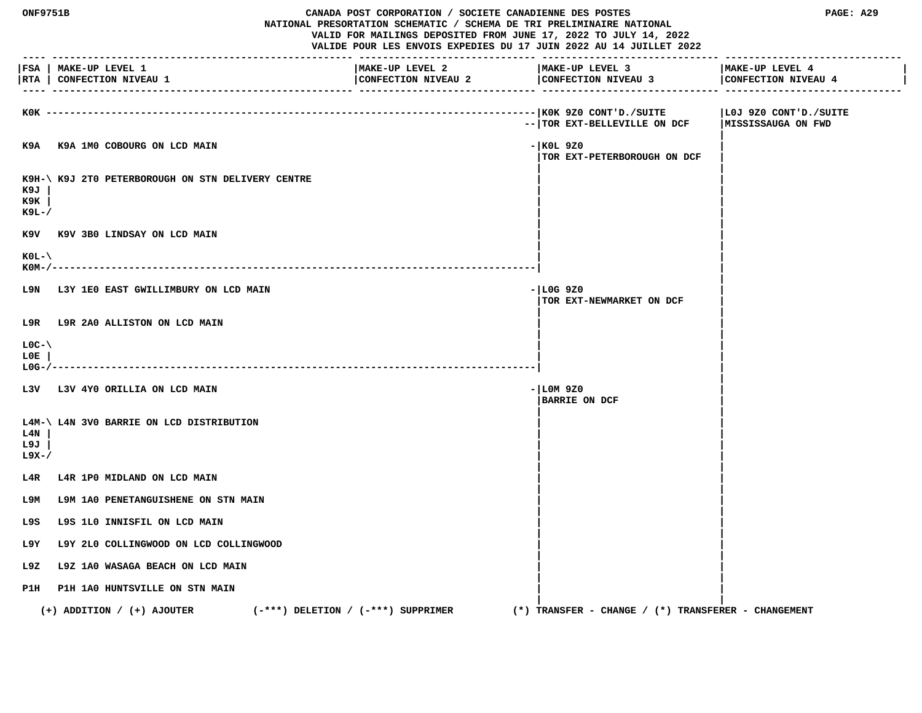| ---- ----                 | ONF9751B<br>CANADA POST CORPORATION / SOCIETE CANADIENNE DES POSTES<br>NATIONAL PRESORTATION SCHEMATIC / SCHEMA DE TRI PRELIMINAIRE NATIONAL<br>VALID FOR MAILINGS DEPOSITED FROM JUNE 17, 2022 TO JULY 14, 2022<br>VALIDE POUR LES ENVOIS EXPEDIES DU 17 JUIN 2022 AU 14 JUILLET 2022 |                                        |  | PAGE: A29                                               |                                        |
|---------------------------|----------------------------------------------------------------------------------------------------------------------------------------------------------------------------------------------------------------------------------------------------------------------------------------|----------------------------------------|--|---------------------------------------------------------|----------------------------------------|
|                           | FSA   MAKE-UP LEVEL 1<br> RTA   CONFECTION NIVEAU 1                                                                                                                                                                                                                                    | MAKE-UP LEVEL 2<br>CONFECTION NIVEAU 2 |  | MAKE-UP LEVEL 3<br>CONFECTION NIVEAU 3                  | MAKE-UP LEVEL 4<br>CONFECTION NIVEAU 4 |
|                           | KOK ------------------                                                                                                                                                                                                                                                                 |                                        |  | --   TOR EXT-BELLEVILLE ON DCF   MISSISSAUGA ON FWD     | LOJ 9Z0 CONT'D./SUITE                  |
|                           | K9A K9A 1M0 COBOURG ON LCD MAIN                                                                                                                                                                                                                                                        |                                        |  | $-$ KOL 9Z0<br>TOR EXT-PETERBOROUGH ON DCF              |                                        |
| к9л<br>к9к<br>к9ь-/       | K9H-\ K9J 2T0 PETERBOROUGH ON STN DELIVERY CENTRE                                                                                                                                                                                                                                      |                                        |  |                                                         |                                        |
|                           | K9V K9V 3B0 LINDSAY ON LCD MAIN                                                                                                                                                                                                                                                        |                                        |  |                                                         |                                        |
| $KOL - \$<br>$KOM-/-$     |                                                                                                                                                                                                                                                                                        |                                        |  |                                                         |                                        |
|                           | L9N L3Y 1E0 EAST GWILLIMBURY ON LCD MAIN                                                                                                                                                                                                                                               |                                        |  | $-$ LOG 9Z0<br>TOR EXT-NEWMARKET ON DCF                 |                                        |
|                           | L9R L9R 2A0 ALLISTON ON LCD MAIN                                                                                                                                                                                                                                                       |                                        |  |                                                         |                                        |
| $LOC-V$<br>L0E.<br>L0G-/- | --------------------------------------                                                                                                                                                                                                                                                 |                                        |  |                                                         |                                        |
|                           | L3V L3V 4Y0 ORILLIA ON LCD MAIN                                                                                                                                                                                                                                                        |                                        |  | $- LM9Z0$<br><b>BARRIE ON DCF</b>                       |                                        |
| L4N<br>L9J<br>L9X-/       | L4M-\ L4N 3V0 BARRIE ON LCD DISTRIBUTION                                                                                                                                                                                                                                               |                                        |  |                                                         |                                        |
| L4R                       | L4R 1P0 MIDLAND ON LCD MAIN                                                                                                                                                                                                                                                            |                                        |  |                                                         |                                        |
| т эм                      | L9M 1A0 PENETANGUISHENE ON STN MAIN                                                                                                                                                                                                                                                    |                                        |  |                                                         |                                        |
| L9S                       | L9S 1L0 INNISFIL ON LCD MAIN                                                                                                                                                                                                                                                           |                                        |  |                                                         |                                        |
| L9Y                       | L9Y 2L0 COLLINGWOOD ON LCD COLLINGWOOD                                                                                                                                                                                                                                                 |                                        |  |                                                         |                                        |
| L9Z.                      | L9Z 1A0 WASAGA BEACH ON LCD MAIN                                                                                                                                                                                                                                                       |                                        |  |                                                         |                                        |
|                           | P1H P1H 1A0 HUNTSVILLE ON STN MAIN                                                                                                                                                                                                                                                     |                                        |  |                                                         |                                        |
|                           | $(-***)$ DELETION / $(-***)$ SUPPRIMER<br>$(+)$ ADDITION / $(+)$ AJOUTER                                                                                                                                                                                                               |                                        |  | $(*)$ TRANSFER - CHANGE / $(*)$ TRANSFERER - CHANGEMENT |                                        |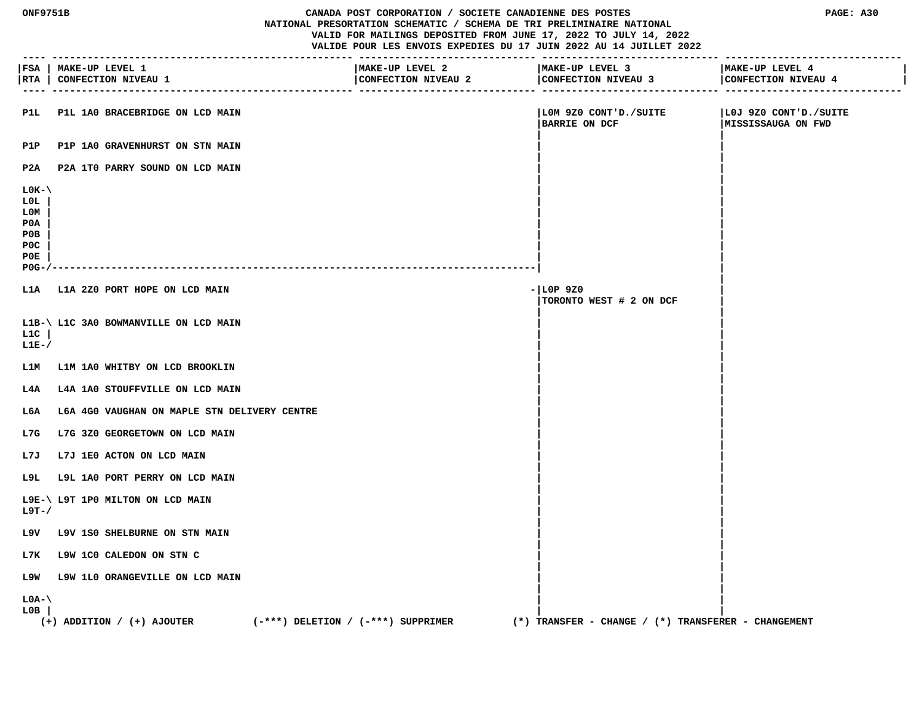| <b>ONF9751B</b> |  |
|-----------------|--|
|-----------------|--|

#### **CANADA POST CORPORATION / SOCIETE CANADIENNE DES POSTES PAGE: A30 NATIONAL PRESORTATION SCHEMATIC / SCHEMA DE TRI PRELIMINAIRE NATIONAL VALID FOR MAILINGS DEPOSITED FROM JUNE 17, 2022 TO JULY 14, 2022 VALIDE POUR LES ENVOIS EXPEDIES DU 17 JUIN 2022 AU 14 JUILLET 2022**

 **---- --------------------------------------------------- ------------------------------ ------------------------------ ------------------------------ |FSA | MAKE-UP LEVEL 1 |MAKE-UP LEVEL 2 |MAKE-UP LEVEL 3 |MAKE-UP LEVEL 4 | |RTA | CONFECTION NIVEAU 1 |CONFECTION NIVEAU 2 |CONFECTION NIVEAU 3 |CONFECTION NIVEAU 4 | ---- --------------------------------------------------- ------------------------------ ------------------------------ ------------------------------ P1L P1L 1A0 BRACEBRIDGE ON LCD MAIN |L0M 9Z0 CONT'D./SUITE |L0J 9Z0 CONT'D./SUITE** |BARRIE ON DCF | MISSISSAUGA ON FWD  **| |** P1P P1P 1A0 GRAVENHURST ON STN MAIN  **| | P2A P2A 1T0 PARRY SOUND ON LCD MAIN | | | | L0K-\ | | L0L | | | L0M | | | P0A | | | P0B | | | P0C | | | P0E | | | P0G-/----------------------------------------------------------------------------------| | | L1A L1A 2Z0 PORT HOPE ON LCD MAIN -|L0P 9Z0 | |TORONTO WEST # 2 ON DCF | | | L1B-\ L1C 3A0 BOWMANVILLE ON LCD MAIN | | L1C | | | L1E-/ | | | | L1M L1M 1A0 WHITBY ON LCD BROOKLIN | | | |** L4A L4A 1A0 STOUFFVILLE ON LCD MAIN  **| |** L6A L6A 4G0 VAUGHAN ON MAPLE STN DELIVERY CENTRE  **| |** L7G L7G 3Z0 GEORGETOWN ON LCD MAIN  **| |** L7J L7J 1E0 ACTON ON LCD MAIN  **| |** L9L L9L 1A0 PORT PERRY ON LCD MAIN  **| | L9E-\ L9T 1P0 MILTON ON LCD MAIN | | L9T-/ | | | | L9V L9V 1S0 SHELBURNE ON STN MAIN | | | | L7K L9W 1C0 CALEDON ON STN C | | | | L9W L9W 1L0 ORANGEVILLE ON LCD MAIN | | | | L0A-\ | | L0B | | | (+) ADDITION / (+) AJOUTER (-\*\*\*) DELETION / (-\*\*\*) SUPPRIMER (\*) TRANSFER - CHANGE / (\*) TRANSFERER - CHANGEMENT**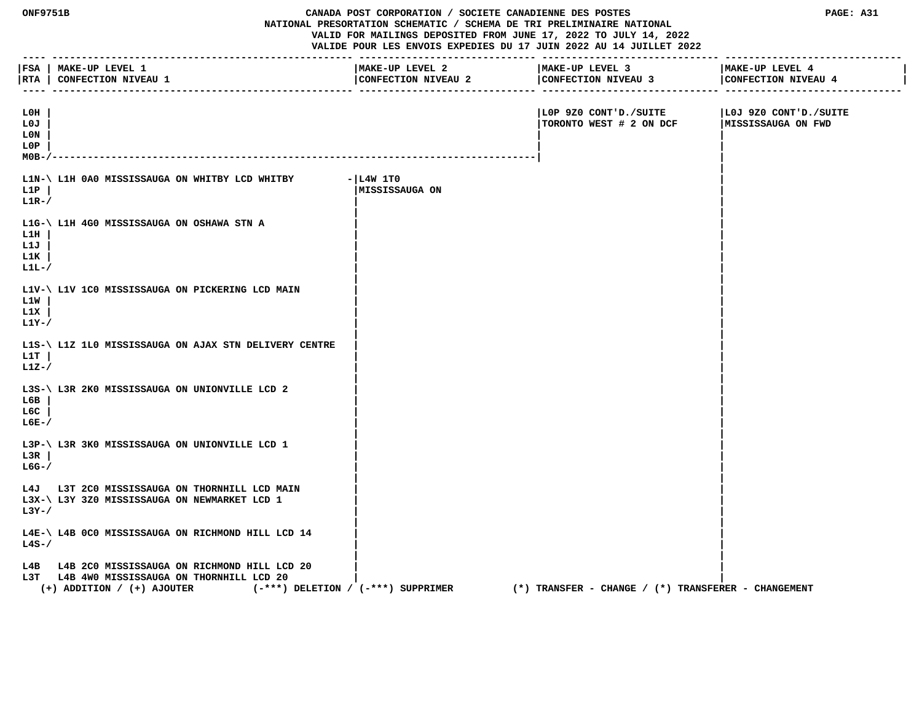| <b>ONF9751B</b><br>CANADA POST CORPORATION / SOCIETE CANADIENNE DES POSTES<br>NATIONAL PRESORTATION SCHEMATIC / SCHEMA DE TRI PRELIMINAIRE NATIONAL<br>VALID FOR MAILINGS DEPOSITED FROM JUNE 17, 2022 TO JULY 14, 2022<br>VALIDE POUR LES ENVOIS EXPEDIES DU 17 JUIN 2022 AU 14 JUILLET 2022 |                                                                                                                                                                |                                        | PAGE: A31                                               |                                             |
|-----------------------------------------------------------------------------------------------------------------------------------------------------------------------------------------------------------------------------------------------------------------------------------------------|----------------------------------------------------------------------------------------------------------------------------------------------------------------|----------------------------------------|---------------------------------------------------------|---------------------------------------------|
| -----                                                                                                                                                                                                                                                                                         | FSA   MAKE-UP LEVEL 1<br> RTA   CONFECTION NIVEAU 1                                                                                                            | MAKE-UP LEVEL 2<br>CONFECTION NIVEAU 2 | MAKE-UP LEVEL 3<br>CONFECTION NIVEAU 3                  | MAKE-UP LEVEL 4<br>CONFECTION NIVEAU 4      |
| L0H<br>L0J<br>L0N<br>L0P<br>$MOB-J$                                                                                                                                                                                                                                                           |                                                                                                                                                                |                                        | LOP 9Z0 CONT'D./SUITE<br>TORONTO WEST # 2 ON DCF        | LOJ 9Z0 CONT'D./SUITE<br>MISSISSAUGA ON FWD |
| L1P<br>$L1R-$                                                                                                                                                                                                                                                                                 | L1N-\ L1H 0A0 MISSISSAUGA ON WHITBY LCD WHITBY                                                                                                                 | $- L4W 1T0$<br> MISSISSAUGA ON         |                                                         |                                             |
| L1H<br>L1J<br>L1K<br>$L1L-$                                                                                                                                                                                                                                                                   | L1G-\ L1H 4G0 MISSISSAUGA ON OSHAWA STN A                                                                                                                      |                                        |                                                         |                                             |
| L1W<br>L1X<br>L1Y-/                                                                                                                                                                                                                                                                           | L1V-\ L1V 1C0 MISSISSAUGA ON PICKERING LCD MAIN                                                                                                                |                                        |                                                         |                                             |
| L1T<br>$L1Z-$                                                                                                                                                                                                                                                                                 | L1S-\ L1Z 1L0 MISSISSAUGA ON AJAX STN DELIVERY CENTRE                                                                                                          |                                        |                                                         |                                             |
| L6B<br>L6C<br>$L6E-$                                                                                                                                                                                                                                                                          | L3S-\ L3R 2K0 MISSISSAUGA ON UNIONVILLE LCD 2                                                                                                                  |                                        |                                                         |                                             |
| L3R<br>$LG-$ /                                                                                                                                                                                                                                                                                | L3P-\ L3R 3K0 MISSISSAUGA ON UNIONVILLE LCD 1                                                                                                                  |                                        |                                                         |                                             |
| $L3Y-$ /                                                                                                                                                                                                                                                                                      | L4J L3T 2C0 MISSISSAUGA ON THORNHILL LCD MAIN<br>L3X-\ L3Y 3Z0 MISSISSAUGA ON NEWMARKET LCD 1                                                                  |                                        |                                                         |                                             |
| $L4S-$                                                                                                                                                                                                                                                                                        | L4E-\ L4B 0C0 MISSISSAUGA ON RICHMOND HILL LCD 14                                                                                                              |                                        |                                                         |                                             |
| L4B<br>L3T                                                                                                                                                                                                                                                                                    | L4B 2C0 MISSISSAUGA ON RICHMOND HILL LCD 20<br>L4B 4W0 MISSISSAUGA ON THORNHILL LCD 20<br>(-***) DELETION / (-***) SUPPRIMER<br>$(+)$ ADDITION / $(+)$ AJOUTER |                                        | $(*)$ TRANSFER - CHANGE / $(*)$ TRANSFERER - CHANGEMENT |                                             |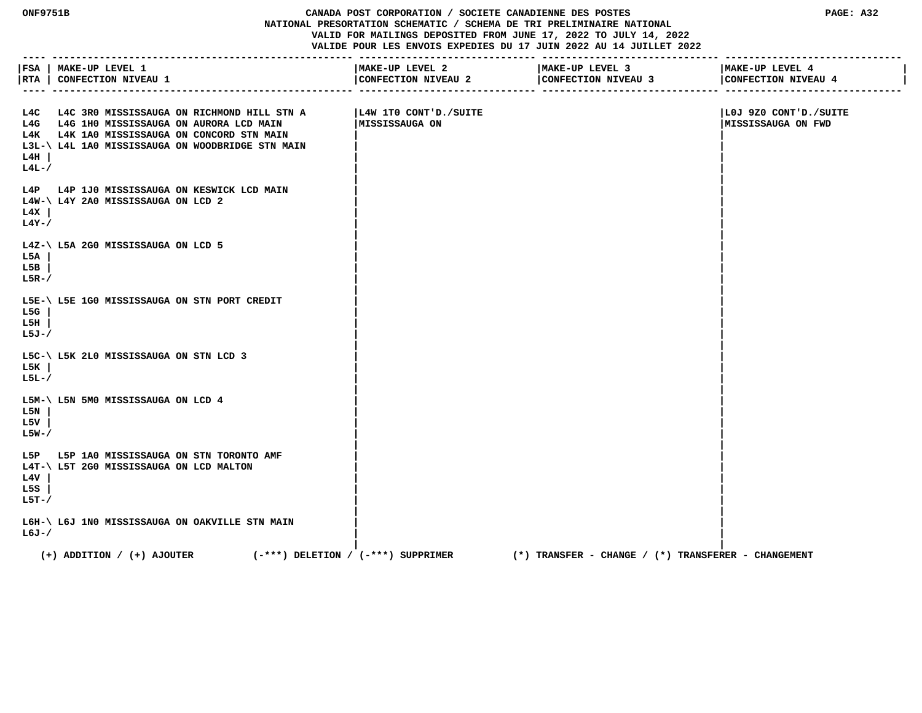## **ONF9751B CANADA POST CORPORATION / SOCIETE CANADIENNE DES POSTES PAGE: A32 NATIONAL PRESORTATION SCHEMATIC / SCHEMA DE TRI PRELIMINAIRE NATIONAL VALID FOR MAILINGS DEPOSITED FROM JUNE 17, 2022 TO JULY 14, 2022 VALIDE POUR LES ENVOIS EXPEDIES DU 17 JUIN 2022 AU 14 JUILLET 2022**

|                      | FSA   MAKE-UP LEVEL 1<br> RTA   CONFECTION NIVEAU 1                                                                                                                                             | -----------------------------<br>MAKE-UP LEVEL 2<br>CONFECTION NIVEAU 2 | _______________________________<br>MAKE-UP LEVEL 3<br>CONFECTION NIVEAU 3 | MAKE-UP LEVEL 4<br>CONFECTION NIVEAU 4             |
|----------------------|-------------------------------------------------------------------------------------------------------------------------------------------------------------------------------------------------|-------------------------------------------------------------------------|---------------------------------------------------------------------------|----------------------------------------------------|
| L4H<br>$L4L-$        | L4C L4C 3R0 MISSISSAUGA ON RICHMOND HILL STN A<br>L4G L4G 1H0 MISSISSAUGA ON AURORA LCD MAIN<br>L4K L4K 1A0 MISSISSAUGA ON CONCORD STN MAIN<br>L3L-\ L4L 1A0 MISSISSAUGA ON WOODBRIDGE STN MAIN | L4W 1TO CONT'D./SUITE<br>MISSISSAUGA ON                                 |                                                                           | LOJ 9Z0 CONT'D./SUITE<br><b>MISSISSAUGA ON FWD</b> |
| L4X<br>$L4Y-$ /      | L4P L4P 1J0 MISSISSAUGA ON KESWICK LCD MAIN<br>L4W-\ L4Y 2A0 MISSISSAUGA ON LCD 2                                                                                                               |                                                                         |                                                                           |                                                    |
| L5A<br>L5B<br>$L5R-$ | L4Z-\ L5A 2G0 MISSISSAUGA ON LCD 5                                                                                                                                                              |                                                                         |                                                                           |                                                    |
| L5G<br>L5H<br>L5J-/  | L5E-\ L5E 1G0 MISSISSAUGA ON STN PORT CREDIT                                                                                                                                                    |                                                                         |                                                                           |                                                    |
| L5K<br>$L5L-7$       | L5C-\ L5K 2L0 MISSISSAUGA ON STN LCD 3                                                                                                                                                          |                                                                         |                                                                           |                                                    |
| L5N<br>L5V<br>L5W-/  | L5M-\ L5N 5M0 MISSISSAUGA ON LCD 4                                                                                                                                                              |                                                                         |                                                                           |                                                    |
| L4V<br>L5S<br>L5T-/  | L5P L5P 1A0 MISSISSAUGA ON STN TORONTO AMF<br>L4T-\ L5T 2G0 MISSISSAUGA ON LCD MALTON                                                                                                           |                                                                         |                                                                           |                                                    |
| $L6J - /$            | L6H-\ L6J 1N0 MISSISSAUGA ON OAKVILLE STN MAIN                                                                                                                                                  |                                                                         |                                                                           |                                                    |
|                      | $(+)$ ADDITION / $(+)$ AJOUTER                                                                                                                                                                  | $(-***)$ DELETION / $(-***)$ SUPPRIMER                                  | (*) TRANSFER - CHANGE / (*) TRANSFERER - CHANGEMENT                       |                                                    |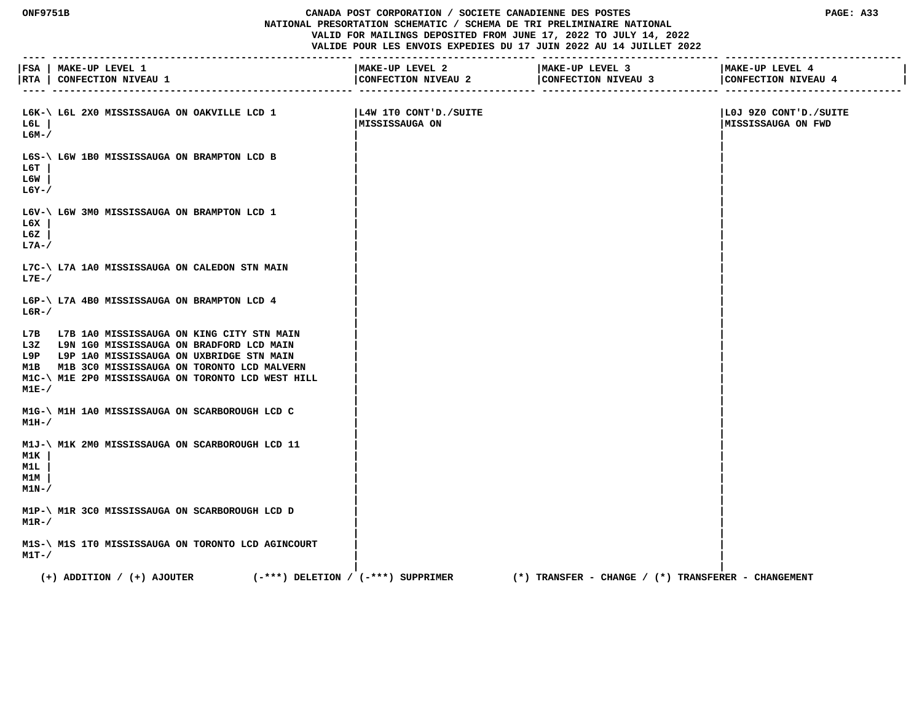## **ONF9751B CANADA POST CORPORATION / SOCIETE CANADIENNE DES POSTES PAGE: A33 NATIONAL PRESORTATION SCHEMATIC / SCHEMA DE TRI PRELIMINAIRE NATIONAL VALID FOR MAILINGS DEPOSITED FROM JUNE 17, 2022 TO JULY 14, 2022 VALIDE POUR LES ENVOIS EXPEDIES DU 17 JUIN 2022 AU 14 JUILLET 2022**

|                            | FSA   MAKE-UP LEVEL 1<br> RTA   CONFECTION NIVEAU 1<br>_____ ______________________                                                                                                                                                                   | MAKE-UP LEVEL 2<br>CONFECTION NIVEAU 2  | MAKE-UP LEVEL 3<br>CONFECTION NIVEAU 3                  | MAKE-UP LEVEL 4<br>CONFECTION NIVEAU 4            |
|----------------------------|-------------------------------------------------------------------------------------------------------------------------------------------------------------------------------------------------------------------------------------------------------|-----------------------------------------|---------------------------------------------------------|---------------------------------------------------|
| L6L<br>L6M-/               | L6K-\ L6L 2X0 MISSISSAUGA ON OAKVILLE LCD 1                                                                                                                                                                                                           | L4W 1TO CONT'D./SUITE<br>MISSISSAUGA ON |                                                         | SUITE OUT 920 CONT'D./SUITE<br>MISSISSAUGA ON FWD |
| ьбт<br>L6W<br>$L6Y-$ /     | L6S-\ L6W 1B0 MISSISSAUGA ON BRAMPTON LCD B                                                                                                                                                                                                           |                                         |                                                         |                                                   |
| L6X<br>L6Z<br>L7A-/        | L6V-\ L6W 3M0 MISSISSAUGA ON BRAMPTON LCD 1                                                                                                                                                                                                           |                                         |                                                         |                                                   |
| L7E-/                      | L7C-\ L7A 1A0 MISSISSAUGA ON CALEDON STN MAIN                                                                                                                                                                                                         |                                         |                                                         |                                                   |
| $L6R-$                     | L6P-\ L7A 4B0 MISSISSAUGA ON BRAMPTON LCD 4                                                                                                                                                                                                           |                                         |                                                         |                                                   |
| M1E-/                      | L7B L7B 1A0 MISSISSAUGA ON KING CITY STN MAIN<br>L3Z L9N 1G0 MISSISSAUGA ON BRADFORD LCD MAIN<br>L9P L9P 1A0 MISSISSAUGA ON UXBRIDGE STN MAIN<br>M1B M1B 3C0 MISSISSAUGA ON TORONTO LCD MALVERN<br>M1C-\ M1E 2P0 MISSISSAUGA ON TORONTO LCD WEST HILL |                                         |                                                         |                                                   |
| $M1H-$                     | M1G-\ M1H 1A0 MISSISSAUGA ON SCARBOROUGH LCD C                                                                                                                                                                                                        |                                         |                                                         |                                                   |
| M1K<br>M1L<br>M1M<br>M1N-/ | M1J-\ M1K 2M0 MISSISSAUGA ON SCARBOROUGH LCD 11                                                                                                                                                                                                       |                                         |                                                         |                                                   |
| $M1R-$ /                   | M1P-\ M1R 3C0 MISSISSAUGA ON SCARBOROUGH LCD D                                                                                                                                                                                                        |                                         |                                                         |                                                   |
| M1T-/                      | M1S-\ M1S 1T0 MISSISSAUGA ON TORONTO LCD AGINCOURT                                                                                                                                                                                                    |                                         |                                                         |                                                   |
|                            | $(+)$ ADDITION / $(+)$ AJOUTER<br>$(-***)$ DELETION / $(-***)$ SUPPRIMER                                                                                                                                                                              |                                         | $(*)$ TRANSFER - CHANGE / $(*)$ TRANSFERER - CHANGEMENT |                                                   |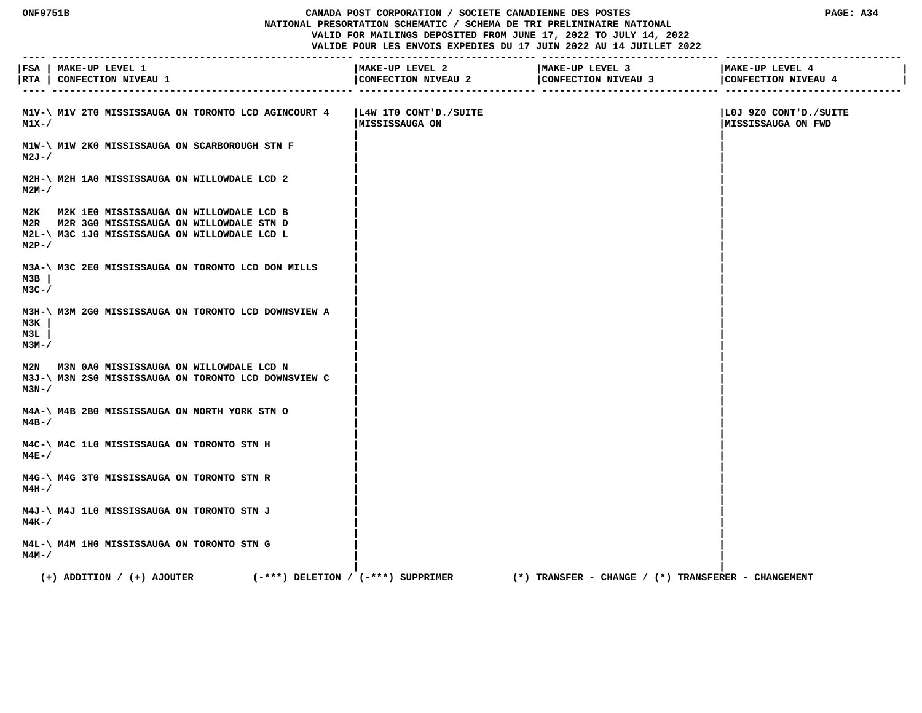## **ONF9751B CANADA POST CORPORATION / SOCIETE CANADIENNE DES POSTES PAGE: A34 NATIONAL PRESORTATION SCHEMATIC / SCHEMA DE TRI PRELIMINAIRE NATIONAL VALID FOR MAILINGS DEPOSITED FROM JUNE 17, 2022 TO JULY 14, 2022 VALIDE POUR LES ENVOIS EXPEDIES DU 17 JUIN 2022 AU 14 JUILLET 2022**

|                         | FSA   MAKE-UP LEVEL 1<br> RTA   CONFECTION NIVEAU 1                                                                                         | MAKE-UP LEVEL 2<br>CONFECTION NIVEAU 2   | MAKE-UP LEVEL 3<br>CONFECTION NIVEAU 3                  | MAKE-UP LEVEL 4<br>CONFECTION NIVEAU 4       |
|-------------------------|---------------------------------------------------------------------------------------------------------------------------------------------|------------------------------------------|---------------------------------------------------------|----------------------------------------------|
| $M1X-$                  | M1V-\ M1V 2T0 MISSISSAUGA ON TORONTO LCD AGINCOURT 4                                                                                        | L4W 1TO CONT'D./SUITE<br> MISSISSAUGA ON |                                                         | LOJ 9Z0 CONT'D./SUITE<br> MISSISSAUGA ON FWD |
| $M2J - /$               | M1W-\ M1W 2K0 MISSISSAUGA ON SCARBOROUGH STN F                                                                                              |                                          |                                                         |                                              |
| $M2M-$ /                | M2H-\ M2H 1A0 MISSISSAUGA ON WILLOWDALE LCD 2                                                                                               |                                          |                                                         |                                              |
| $M2P-$                  | M2K M2K 1E0 MISSISSAUGA ON WILLOWDALE LCD B<br>M2R M2R 3G0 MISSISSAUGA ON WILLOWDALE STN D<br>M2L-\ M3C 1J0 MISSISSAUGA ON WILLOWDALE LCD L |                                          |                                                         |                                              |
| мзв<br>$M3C-$ /         | M3A-\ M3C 2E0 MISSISSAUGA ON TORONTO LCD DON MILLS                                                                                          |                                          |                                                         |                                              |
| мзк<br>мзт.<br>$M3M-$ / | M3H-\ M3M 2G0 MISSISSAUGA ON TORONTO LCD DOWNSVIEW A                                                                                        |                                          |                                                         |                                              |
| $M3N-$                  | M2N M3N 0A0 MISSISSAUGA ON WILLOWDALE LCD N<br>M3J-\ M3N 2S0 MISSISSAUGA ON TORONTO LCD DOWNSVIEW C                                         |                                          |                                                         |                                              |
| $M4B-$ /                | M4A-\ M4B 2B0 MISSISSAUGA ON NORTH YORK STN O                                                                                               |                                          |                                                         |                                              |
| $M4E-$                  | M4C-\ M4C 1L0 MISSISSAUGA ON TORONTO STN H                                                                                                  |                                          |                                                         |                                              |
| $M4H-$                  | M4G-\ M4G 3T0 MISSISSAUGA ON TORONTO STN R                                                                                                  |                                          |                                                         |                                              |
| $M4K-$ /                | M4J-\ M4J 1L0 MISSISSAUGA ON TORONTO STN J                                                                                                  |                                          |                                                         |                                              |
| $M4M-$ /                | M4L-\ M4M 1H0 MISSISSAUGA ON TORONTO STN G                                                                                                  |                                          |                                                         |                                              |
|                         | $(-***)$ DELETION / $(-***)$ SUPPRIMER<br>$(+)$ ADDITION / $(+)$ AJOUTER                                                                    |                                          | $(*)$ TRANSFER - CHANGE / $(*)$ TRANSFERER - CHANGEMENT |                                              |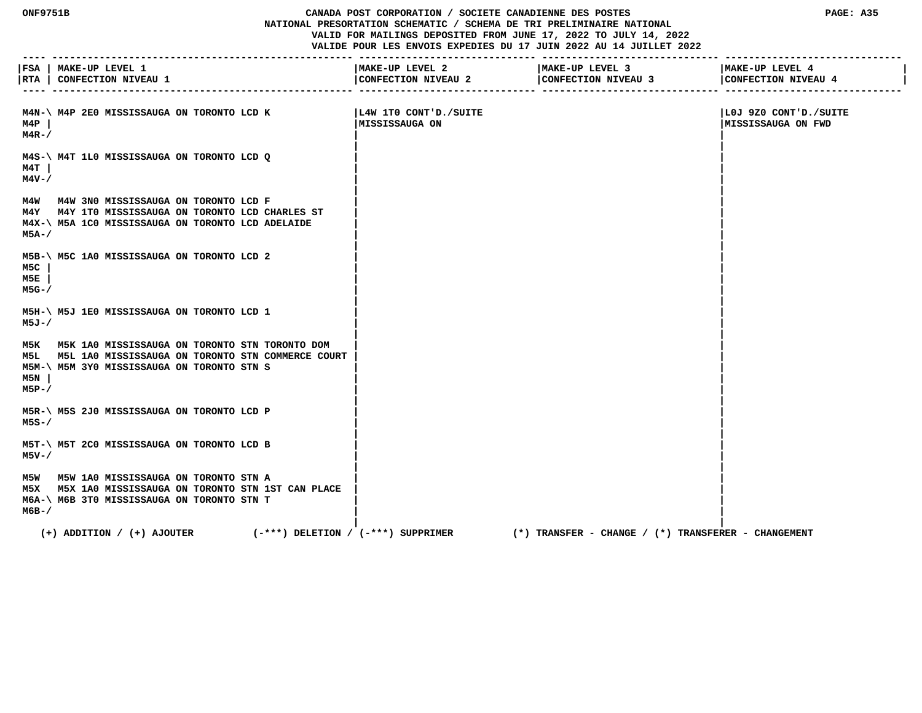## **ONF9751B CANADA POST CORPORATION / SOCIETE CANADIENNE DES POSTES PAGE: A35 NATIONAL PRESORTATION SCHEMATIC / SCHEMA DE TRI PRELIMINAIRE NATIONAL VALID FOR MAILINGS DEPOSITED FROM JUNE 17, 2022 TO JULY 14, 2022 VALIDE POUR LES ENVOIS EXPEDIES DU 17 JUIN 2022 AU 14 JUILLET 2022**

|                         | FSA   MAKE-UP LEVEL 1<br> RTA   CONFECTION NIVEAU 1                                                                                                       | MAKE-UP LEVEL 2<br>CONFECTION NIVEAU 2  | MAKE-UP LEVEL 3<br>CONFECTION NIVEAU 3              | MAKE-UP LEVEL 4<br>CONFECTION NIVEAU 4             |
|-------------------------|-----------------------------------------------------------------------------------------------------------------------------------------------------------|-----------------------------------------|-----------------------------------------------------|----------------------------------------------------|
| M4P<br>$M4R-$ /         | M4N-\ M4P 2E0 MISSISSAUGA ON TORONTO LCD K                                                                                                                | L4W 1TO CONT'D./SUITE<br>MISSISSAUGA ON |                                                     | LOJ 9Z0 CONT'D./SUITE<br><b>MISSISSAUGA ON FWD</b> |
| M4T<br>M4V-/            | M4S-\ M4T 1L0 MISSISSAUGA ON TORONTO LCD Q                                                                                                                |                                         |                                                     |                                                    |
| м5А-/                   | M4W M4W 3N0 MISSISSAUGA ON TORONTO LCD F<br>M4Y M4Y 1T0 MISSISSAUGA ON TORONTO LCD CHARLES ST<br>M4X-\ M5A 1C0 MISSISSAUGA ON TORONTO LCD ADELAIDE        |                                         |                                                     |                                                    |
| M5C<br>M5E<br>$M5G - /$ | M5B-\ M5C 1A0 MISSISSAUGA ON TORONTO LCD 2                                                                                                                |                                         |                                                     |                                                    |
| M5J-/                   | M5H-\ M5J 1E0 MISSISSAUGA ON TORONTO LCD 1                                                                                                                |                                         |                                                     |                                                    |
| M5N<br>$M5P-$ /         | M5K M5K 1A0 MISSISSAUGA ON TORONTO STN TORONTO DOM<br>M5L M5L 1A0 MISSISSAUGA ON TORONTO STN COMMERCE COURT<br>M5M-\ M5M 3Y0 MISSISSAUGA ON TORONTO STN S |                                         |                                                     |                                                    |
| $MSS-$                  | M5R-\ M5S 2J0 MISSISSAUGA ON TORONTO LCD P                                                                                                                |                                         |                                                     |                                                    |
| M5V-/                   | M5T-\ M5T 2C0 MISSISSAUGA ON TORONTO LCD B                                                                                                                |                                         |                                                     |                                                    |
| м6в-/                   | M5W M5W 1A0 MISSISSAUGA ON TORONTO STN A<br>M5X M5X 1A0 MISSISSAUGA ON TORONTO STN 1ST CAN PLACE<br>M6A-\ M6B 3T0 MISSISSAUGA ON TORONTO STN T            |                                         |                                                     |                                                    |
|                         | $(+)$ ADDITION / $(+)$ AJOUTER<br>(-***) DELETION / (-***) SUPPRIMER                                                                                      |                                         | (*) TRANSFER – CHANGE / (*) TRANSFERER – CHANGEMENT |                                                    |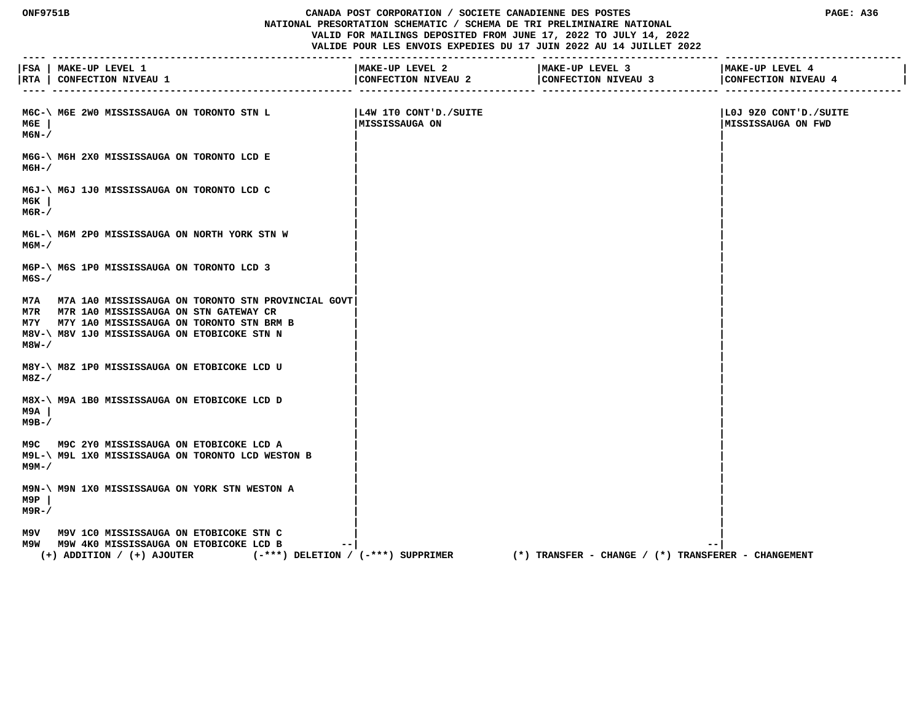## **ONF9751B CANADA POST CORPORATION / SOCIETE CANADIENNE DES POSTES PAGE: A36 NATIONAL PRESORTATION SCHEMATIC / SCHEMA DE TRI PRELIMINAIRE NATIONAL VALID FOR MAILINGS DEPOSITED FROM JUNE 17, 2022 TO JULY 14, 2022 VALIDE POUR LES ENVOIS EXPEDIES DU 17 JUIN 2022 AU 14 JUILLET 2022**

| $- - - -$       | FSA   MAKE-UP LEVEL 1<br> RTA   CONFECTION NIVEAU 1                                                                                                                                                 | MAKE-UP LEVEL 2<br>CONFECTION NIVEAU 2   | MAKE-UP LEVEL 3<br>CONFECTION NIVEAU 3                    | MAKE-UP LEVEL 4<br>CONFECTION NIVEAU 4       |
|-----------------|-----------------------------------------------------------------------------------------------------------------------------------------------------------------------------------------------------|------------------------------------------|-----------------------------------------------------------|----------------------------------------------|
| мбЕ<br>M6N-/    | M6C-\ M6E 2W0 MISSISSAUGA ON TORONTO STN L                                                                                                                                                          | L4W 1TO CONT'D./SUITE<br> MISSISSAUGA ON |                                                           | LOJ 9Z0 CONT'D./SUITE<br> MISSISSAUGA ON FWD |
| м6н-/           | M6G-\ M6H 2X0 MISSISSAUGA ON TORONTO LCD E                                                                                                                                                          |                                          |                                                           |                                              |
| м6к<br>$M6R-$ / | M6J-\ M6J 1J0 MISSISSAUGA ON TORONTO LCD C                                                                                                                                                          |                                          |                                                           |                                              |
| м6м–/           | M6L-\ M6M 2P0 MISSISSAUGA ON NORTH YORK STN W                                                                                                                                                       |                                          |                                                           |                                              |
| M6S-/           | M6P-\ M6S 1P0 MISSISSAUGA ON TORONTO LCD 3                                                                                                                                                          |                                          |                                                           |                                              |
| M8W-/           | M7A M7A 1A0 MISSISSAUGA ON TORONTO STN PROVINCIAL GOVT<br>M7R M7R 1A0 MISSISSAUGA ON STN GATEWAY CR<br>M7Y M7Y 1A0 MISSISSAUGA ON TORONTO STN BRM B<br>M8V-\ M8V 1J0 MISSISSAUGA ON ETOBICOKE STN N |                                          |                                                           |                                              |
| M8Z-/           | M8Y-\ M8Z 1P0 MISSISSAUGA ON ETOBICOKE LCD U                                                                                                                                                        |                                          |                                                           |                                              |
| M9A<br>м9в-/    | M8X-\ M9A 1B0 MISSISSAUGA ON ETOBICOKE LCD D                                                                                                                                                        |                                          |                                                           |                                              |
| м9м– /          | M9C M9C 2Y0 MISSISSAUGA ON ETOBICOKE LCD A<br>M9L-\ M9L 1X0 MISSISSAUGA ON TORONTO LCD WESTON B                                                                                                     |                                          |                                                           |                                              |
| M9P<br>$M9R-$ / | M9N-\ M9N 1X0 MISSISSAUGA ON YORK STN WESTON A                                                                                                                                                      |                                          |                                                           |                                              |
|                 | M9V M9V 1C0 MISSISSAUGA ON ETOBICOKE STN C<br>M9W M9W 4K0 MISSISSAUGA ON ETOBICOKE LCD B<br>$- -$<br>(-***) DELETION / (-***) SUPPRIMER<br>$(+)$ ADDITION / $(+)$ AJOUTER                           |                                          | --<br>(*) TRANSFER - CHANGE / (*) TRANSFERER - CHANGEMENT |                                              |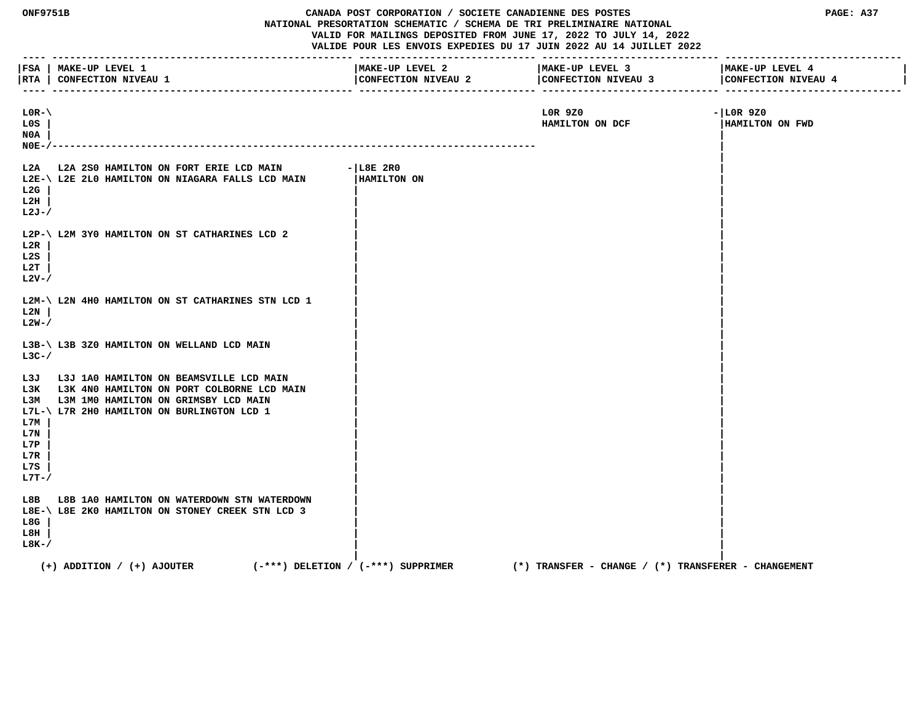| <b>ONF9751B</b>                                                  |                                                                                                                                                                             | CANADA POST CORPORATION / SOCIETE CANADIENNE DES POSTES<br>NATIONAL PRESORTATION SCHEMATIC / SCHEMA DE TRI PRELIMINAIRE NATIONAL<br>VALID FOR MAILINGS DEPOSITED FROM JUNE 17, 2022 TO JULY 14, 2022<br>VALIDE POUR LES ENVOIS EXPEDIES DU 17 JUIN 2022 AU 14 JUILLET 2022 | PAGE: A37                                               |                                        |
|------------------------------------------------------------------|-----------------------------------------------------------------------------------------------------------------------------------------------------------------------------|----------------------------------------------------------------------------------------------------------------------------------------------------------------------------------------------------------------------------------------------------------------------------|---------------------------------------------------------|----------------------------------------|
| $- - - - -$                                                      | FSA   MAKE-UP LEVEL 1<br> RTA   CONFECTION NIVEAU 1                                                                                                                         | MAKE-UP LEVEL 2<br>CONFECTION NIVEAU 2                                                                                                                                                                                                                                     | MAKE-UP LEVEL 3<br>CONFECTION NIVEAU 3                  | MAKE-UP LEVEL 4<br>CONFECTION NIVEAU 4 |
| $LOR-\Lambda$<br>L0S<br>N0A<br>$NOE-$                            | ------------------------                                                                                                                                                    |                                                                                                                                                                                                                                                                            | LOR 9Z0<br>HAMILTON ON DCF                              | $- LOR9Z0$<br>HAMILTON ON FWD          |
| L2A<br>L2G<br>L2H<br>$L2J-$ /                                    | L2A 2S0 HAMILTON ON FORT ERIE LCD MAIN<br>L2E-\ L2E 2L0 HAMILTON ON NIAGARA FALLS LCD MAIN                                                                                  | $-$ L $8E$ 2RO<br>HAMILTON ON                                                                                                                                                                                                                                              |                                                         |                                        |
| L2R<br>L2S<br>L2T<br>$L2V-$                                      | L2P-\ L2M 3YO HAMILTON ON ST CATHARINES LCD 2                                                                                                                               |                                                                                                                                                                                                                                                                            |                                                         |                                        |
| L2N<br>$L2W-$                                                    | L2M-\ L2N 4H0 HAMILTON ON ST CATHARINES STN LCD 1                                                                                                                           |                                                                                                                                                                                                                                                                            |                                                         |                                        |
| $L3C-$                                                           | L3B-\ L3B 3Z0 HAMILTON ON WELLAND LCD MAIN                                                                                                                                  |                                                                                                                                                                                                                                                                            |                                                         |                                        |
| L3J<br>L3K<br>ьзм<br>L7M<br>L7N<br>L7P<br>L7R<br>L7S<br>$L7T-$ / | L3J 1A0 HAMILTON ON BEAMSVILLE LCD MAIN<br>L3K 4N0 HAMILTON ON PORT COLBORNE LCD MAIN<br>L3M 1MO HAMILTON ON GRIMSBY LCD MAIN<br>L7L-\ L7R 2H0 HAMILTON ON BURLINGTON LCD 1 |                                                                                                                                                                                                                                                                            |                                                         |                                        |
| L8B<br>L8G<br>L8H<br>$L8K-$                                      | L8B 1A0 HAMILTON ON WATERDOWN STN WATERDOWN<br>L8E-\ L8E 2K0 HAMILTON ON STONEY CREEK STN LCD 3                                                                             |                                                                                                                                                                                                                                                                            |                                                         |                                        |
|                                                                  | $(+)$ ADDITION / $(+)$ AJOUTER                                                                                                                                              | $(-***)$ DELETION / $(-***)$ SUPPRIMER                                                                                                                                                                                                                                     | $(*)$ TRANSFER - CHANGE / $(*)$ TRANSFERER - CHANGEMENT |                                        |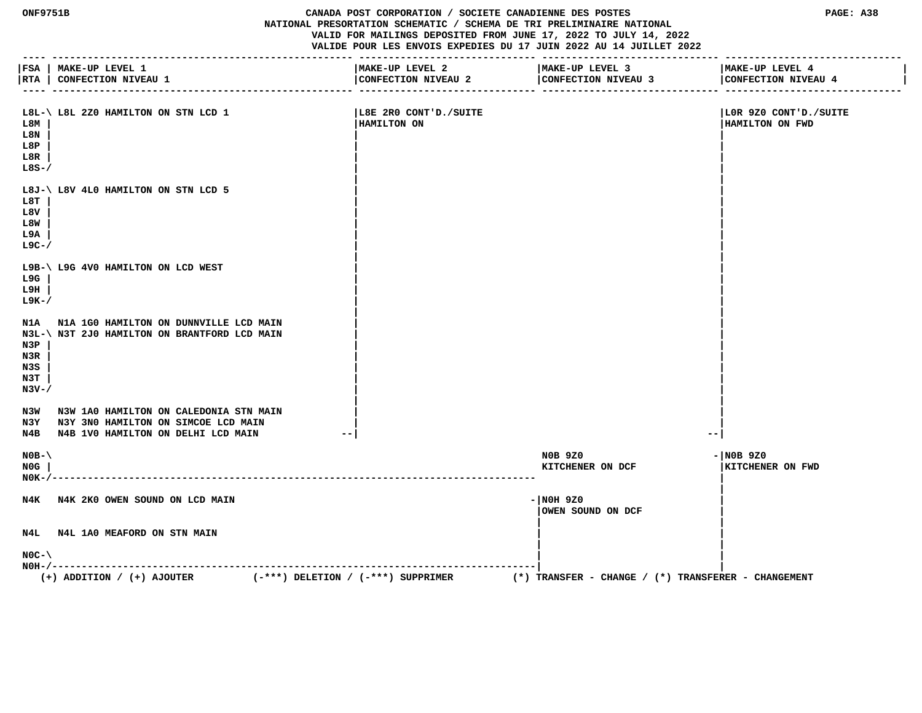#### **ONF9751B CANADA POST CORPORATION / SOCIETE CANADIENNE DES POSTES PAGE: A38 NATIONAL PRESORTATION SCHEMATIC / SCHEMA DE TRI PRELIMINAIRE NATIONAL VALID FOR MAILINGS DEPOSITED FROM JUNE 17, 2022 TO JULY 14, 2022 VALIDE POUR LES ENVOIS EXPEDIES DU 17 JUIN 2022 AU 14 JUILLET 2022**

 **---- --------------------------------------------------- ------------------------------ ------------------------------ ------------------------------ |FSA | MAKE-UP LEVEL 1 |MAKE-UP LEVEL 2 |MAKE-UP LEVEL 3 |MAKE-UP LEVEL 4 | |RTA | CONFECTION NIVEAU 1 |CONFECTION NIVEAU 2 |CONFECTION NIVEAU 3 |CONFECTION NIVEAU 4 | ---- --------------------------------------------------- ------------------------------ ------------------------------ ------------------------------ L8L-\ L8L 2Z0 HAMILTON ON STN LCD 1 |L8E 2R0 CONT'D./SUITE |L0R 9Z0 CONT'D./SUITE L8M | |HAMILTON ON |HAMILTON ON FWD L8N | | | L8P | | | L8R | | | L8S-/ | | | | L8J-\ L8V 4L0 HAMILTON ON STN LCD 5 | | L8T | | | L8V | | | L8W | | | L9A | | | L9C-/ | | | | L9B-\ L9G 4V0 HAMILTON ON LCD WEST | | L9G | | | L9H | | | L9K-/ | | | | N1A N1A 1G0 HAMILTON ON DUNNVILLE LCD MAIN | | N3L-\ N3T 2J0 HAMILTON ON BRANTFORD LCD MAIN | | N3P | | | N3R | | | N3S | | | N3T | | | N3V-/**  $\qquad \qquad$  **| | N3W N3W 1A0 HAMILTON ON CALEDONIA STN MAIN | | N3Y N3Y 3N0 HAMILTON ON SIMCOE LCD MAIN | | N4B N4B 1V0 HAMILTON ON DELHI LCD MAIN --| --| N0B-\ N0B 9Z0 -|N0B 9Z0 N0G | KITCHENER ON DCF |KITCHENER ON FWD N0K-/---------------------------------------------------------------------------------- | |** N4K N4K 2K0 OWEN SOUND ON LCD MAIN  **|OWEN SOUND ON DCF | | |** N4L N4L 1A0 MEAFORD ON STN MAIN  **| | N0C-\ | | N0H-/----------------------------------------------------------------------------------| | (+) ADDITION / (+) AJOUTER (-\*\*\*) DELETION / (-\*\*\*) SUPPRIMER (\*) TRANSFER - CHANGE / (\*) TRANSFERER - CHANGEMENT**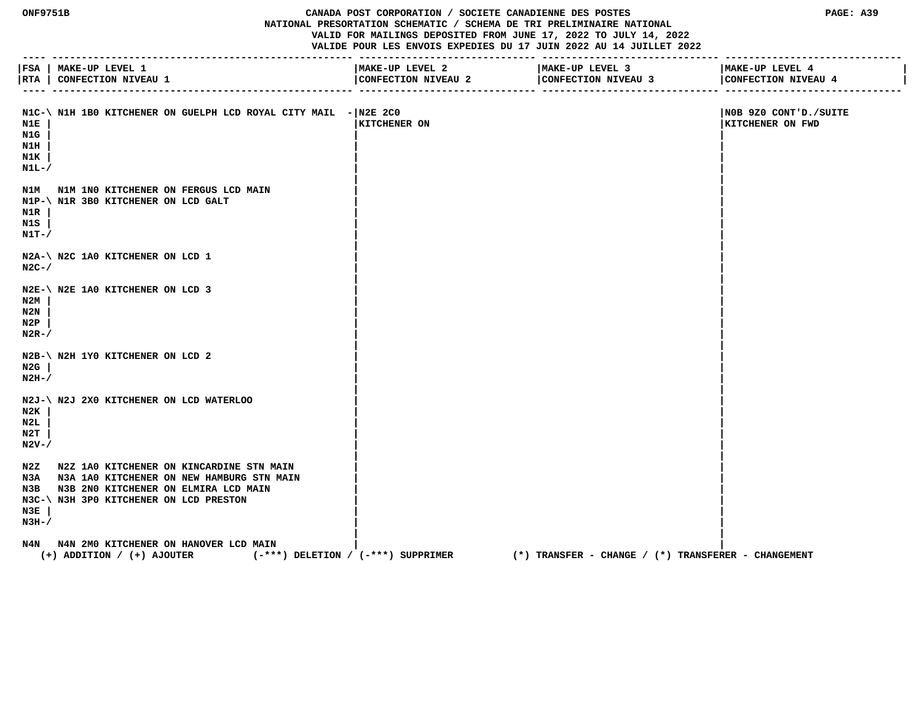#### **ONF9751B CANADA POST CORPORATION / SOCIETE CANADIENNE DES POSTES PAGE: A39 NATIONAL PRESORTATION SCHEMATIC / SCHEMA DE TRI PRELIMINAIRE NATIONAL VALID FOR MAILINGS DEPOSITED FROM JUNE 17, 2022 TO JULY 14, 2022 VALIDE POUR LES ENVOIS EXPEDIES DU 17 JUIN 2022 AU 14 JUILLET 2022**

 **---- --------------------------------------------------- ------------------------------ ------------------------------ ------------------------------ |FSA | MAKE-UP LEVEL 1 |MAKE-UP LEVEL 2 |MAKE-UP LEVEL 3 |MAKE-UP LEVEL 4 |** |RTA | CONFECTION NIVEAU 1 | CONFECTION NIVEAU 2 | CONFECTION NIVEAU 3 | CONFECTION NIVEAU 4  **---- --------------------------------------------------- ------------------------------ ------------------------------ ------------------------------** N1C-\ N1H 1B0 KITCHENER ON GUELPH LCD ROYAL CITY MAIL -|N2E 2C0 | NOB 9Z0 CONT'D./SUITE  **N1E | |KITCHENER ON |KITCHENER ON FWD N1G | | | N1H | | | N1K | | | N1L-/**  $\sqrt{2}$  **| |** N1M N1M 1N0 KITCHENER ON FERGUS LCD MAIN  **N1P-\ N1R 3B0 KITCHENER ON LCD GALT | | N1R | | | N1S | | | N1T-/ | | | | N2A-\ N2C 1A0 KITCHENER ON LCD 1**<br>N2C-/ **N2C-/**  $\sqrt{2\pi r}$  **| | N2E-\ N2E 1A0 KITCHENER ON LCD 3 | | N2M | | | N2N | | | N2P | | | N2R-/**  $\sqrt{ }$  **| | N2B-\ N2H 1Y0 KITCHENER ON LCD 2** N2G |  **N2G | | | N2H-/**  $\qquad$  |  **| | N2J-\ N2J 2X0 KITCHENER ON LCD WATERLOO | | N2K | | | N2L | | | N2T | | | N2V-/**  $\qquad \qquad$  **| |** N2Z N2Z 1A0 KITCHENER ON KINCARDINE STN MAIN N3A N3A 1A0 KITCHENER ON NEW HAMBURG STN MAIN  **N3B N3B 2N0 KITCHENER ON ELMIRA LCD MAIN | | N3C-\ N3H 3P0 KITCHENER ON LCD PRESTON | | N3E | | | N3H-/**  $\qquad$  |  **| |** N4N N4N 2M0 KITCHENER ON HANOVER LCD MAIN  **(+) ADDITION / (+) AJOUTER (-\*\*\*) DELETION / (-\*\*\*) SUPPRIMER (\*) TRANSFER - CHANGE / (\*) TRANSFERER - CHANGEMENT**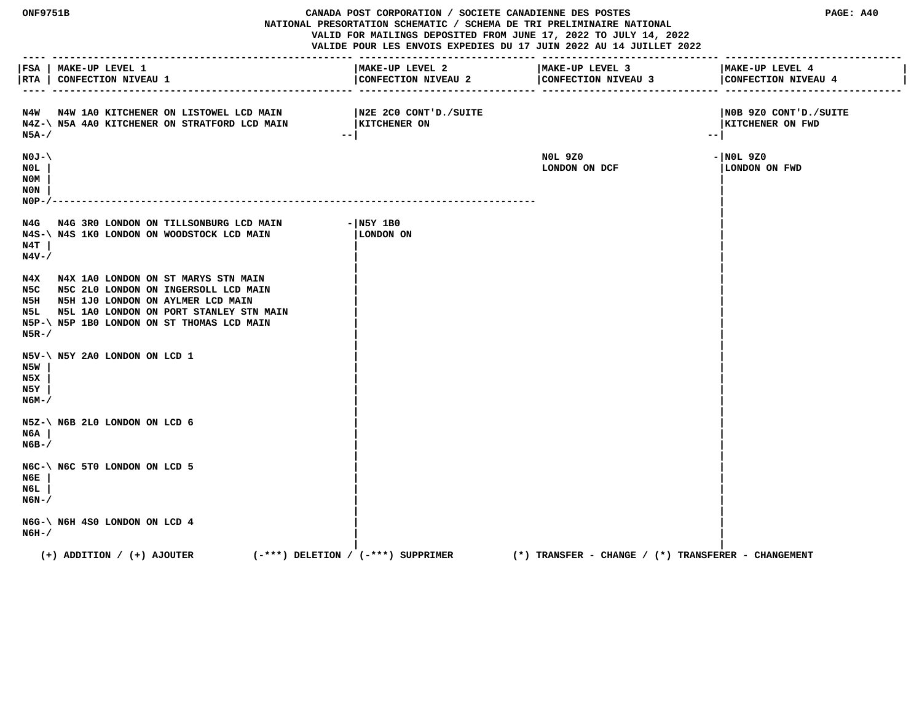**ONF9751B CANADA POST CORPORATION / SOCIETE CANADIENNE DES POSTES PAGE: A40 NATIONAL PRESORTATION SCHEMATIC / SCHEMA DE TRI PRELIMINAIRE NATIONAL VALID FOR MAILINGS DEPOSITED FROM JUNE 17, 2022 TO JULY 14, 2022 VALIDE POUR LES ENVOIS EXPEDIES DU 17 JUIN 2022 AU 14 JUILLET 2022 ---- --------------------------------------------------- ------------------------------ ------------------------------ ------------------------------ |FSA | MAKE-UP LEVEL 1 |MAKE-UP LEVEL 2 |MAKE-UP LEVEL 3 |MAKE-UP LEVEL 4 |** |RTA | CONFECTION NIVEAU 1 | CONFECTION NIVEAU 2 | CONFECTION NIVEAU 4 | CONFECTION NIVEAU 4 | CONFECTION NIVEAU 4 | CONFECTION NIVEAU 4 | CONFECTION NIVEAU 4  **---- --------------------------------------------------- ------------------------------ ------------------------------ ------------------------------ N4W N4W 1A0 KITCHENER ON LISTOWEL LCD MAIN |N2E 2C0 CONT'D./SUITE |N0B 9Z0 CONT'D./SUITE** N4Z-\ N5A 4A0 KITCHENER ON STRATFORD LCD MAIN |KITCHENER ON **|KITCHENER ON** |KITCHENER ON FWD  **N5A-/ --| --| N0J-\ N0L 9Z0 -|N0L 9Z0 N0L | LONDON ON DCF |LONDON ON FWD N0M | | N0N | | N0P-/---------------------------------------------------------------------------------- | |** N4G N4G 3R0 LONDON ON TILLSONBURG LCD MAIN - N5Y 1B0<br>N4S-\N4S 1K0 LONDON ON WOODSTOCK LCD MAIN | LONDON ON  **N4S-\ N4S 1K0 LONDON ON WOODSTOCK LCD MAIN |LONDON ON | N4T | | | N4V-/ | | | |** N4X N4X 1A0 LONDON ON ST MARYS STN MAIN  **N5C N5C 2L0 LONDON ON INGERSOLL LCD MAIN | | N5H N5H 1J0 LONDON ON AYLMER LCD MAIN | |** N5L N5L 1A0 LONDON ON PORT STANLEY STN MAIN  **N5P-\ N5P 1B0 LONDON ON ST THOMAS LCD MAIN | | N5R-/ | | | | N5V-\ N5Y 2A0 LONDON ON LCD 1 | | N5W | | | N5X | | | N5Y | | | N6M-/ | | | | N5Z-\ N6B 2L0 LONDON ON LCD 6 | | N6A | | | N6B-/ | | | | N6C-\ N6C 5T0 LONDON ON LCD 5 | | N6E | | | N6L | | | N6N-/ | | | | N6G-\ N6H 4S0 LONDON ON LCD 4**<br>N6H-/  **N6H-/ | | | | (+) ADDITION / (+) AJOUTER (-\*\*\*) DELETION / (-\*\*\*) SUPPRIMER (\*) TRANSFER - CHANGE / (\*) TRANSFERER - CHANGEMENT**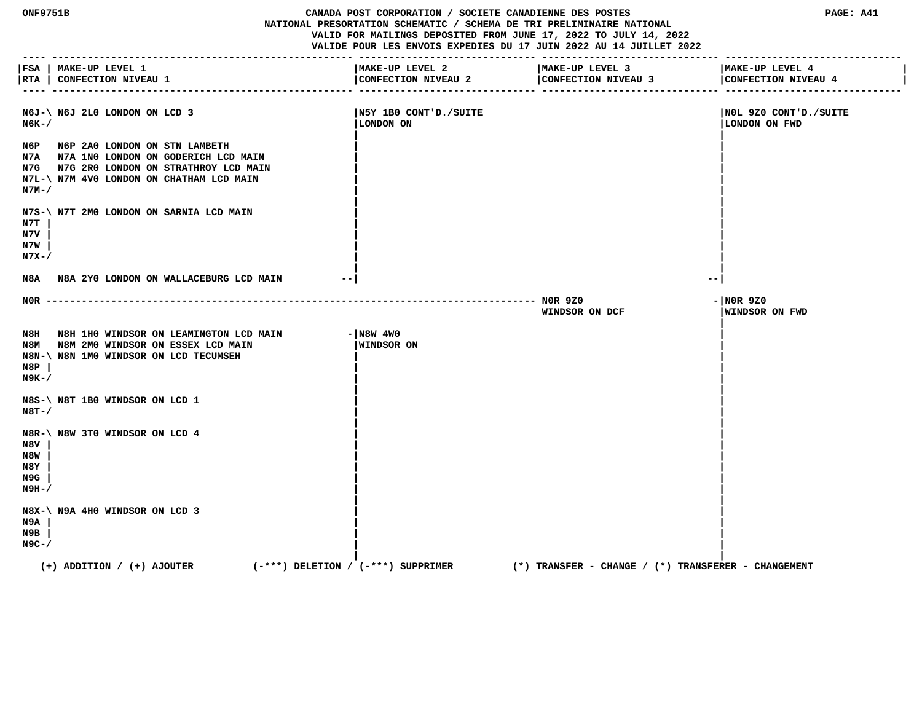**ONF9751B CANADA POST CORPORATION / SOCIETE CANADIENNE DES POSTES PAGE: A41 NATIONAL PRESORTATION SCHEMATIC / SCHEMA DE TRI PRELIMINAIRE NATIONAL VALID FOR MAILINGS DEPOSITED FROM JUNE 17, 2022 TO JULY 14, 2022 VALIDE POUR LES ENVOIS EXPEDIES DU 17 JUIN 2022 AU 14 JUILLET 2022 ---- --------------------------------------------------- ------------------------------ ------------------------------ ------------------------------ |FSA | MAKE-UP LEVEL 1 |MAKE-UP LEVEL 2 |MAKE-UP LEVEL 3 |MAKE-UP LEVEL 4 |** |RTA | CONFECTION NIVEAU 1 | CONFECTION NIVEAU 2 | CONFECTION NIVEAU 4 | CONFECTION NIVEAU 4 | CONFECTION NIVEAU 4 | CONFECTION NIVEAU 4 | CONFECTION NIVEAU 4  **---- --------------------------------------------------- ------------------------------ ------------------------------ ------------------------------ N6J-\ N6J 2L0 LONDON ON LCD 3 |N5Y 1B0 CONT'D./SUITE |N0L 9Z0 CONT'D./SUITE N6K-/ |LONDON ON |LONDON ON FWD | | N6P N6P 2A0 LONDON ON STN LAMBETH | | N7A N7A 1N0 LONDON ON GODERICH LCD MAIN | | N7G N7G 2R0 LONDON ON STRATHROY LCD MAIN | | N7L-\ N7M 4V0 LONDON ON CHATHAM LCD MAIN | | N7M-/ | | | | N7S-\ N7T 2M0 LONDON ON SARNIA LCD MAIN | | N7T | | | N7V | | | N7W | | | N7X-/ | | | | N8A N8A 2Y0 LONDON ON WALLACEBURG LCD MAIN --| --| N0R ----------------------------------------------------------------------------------- N0R 9Z0 -|N0R 9Z0 WINDSOR ON DCF |WINDSOR ON FWD | N8H N8H 1H0 WINDSOR ON LEAMINGTON LCD MAIN - N8W 4W0 N8M N8M 2M0 WINDSOR ON ESSEX LCD MAIN |WINDSOR ON | N8N-\ N8N 1M0 WINDSOR ON LCD TECUMSEH | | N8P | | | N9K-/ | | | | N8S-\ N8T 1B0 WINDSOR ON LCD 1 | | N8T-/ | | | | N8R-\ N8W 3T0 WINDSOR ON LCD 4 | | N8V | | | N8W | | | N8Y | | | N9G | | | N9H-/ | | | | N8X-\ N9A 4H0 WINDSOR ON LCD 3 | | N9A | | | N9B | | | N9C-/ | | | | (+) ADDITION / (+) AJOUTER (-\*\*\*) DELETION / (-\*\*\*) SUPPRIMER (\*) TRANSFER - CHANGE / (\*) TRANSFERER - CHANGEMENT**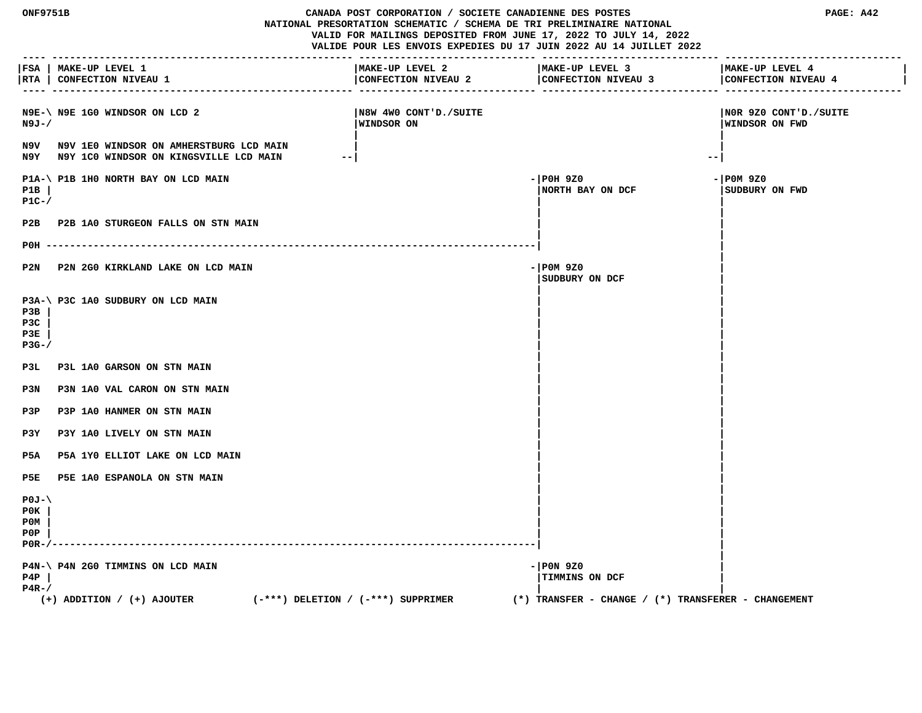**ONF9751B CANADA POST CORPORATION / SOCIETE CANADIENNE DES POSTES PAGE: A42 NATIONAL PRESORTATION SCHEMATIC / SCHEMA DE TRI PRELIMINAIRE NATIONAL VALID FOR MAILINGS DEPOSITED FROM JUNE 17, 2022 TO JULY 14, 2022 VALIDE POUR LES ENVOIS EXPEDIES DU 17 JUIN 2022 AU 14 JUILLET 2022 ---- --------------------------------------------------- ------------------------------ ------------------------------ ------------------------------ |FSA | MAKE-UP LEVEL 1 |MAKE-UP LEVEL 2 |MAKE-UP LEVEL 3 |MAKE-UP LEVEL 4 |** | RTA | CONFECTION NIVEAU 1 | CONFECTION NIVEAU 2 | CONFECTION NIVEAU 4  **---- --------------------------------------------------- ------------------------------ ------------------------------ ------------------------------ N9E-\ N9E 1G0 WINDSOR ON LCD 2 |N8W 4W0 CONT'D./SUITE |N0R 9Z0 CONT'D./SUITE N9J-/ |WINDSOR ON |WINDSOR ON FWD | | N9V N9V 1E0 WINDSOR ON AMHERSTBURG LCD MAIN | | N9Y N9Y 1C0 WINDSOR ON KINGSVILLE LCD MAIN --| --| P1A-\ P1B 1H0 NORTH BAY ON LCD MAIN**  $-$  | P0H 9Z0  $-$  | P0H 9Z0  $-$  | P0M 9Z0  **P1B | |NORTH BAY ON DCF |SUDBURY ON FWD P1C-/ | | | |** P2B P2B 1A0 STURGEON FALLS ON STN MAIN  **| | P0H -----------------------------------------------------------------------------------| | |** P2N P2N 2G0 KIRKLAND LAKE ON LCD MAIN **Fig. 100 CD 200 P20**  $-$  P0M 9Z0  **|SUDBURY ON DCF | | | P3A-\ P3C 1A0 SUDBURY ON LCD MAIN | | P3B | | | P3C | | | P3E | | | P3G-/ | | | | P3L P3L 1A0 GARSON ON STN MAIN | |** P3N P3N 1A0 VAL CARON ON STN MAIN  **| | P3P P3P 1A0 HANMER ON STN MAIN | | P3Y P3Y 1A0 LIVELY ON STN MAIN | | P5A P5A 1Y0 ELLIOT LAKE ON LCD MAIN | | | |** P5E P5E 1A0 ESPANOLA ON STN MAIN  **| | P0J-\ | | P0K | | | P0M | | | P0P | | | P0R-/----------------------------------------------------------------------------------| | | P4N-\ P4N 2G0 TIMMINS ON LCD MAIN**  $-$  |P0N 9Z0  **P4P | |TIMMINS ON DCF | P4R-/ | | (+) ADDITION / (+) AJOUTER (-\*\*\*) DELETION / (-\*\*\*) SUPPRIMER (\*) TRANSFER - CHANGE / (\*) TRANSFERER - CHANGEMENT**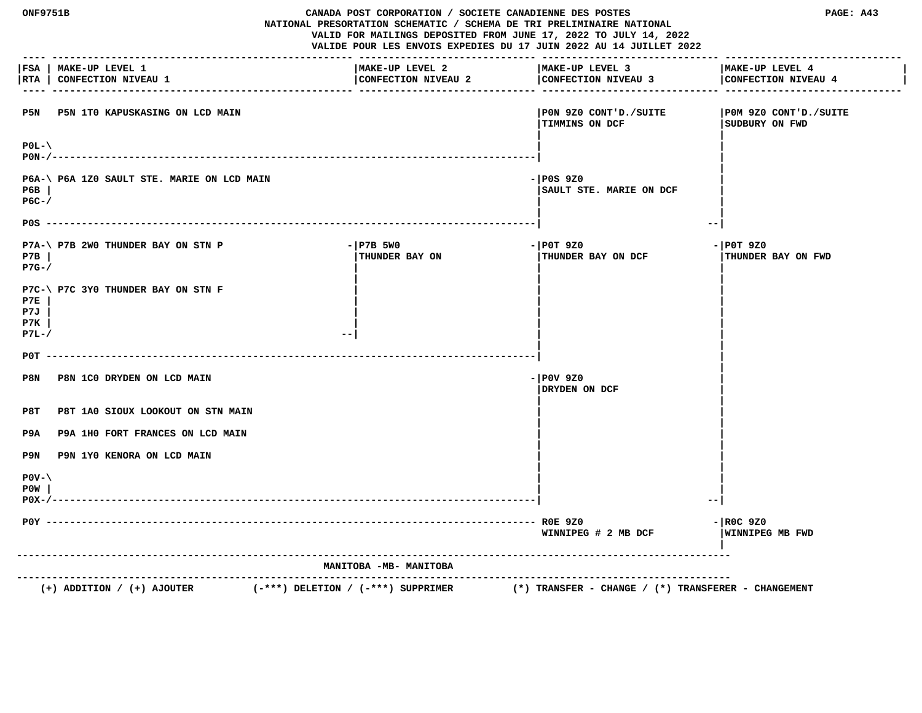| <b>ONF9751B</b><br>CANADA POST CORPORATION / SOCIETE CANADIENNE DES POSTES<br>NATIONAL PRESORTATION SCHEMATIC / SCHEMA DE TRI PRELIMINAIRE NATIONAL<br>VALID FOR MAILINGS DEPOSITED FROM JUNE 17, 2022 TO JULY 14, 2022<br>VALIDE POUR LES ENVOIS EXPEDIES DU 17 JUIN 2022 AU 14 JUILLET 2022 |                                                                          |                                        | PAGE: A43                                               |                                          |
|-----------------------------------------------------------------------------------------------------------------------------------------------------------------------------------------------------------------------------------------------------------------------------------------------|--------------------------------------------------------------------------|----------------------------------------|---------------------------------------------------------|------------------------------------------|
| RTA                                                                                                                                                                                                                                                                                           | FSA   MAKE-UP LEVEL 1<br>CONFECTION NIVEAU 1                             | MAKE-UP LEVEL 2<br>CONFECTION NIVEAU 2 | MAKE-UP LEVEL 3<br>CONFECTION NIVEAU 3                  | MAKE-UP LEVEL 4<br>CONFECTION NIVEAU 4   |
| P5N                                                                                                                                                                                                                                                                                           | P5N 1T0 KAPUSKASING ON LCD MAIN                                          |                                        | PON 9Z0 CONT'D./SUITE<br><b>TIMMINS ON DCF</b>          | POM 9Z0 CONT'D./SUITE<br>SUDBURY ON FWD  |
| $P0L-\$                                                                                                                                                                                                                                                                                       |                                                                          |                                        |                                                         |                                          |
| P6B<br>$PGC-$                                                                                                                                                                                                                                                                                 | P6A-\ P6A 1Z0 SAULT STE. MARIE ON LCD MAIN                               |                                        | - POS 9Z0<br>SAULT STE. MARIE ON DCF                    |                                          |
|                                                                                                                                                                                                                                                                                               |                                                                          |                                        | --                                                      |                                          |
| P7B<br>$P7G-$                                                                                                                                                                                                                                                                                 | P7A-\ P7B 2W0 THUNDER BAY ON STN P                                       | $-$ P7B 5W0<br>THUNDER BAY ON          | $-$ POT 9Z0<br>THUNDER BAY ON DCF                       | $-$ POT 9Z0<br><b>THUNDER BAY ON FWD</b> |
| P7E<br>P7J<br>P7K<br>$P7L-J$                                                                                                                                                                                                                                                                  | P7C-\ P7C 3Y0 THUNDER BAY ON STN F                                       | $ -$                                   |                                                         |                                          |
|                                                                                                                                                                                                                                                                                               |                                                                          |                                        |                                                         |                                          |
| P8N                                                                                                                                                                                                                                                                                           | P8N 1C0 DRYDEN ON LCD MAIN                                               |                                        | $-$ POV 9Z0<br>DRYDEN ON DCF                            |                                          |
| P8T                                                                                                                                                                                                                                                                                           | P8T 1A0 SIOUX LOOKOUT ON STN MAIN                                        |                                        |                                                         |                                          |
| P9A                                                                                                                                                                                                                                                                                           | P9A 1H0 FORT FRANCES ON LCD MAIN                                         |                                        |                                                         |                                          |
| P9N                                                                                                                                                                                                                                                                                           | P9N 1Y0 KENORA ON LCD MAIN                                               |                                        |                                                         |                                          |
| $POV - \$<br>P0W                                                                                                                                                                                                                                                                              |                                                                          |                                        |                                                         |                                          |
|                                                                                                                                                                                                                                                                                               |                                                                          |                                        | WINNIPEG # 2 MB DCF                                     | $-$ ROC 9Z0<br>WINNIPEG MB FWD           |
|                                                                                                                                                                                                                                                                                               |                                                                          | MANITOBA -MB- MANITOBA                 |                                                         |                                          |
|                                                                                                                                                                                                                                                                                               | $(+)$ ADDITION / $(+)$ AJOUTER<br>$(-***)$ DELETION / $(-***)$ SUPPRIMER | .                                      | $(*)$ TRANSFER - CHANGE / $(*)$ TRANSFERER - CHANGEMENT |                                          |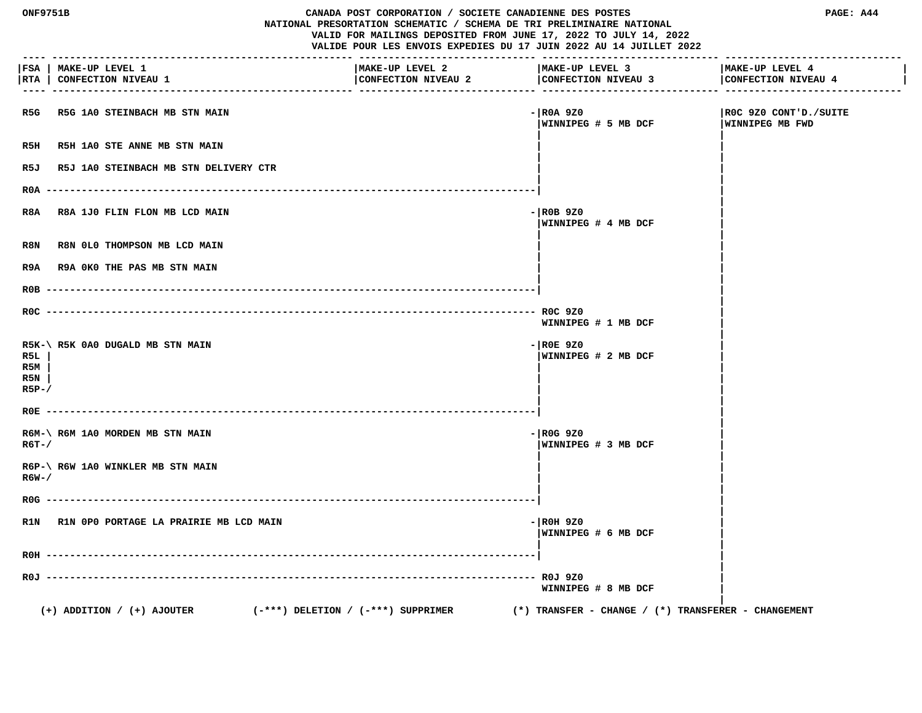| <b>ONF9751B</b><br>CANADA POST CORPORATION / SOCIETE CANADIENNE DES POSTES<br>NATIONAL PRESORTATION SCHEMATIC / SCHEMA DE TRI PRELIMINAIRE NATIONAL<br>VALID FOR MAILINGS DEPOSITED FROM JUNE 17, 2022 TO JULY 14, 2022<br>VALIDE POUR LES ENVOIS EXPEDIES DU 17 JUIN 2022 AU 14 JUILLET 2022 |                                                                          |                                        | PAGE: A44                                               |                                          |
|-----------------------------------------------------------------------------------------------------------------------------------------------------------------------------------------------------------------------------------------------------------------------------------------------|--------------------------------------------------------------------------|----------------------------------------|---------------------------------------------------------|------------------------------------------|
|                                                                                                                                                                                                                                                                                               | FSA   MAKE-UP LEVEL 1<br> RTA   CONFECTION NIVEAU 1                      | MAKE-UP LEVEL 2<br>CONFECTION NIVEAU 2 | MAKE-UP LEVEL 3<br>CONFECTION NIVEAU 3                  | MAKE-UP LEVEL 4<br>CONFECTION NIVEAU 4   |
| R5G                                                                                                                                                                                                                                                                                           | R5G 1A0 STEINBACH MB STN MAIN                                            |                                        | - ROA 9Z0<br>WINNIPEG # 5 MB DCF                        | ROC 9Z0 CONT'D./SUITE<br>WINNIPEG MB FWD |
| R5H                                                                                                                                                                                                                                                                                           | R5H 1A0 STE ANNE MB STN MAIN                                             |                                        |                                                         |                                          |
| R5J                                                                                                                                                                                                                                                                                           | R5J 1A0 STEINBACH MB STN DELIVERY CTR                                    |                                        |                                                         |                                          |
|                                                                                                                                                                                                                                                                                               | R0A ---------                                                            |                                        |                                                         |                                          |
| R8A                                                                                                                                                                                                                                                                                           | R8A 1J0 FLIN FLON MB LCD MAIN                                            |                                        | $ R0B$ 920<br>WINNIPEG # 4 MB DCF                       |                                          |
| R8N                                                                                                                                                                                                                                                                                           | R8N 0L0 THOMPSON MB LCD MAIN                                             |                                        |                                                         |                                          |
| R9A                                                                                                                                                                                                                                                                                           | R9A OKO THE PAS MB STN MAIN                                              |                                        |                                                         |                                          |
| $ROB$ -------                                                                                                                                                                                                                                                                                 |                                                                          |                                        |                                                         |                                          |
|                                                                                                                                                                                                                                                                                               |                                                                          |                                        | WINNIPEG # 1 MB DCF                                     |                                          |
| R5L<br>R5M<br>R5N<br>$R5P-$                                                                                                                                                                                                                                                                   | R5K-\ R5K 0A0 DUGALD MB STN MAIN                                         |                                        | $ R0E$ 920<br>WINNIPEG # 2 MB DCF                       |                                          |
| ROE                                                                                                                                                                                                                                                                                           |                                                                          |                                        |                                                         |                                          |
| $R6T - /$                                                                                                                                                                                                                                                                                     | R6M-\ R6M 1A0 MORDEN MB STN MAIN                                         |                                        | $-$ ROG 9Z0<br>WINNIPEG # 3 MB DCF                      |                                          |
| R6W-/                                                                                                                                                                                                                                                                                         | R6P-\ R6W 1A0 WINKLER MB STN MAIN                                        |                                        |                                                         |                                          |
| $ROG$ ---                                                                                                                                                                                                                                                                                     |                                                                          |                                        |                                                         |                                          |
|                                                                                                                                                                                                                                                                                               | R1N R1N OPO PORTAGE LA PRAIRIE MB LCD MAIN                               |                                        | $-$ ROH 9Z0<br>WINNIPEG # 6 MB DCF                      |                                          |
| $ROH -$                                                                                                                                                                                                                                                                                       |                                                                          |                                        |                                                         |                                          |
| ROJ --                                                                                                                                                                                                                                                                                        |                                                                          |                                        | ROJ 9Z0<br>WINNIPEG # 8 MB DCF                          |                                          |
|                                                                                                                                                                                                                                                                                               | $(+)$ ADDITION / $(+)$ AJOUTER<br>$(-***)$ DELETION / $(-***)$ SUPPRIMER |                                        | $(*)$ TRANSFER - CHANGE / $(*)$ TRANSFERER - CHANGEMENT |                                          |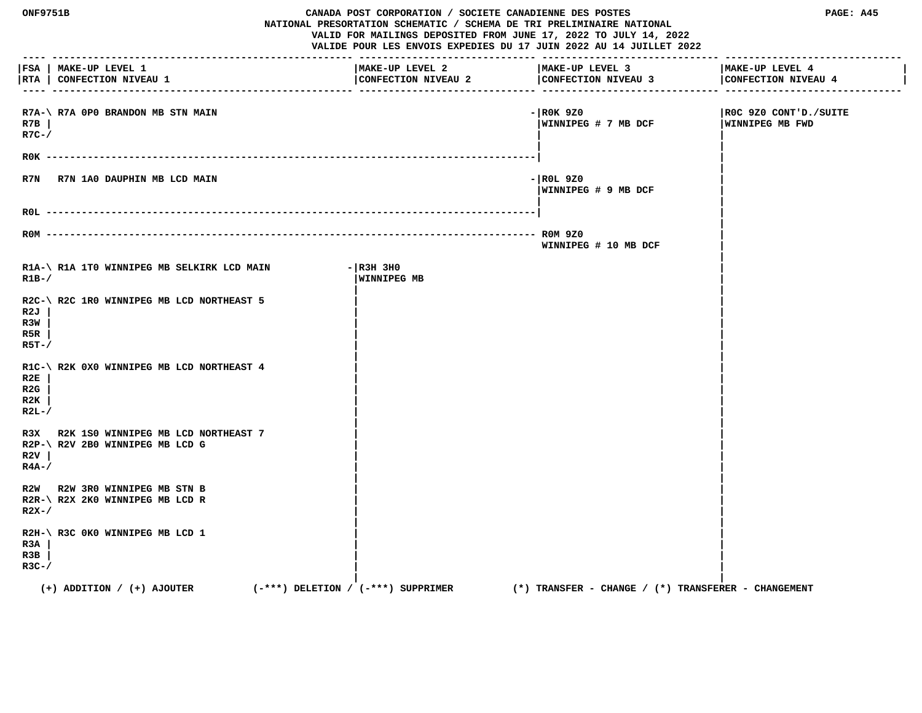| ONF9751B                    |                                                                        | CANADA POST CORPORATION / SOCIETE CANADIENNE DES POSTES<br>NATIONAL PRESORTATION SCHEMATIC / SCHEMA DE TRI PRELIMINAIRE NATIONAL<br>VALID FOR MAILINGS DEPOSITED FROM JUNE 17, 2022 TO JULY 14, 2022<br>VALIDE POUR LES ENVOIS EXPEDIES DU 17 JUIN 2022 AU 14 JUILLET 2022 |                                                         | PAGE: A45                                |
|-----------------------------|------------------------------------------------------------------------|----------------------------------------------------------------------------------------------------------------------------------------------------------------------------------------------------------------------------------------------------------------------------|---------------------------------------------------------|------------------------------------------|
|                             | FSA   MAKE-UP LEVEL 1<br> RTA   CONFECTION NIVEAU 1                    | MAKE-UP LEVEL 2<br>CONFECTION NIVEAU 2                                                                                                                                                                                                                                     | MAKE-UP LEVEL 3<br>CONFECTION NIVEAU 3                  | MAKE-UP LEVEL 4<br>CONFECTION NIVEAU 4   |
| R7B<br>$R7C-$ /             | R7A-\ R7A OPO BRANDON MB STN MAIN                                      |                                                                                                                                                                                                                                                                            | $-$ ROK 9Z0<br> WINNIPEG # 7 MB DCF                     | ROC 9Z0 CONT'D./SUITE<br>WINNIPEG MB FWD |
|                             |                                                                        |                                                                                                                                                                                                                                                                            |                                                         |                                          |
| R7N                         | R7N 1A0 DAUPHIN MB LCD MAIN                                            |                                                                                                                                                                                                                                                                            | - ROL 9Z0<br>WINNIPEG # 9 MB DCF                        |                                          |
|                             |                                                                        |                                                                                                                                                                                                                                                                            |                                                         |                                          |
|                             | $ROM$ ----------                                                       |                                                                                                                                                                                                                                                                            | WINNIPEG # 10 MB DCF                                    |                                          |
| $R1B-$                      | R1A-\R1A 1T0 WINNIPEG MB SELKIRK LCD MAIN                              | $ R3H$ 3HO<br>WINNIPEG MB                                                                                                                                                                                                                                                  |                                                         |                                          |
| R2J<br>R3W<br>R5R<br>R5T-/  | R2C-\R2C 1R0 WINNIPEG MB LCD NORTHEAST 5                               |                                                                                                                                                                                                                                                                            |                                                         |                                          |
| R2E<br>R2G<br>R2K<br>$R2L-$ | R1C-\R2K 0X0 WINNIPEG MB LCD NORTHEAST 4                               |                                                                                                                                                                                                                                                                            |                                                         |                                          |
| R3X<br>R2V<br>$R4A-$ /      | R2K 1S0 WINNIPEG MB LCD NORTHEAST 7<br>R2P-\ R2V 2B0 WINNIPEG MB LCD G |                                                                                                                                                                                                                                                                            |                                                         |                                          |
| $R2X-$                      | R2W R2W 3R0 WINNIPEG MB STN B<br>R2R-\ R2X 2K0 WINNIPEG MB LCD R       |                                                                                                                                                                                                                                                                            |                                                         |                                          |
| R3A<br>R3B<br>$R3C-$ /      | R2H-\ R3C 0K0 WINNIPEG MB LCD 1                                        |                                                                                                                                                                                                                                                                            |                                                         |                                          |
|                             | $(+)$ ADDITION / $(+)$ AJOUTER<br>(-***) DELETION / (-***) SUPPRIMER   |                                                                                                                                                                                                                                                                            | $(*)$ TRANSFER - CHANGE / $(*)$ TRANSFERER - CHANGEMENT |                                          |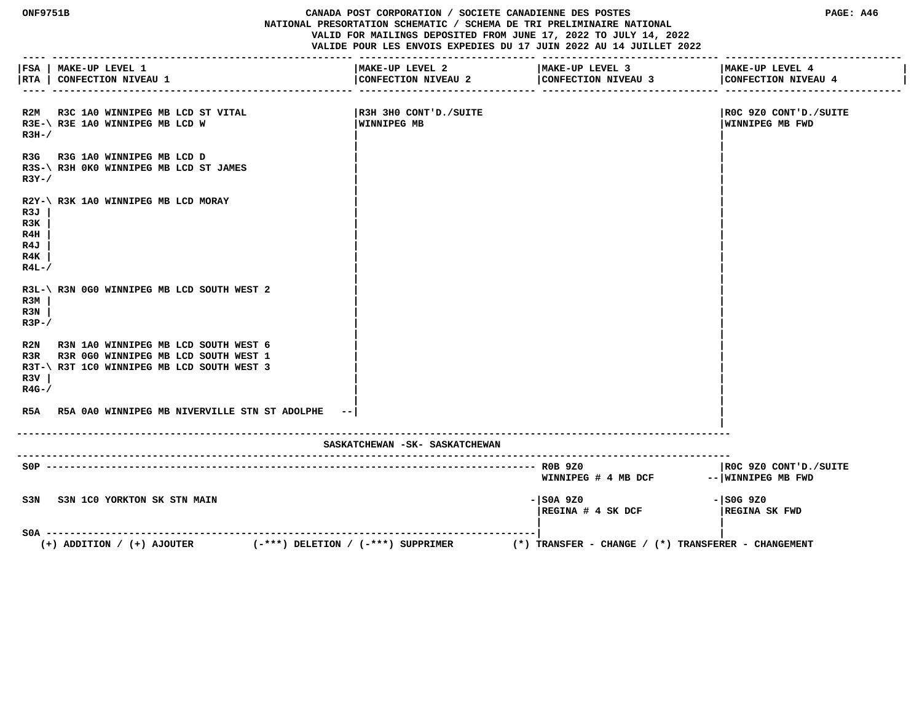**ONF9751B CANADA POST CORPORATION / SOCIETE CANADIENNE DES POSTES PAGE: A46 NATIONAL PRESORTATION SCHEMATIC / SCHEMA DE TRI PRELIMINAIRE NATIONAL VALID FOR MAILINGS DEPOSITED FROM JUNE 17, 2022 TO JULY 14, 2022 VALIDE POUR LES ENVOIS EXPEDIES DU 17 JUIN 2022 AU 14 JUILLET 2022 ---- --------------------------------------------------- ------------------------------ ------------------------------ ------------------------------ |FSA | MAKE-UP LEVEL 1 |MAKE-UP LEVEL 2 |MAKE-UP LEVEL 3 |MAKE-UP LEVEL 4 | |RTA | CONFECTION NIVEAU 1 |CONFECTION NIVEAU 2 |CONFECTION NIVEAU 3 |CONFECTION NIVEAU 4 | ---- --------------------------------------------------- ------------------------------ ------------------------------ ------------------------------ R2M R3C 1A0 WINNIPEG MB LCD ST VITAL |R3H 3H0 CONT'D./SUITE |R0C 9Z0 CONT'D./SUITE** R3E-\ R3E 1A0 WINNIPEG MB LCD W **WINNIPEG MB WINNIPEG MB WINNIPEG MB WINNIPEG MB WINNIPEG MB FWD**  $R3H-$ /  **| |** R3G R3G 1A0 WINNIPEG MB LCD D  **R3S-\ R3H 0K0 WINNIPEG MB LCD ST JAMES | | R3Y-/**  $\qquad$  |  **| | R2Y-\ R3K 1A0 WINNIPEG MB LCD MORAY | | R3J | | | R3K | | | R4H | | | R4J | | | R4K | | | R4L-/**  $\sqrt{2}$  **| |** R3L-\ R3N 0G0 WINNIPEG MB LCD SOUTH WEST 2  **R3M | | | R3N | | | R3P-/**  $\qquad$  |  **| |** R2N R3N 1A0 WINNIPEG MB LCD SOUTH WEST 6 R3R R3R 0G0 WINNIPEG MB LCD SOUTH WEST 1 R3T-\ R3T 1C0 WINNIPEG MB LCD SOUTH WEST 3  **R3V | | | R4G-/ | | | | R5A R5A 0A0 WINNIPEG MB NIVERVILLE STN ST ADOLPHE --| | | ------------------------------------------------------------------------------------------------------------------------- SASKATCHEWAN -SK- SASKATCHEWAN ------------------------------------------------------------------------------------------------------------------------- S0P ----------------------------------------------------------------------------------- R0B 9Z0 |R0C 9Z0 CONT'D./SUITE** WINNIPEG # 4 MB DCF -- WINNIPEG MB FWD  **S3N S3N 1C0 YORKTON SK STN MAIN -|S0A 9Z0 -|S0G 9Z0 |REGINA # 4 SK DCF |REGINA SK FWD | | S0A -----------------------------------------------------------------------------------| | (+) ADDITION / (+) AJOUTER (-\*\*\*) DELETION / (-\*\*\*) SUPPRIMER (\*) TRANSFER - CHANGE / (\*) TRANSFERER - CHANGEMENT**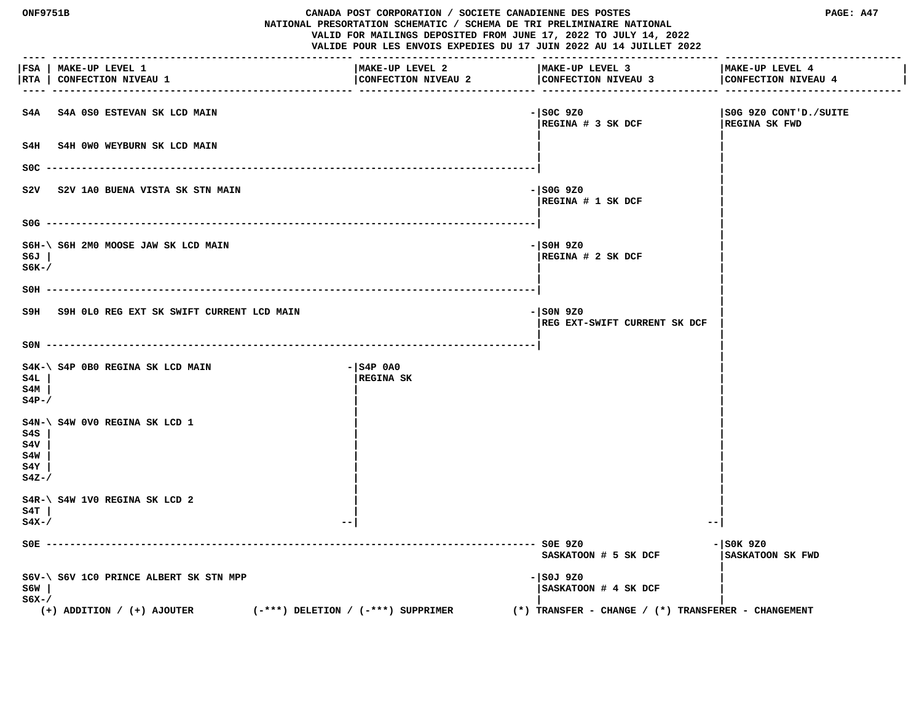| <b>ONF9751B</b><br>CANADA POST CORPORATION / SOCIETE CANADIENNE DES POSTES<br>NATIONAL PRESORTATION SCHEMATIC / SCHEMA DE TRI PRELIMINAIRE NATIONAL<br>VALID FOR MAILINGS DEPOSITED FROM JUNE 17, 2022 TO JULY 14, 2022<br>VALIDE POUR LES ENVOIS EXPEDIES DU 17 JUIN 2022 AU 14 JUILLET 2022 |                                                                                                                    |                                        | PAGE: A47                                                                                    |                                        |
|-----------------------------------------------------------------------------------------------------------------------------------------------------------------------------------------------------------------------------------------------------------------------------------------------|--------------------------------------------------------------------------------------------------------------------|----------------------------------------|----------------------------------------------------------------------------------------------|----------------------------------------|
| RTA                                                                                                                                                                                                                                                                                           | FSA   MAKE-UP LEVEL 1<br><b>CONFECTION NIVEAU 1</b>                                                                | MAKE-UP LEVEL 2<br>CONFECTION NIVEAU 2 | MAKE-UP LEVEL 3<br>CONFECTION NIVEAU 3                                                       | MAKE-UP LEVEL 4<br>CONFECTION NIVEAU 4 |
| S4A                                                                                                                                                                                                                                                                                           | <b>S4A 0S0 ESTEVAN SK LCD MAIN</b>                                                                                 |                                        | - SOC 9Z0<br>REGINA # 3 SK DCF                                                               | S0G 9Z0 CONT'D./SUITE<br>REGINA SK FWD |
| S4H                                                                                                                                                                                                                                                                                           | S4H 0W0 WEYBURN SK LCD MAIN                                                                                        |                                        |                                                                                              |                                        |
| SOC.                                                                                                                                                                                                                                                                                          |                                                                                                                    |                                        |                                                                                              |                                        |
| s2v                                                                                                                                                                                                                                                                                           | S2V 1A0 BUENA VISTA SK STN MAIN                                                                                    |                                        | $-$ SOG 9Z0<br>REGINA # 1 SK DCF                                                             |                                        |
|                                                                                                                                                                                                                                                                                               |                                                                                                                    |                                        |                                                                                              |                                        |
| S6J<br>$S6K-$                                                                                                                                                                                                                                                                                 | S6H-\ S6H 2M0 MOOSE JAW SK LCD MAIN                                                                                |                                        | - SOH 9Z0<br>REGINA # 2 SK DCF                                                               |                                        |
| $SOH -$                                                                                                                                                                                                                                                                                       |                                                                                                                    |                                        |                                                                                              |                                        |
|                                                                                                                                                                                                                                                                                               | S9H S9H OLO REG EXT SK SWIFT CURRENT LCD MAIN                                                                      |                                        | $  $ SON 9ZO<br>REG EXT-SWIFT CURRENT SK DCF                                                 |                                        |
|                                                                                                                                                                                                                                                                                               | $SON$ ---------                                                                                                    |                                        |                                                                                              |                                        |
| S4L<br>S4M<br>$S4P-$                                                                                                                                                                                                                                                                          | S4K-\ S4P 0B0 REGINA SK LCD MAIN                                                                                   | $ S4P$ $0A0$<br><b>REGINA SK</b>       |                                                                                              |                                        |
| S4S<br>S4V<br>S4W<br>S4Y<br>$S4Z-$                                                                                                                                                                                                                                                            | S4N-\ S4W 0V0 REGINA SK LCD 1                                                                                      |                                        |                                                                                              |                                        |
| S4T<br>$S4X-$                                                                                                                                                                                                                                                                                 | S4R-\ S4W 1V0 REGINA SK LCD 2<br>$- -$                                                                             |                                        | $- -$                                                                                        |                                        |
| $SOE -$                                                                                                                                                                                                                                                                                       |                                                                                                                    |                                        | - SOE 9Z0<br>SASKATOON # 5 SK DCF                                                            | - SOK 9Z0<br>SASKATOON SK FWD          |
| S6W<br>$S6X-$                                                                                                                                                                                                                                                                                 | S6V-\ S6V 1C0 PRINCE ALBERT SK STN MPP<br>$(-***)$ DELETION / $(-***)$ SUPPRIMER<br>$(+)$ ADDITION / $(+)$ AJOUTER |                                        | - SOJ 9Z0<br>SASKATOON # 4 SK DCF<br>$(*)$ TRANSFER - CHANGE / $(*)$ TRANSFERER - CHANGEMENT |                                        |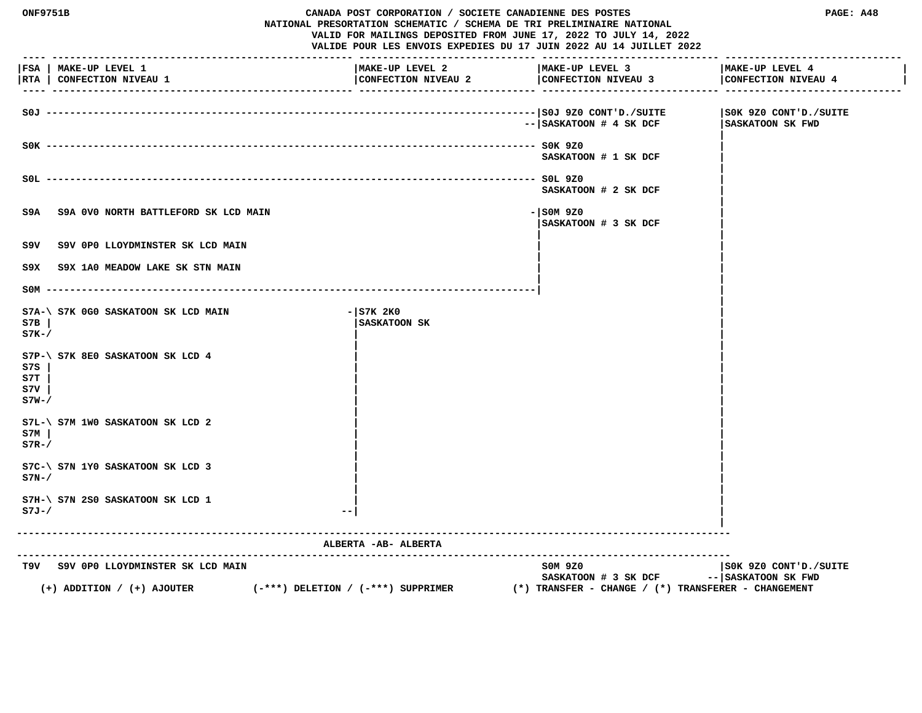| <b>ONF9751B</b>             |                                                     | CANADA POST CORPORATION / SOCIETE CANADIENNE DES POSTES<br>NATIONAL PRESORTATION SCHEMATIC / SCHEMA DE TRI PRELIMINAIRE NATIONAL<br>VALID FOR MAILINGS DEPOSITED FROM JUNE 17, 2022 TO JULY 14, 2022<br>VALIDE POUR LES ENVOIS EXPEDIES DU 17 JUIN 2022 AU 14 JUILLET 2022 |                                                         | PAGE: A48                                    |
|-----------------------------|-----------------------------------------------------|----------------------------------------------------------------------------------------------------------------------------------------------------------------------------------------------------------------------------------------------------------------------------|---------------------------------------------------------|----------------------------------------------|
|                             | FSA   MAKE-UP LEVEL 1<br> RTA   CONFECTION NIVEAU 1 | MAKE-UP LEVEL 2<br>CONFECTION NIVEAU 2                                                                                                                                                                                                                                     | MAKE-UP LEVEL 3<br>CONFECTION NIVEAU 3                  | MAKE-UP LEVEL 4<br>CONFECTION NIVEAU 4       |
|                             |                                                     |                                                                                                                                                                                                                                                                            | $-- $ SASKATOON # 4 SK DCF                              | SOK 9Z0 CONT'D./SUITE<br>SASKATOON SK FWD    |
|                             |                                                     |                                                                                                                                                                                                                                                                            | SASKATOON # 1 SK DCF                                    |                                              |
|                             |                                                     |                                                                                                                                                                                                                                                                            | SASKATOON # 2 SK DCF                                    |                                              |
| S9A                         | S9A 0V0 NORTH BATTLEFORD SK LCD MAIN                |                                                                                                                                                                                                                                                                            | $-$ SOM 9Z0<br>SASKATOON # 3 SK DCF                     |                                              |
| S9V                         | S9V OPO LLOYDMINSTER SK LCD MAIN                    |                                                                                                                                                                                                                                                                            |                                                         |                                              |
| S9X.                        | S9X 1A0 MEADOW LAKE SK STN MAIN                     |                                                                                                                                                                                                                                                                            |                                                         |                                              |
|                             | $SOM$ ---------                                     |                                                                                                                                                                                                                                                                            |                                                         |                                              |
| S7B<br>$S7K-$               | S7A-\ S7K 0G0 SASKATOON SK LCD MAIN                 | $-$ S7K 2K0<br><b>SASKATOON SK</b>                                                                                                                                                                                                                                         |                                                         |                                              |
| S7S<br>S7T<br>s7v<br>$S7W-$ | S7P-\ S7K 8E0 SASKATOON SK LCD 4                    |                                                                                                                                                                                                                                                                            |                                                         |                                              |
| S7M<br>$S7R-$               | $S7L-\$ $S7M$ 1WO SASKATOON SK LCD 2                |                                                                                                                                                                                                                                                                            |                                                         |                                              |
| $S7N-$                      | S7C-\ S7N 1Y0 SASKATOON SK LCD 3                    |                                                                                                                                                                                                                                                                            |                                                         |                                              |
| $S7J-/$                     | S7H-\ S7N 2S0 SASKATOON SK LCD 1                    |                                                                                                                                                                                                                                                                            |                                                         |                                              |
|                             |                                                     | ALBERTA - AB- ALBERTA                                                                                                                                                                                                                                                      | ---------------------------------                       |                                              |
|                             | T9V S9V OPO LLOYDMINSTER SK LCD MAIN                | $(-***)$ DELETION / $(-***)$ SUPPRIMER                                                                                                                                                                                                                                     | SOM 9Z0<br>SASKATOON # 3 SK DCF                         | SOK 9Z0 CONT'D./SUITE<br>-- SASKATOON SK FWD |
|                             | $(+)$ ADDITION / $(+)$ AJOUTER                      |                                                                                                                                                                                                                                                                            | $(*)$ TRANSFER - CHANGE / $(*)$ TRANSFERER - CHANGEMENT |                                              |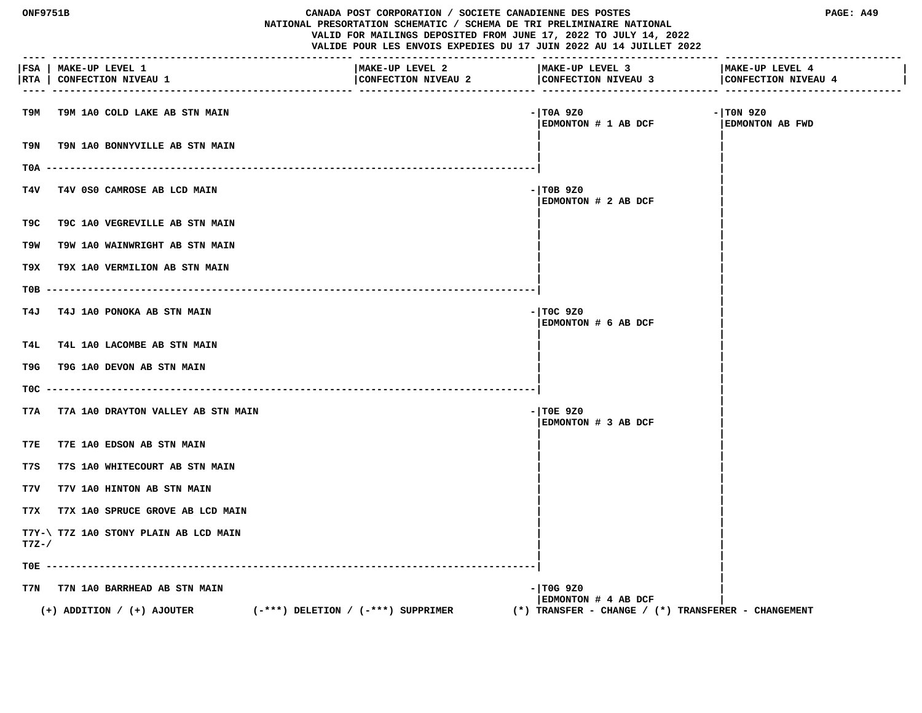| <b>ONF9751B</b> |                                                     | CANADA POST CORPORATION / SOCIETE CANADIENNE DES POSTES<br>NATIONAL PRESORTATION SCHEMATIC / SCHEMA DE TRI PRELIMINAIRE NATIONAL<br>VALID FOR MAILINGS DEPOSITED FROM JUNE 17, 2022 TO JULY 14, 2022<br>VALIDE POUR LES ENVOIS EXPEDIES DU 17 JUIN 2022 AU 14 JUILLET 2022 |                                                         | PAGE: A49                              |
|-----------------|-----------------------------------------------------|----------------------------------------------------------------------------------------------------------------------------------------------------------------------------------------------------------------------------------------------------------------------------|---------------------------------------------------------|----------------------------------------|
|                 | FSA   MAKE-UP LEVEL 1<br> RTA   CONFECTION NIVEAU 1 | MAKE-UP LEVEL 2<br>CONFECTION NIVEAU 2<br>------------------------------                                                                                                                                                                                                   | MAKE-UP LEVEL 3<br>CONFECTION NIVEAU 3                  | MAKE-UP LEVEL 4<br>CONFECTION NIVEAU 4 |
| т9м             | T9M 1A0 COLD LAKE AB STN MAIN                       |                                                                                                                                                                                                                                                                            | - TOA 9Z0<br>EDMONTON # 1 AB DCF                        | $-1$ TON 9Z0<br><b>EDMONTON AB FWD</b> |
| T9N             | T9N 1A0 BONNYVILLE AB STN MAIN                      |                                                                                                                                                                                                                                                                            |                                                         |                                        |
| T0A             |                                                     |                                                                                                                                                                                                                                                                            |                                                         |                                        |
| T4V             | T4V 0S0 CAMROSE AB LCD MAIN                         |                                                                                                                                                                                                                                                                            | $-$ TOB 9Z0<br>EDMONTON # 2 AB DCF                      |                                        |
| T9C             | T9C 1A0 VEGREVILLE AB STN MAIN                      |                                                                                                                                                                                                                                                                            |                                                         |                                        |
| T9W             | T9W 1A0 WAINWRIGHT AB STN MAIN                      |                                                                                                                                                                                                                                                                            |                                                         |                                        |
| T9X.            | T9X 1A0 VERMILION AB STN MAIN                       |                                                                                                                                                                                                                                                                            |                                                         |                                        |
| T0B             |                                                     |                                                                                                                                                                                                                                                                            |                                                         |                                        |
| T4J             | T4J 1A0 PONOKA AB STN MAIN                          |                                                                                                                                                                                                                                                                            | $-$ TOC 9Z0<br>EDMONTON # 6 AB DCF                      |                                        |
| T4L             | T4L 1A0 LACOMBE AB STN MAIN                         |                                                                                                                                                                                                                                                                            |                                                         |                                        |
| T9G             | T9G 1A0 DEVON AB STN MAIN                           |                                                                                                                                                                                                                                                                            |                                                         |                                        |
| TOC.            |                                                     |                                                                                                                                                                                                                                                                            |                                                         |                                        |
| T7A             | T7A 1A0 DRAYTON VALLEY AB STN MAIN                  |                                                                                                                                                                                                                                                                            | $-$ TOE 9Z0<br>EDMONTON # 3 AB DCF                      |                                        |
| T7E             | T7E 1A0 EDSON AB STN MAIN                           |                                                                                                                                                                                                                                                                            |                                                         |                                        |
| T7S             | T7S 1A0 WHITECOURT AB STN MAIN                      |                                                                                                                                                                                                                                                                            |                                                         |                                        |
| T7V             | T7V 1A0 HINTON AB STN MAIN                          |                                                                                                                                                                                                                                                                            |                                                         |                                        |
| T7X             | T7X 1A0 SPRUCE GROVE AB LCD MAIN                    |                                                                                                                                                                                                                                                                            |                                                         |                                        |
| $T7Z-$ /        | T7Y-\ T7Z 1A0 STONY PLAIN AB LCD MAIN               |                                                                                                                                                                                                                                                                            |                                                         |                                        |
| TOE -           |                                                     |                                                                                                                                                                                                                                                                            |                                                         |                                        |
| T7N             | T7N 1A0 BARRHEAD AB STN MAIN                        |                                                                                                                                                                                                                                                                            | - TOG 9Z0<br>EDMONTON # 4 AB DCF                        |                                        |
|                 | $(+)$ ADDITION / $(+)$ AJOUTER                      | $(-***)$ DELETION / $(-***)$ SUPPRIMER                                                                                                                                                                                                                                     | $(*)$ TRANSFER - CHANGE / $(*)$ TRANSFERER - CHANGEMENT |                                        |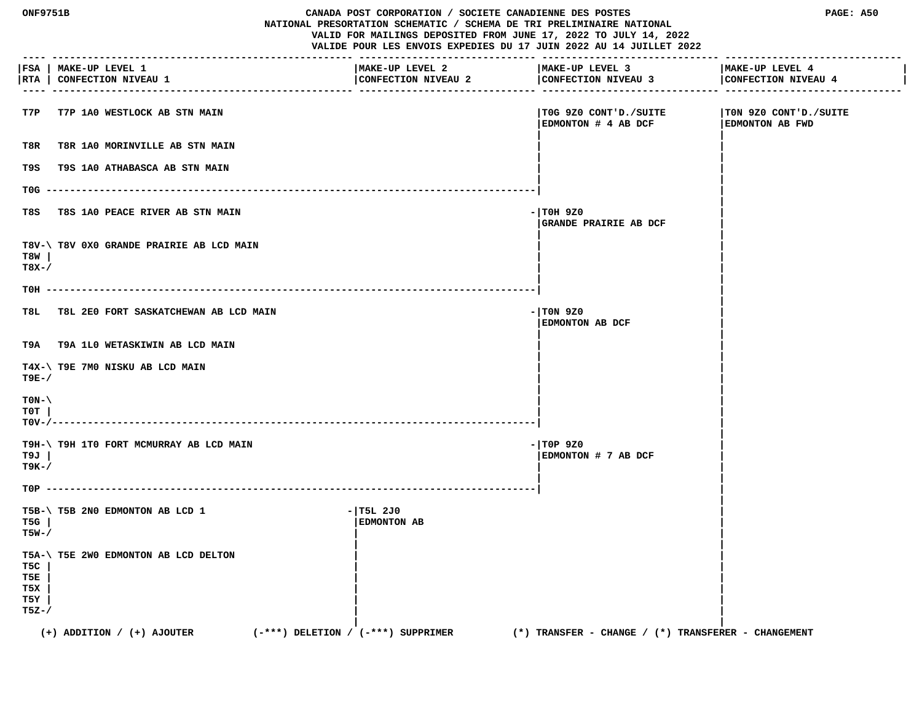| ONF9751B                           |                                                     |                                        | CANADA POST CORPORATION / SOCIETE CANADIENNE DES POSTES<br>NATIONAL PRESORTATION SCHEMATIC / SCHEMA DE TRI PRELIMINAIRE NATIONAL<br>VALID FOR MAILINGS DEPOSITED FROM JUNE 17, 2022 TO JULY 14, 2022<br>VALIDE POUR LES ENVOIS EXPEDIES DU 17 JUIN 2022 AU 14 JUILLET 2022 |                                                 |
|------------------------------------|-----------------------------------------------------|----------------------------------------|----------------------------------------------------------------------------------------------------------------------------------------------------------------------------------------------------------------------------------------------------------------------------|-------------------------------------------------|
|                                    | FSA   MAKE-UP LEVEL 1<br> RTA   CONFECTION NIVEAU 1 | MAKE-UP LEVEL 2<br>CONFECTION NIVEAU 2 | MAKE-UP LEVEL 3<br>CONFECTION NIVEAU 3                                                                                                                                                                                                                                     | MAKE-UP LEVEL 4<br>CONFECTION NIVEAU 4          |
| T7P                                | T7P 1A0 WESTLOCK AB STN MAIN                        |                                        | TOG 9Z0 CONT'D./SUITE<br>EDMONTON # 4 AB DCF                                                                                                                                                                                                                               | TON 9Z0 CONT'D./SUITE<br><b>EDMONTON AB FWD</b> |
| T8R                                | T8R 1A0 MORINVILLE AB STN MAIN                      |                                        |                                                                                                                                                                                                                                                                            |                                                 |
| T9S                                | T9S 1A0 ATHABASCA AB STN MAIN                       |                                        |                                                                                                                                                                                                                                                                            |                                                 |
| $TOG -$                            |                                                     |                                        |                                                                                                                                                                                                                                                                            |                                                 |
| T8S                                | T8S 1A0 PEACE RIVER AB STN MAIN                     |                                        | $-1$ TOH 9Z0<br>GRANDE PRAIRIE AB DCF                                                                                                                                                                                                                                      |                                                 |
| T8W<br>$T8X-$                      | T8V-\ T8V 0X0 GRANDE PRAIRIE AB LCD MAIN            |                                        |                                                                                                                                                                                                                                                                            |                                                 |
| TOH -                              |                                                     |                                        |                                                                                                                                                                                                                                                                            |                                                 |
| T8L.                               | T8L 2E0 FORT SASKATCHEWAN AB LCD MAIN               |                                        | $-1$ TON 9Z0<br>EDMONTON AB DCF                                                                                                                                                                                                                                            |                                                 |
|                                    | T9A T9A 1L0 WETASKIWIN AB LCD MAIN                  |                                        |                                                                                                                                                                                                                                                                            |                                                 |
| T9E-/                              | T4X-\ T9E 7M0 NISKU AB LCD MAIN                     |                                        |                                                                                                                                                                                                                                                                            |                                                 |
| $TON-\setminus$<br>T0T<br>$TOV-/-$ |                                                     |                                        |                                                                                                                                                                                                                                                                            |                                                 |
| T9J<br>т9к-/                       | T9H-\ T9H 1T0 FORT MCMURRAY AB LCD MAIN             |                                        | $-$ TOP 9Z0<br>EDMONTON # 7 AB DCF                                                                                                                                                                                                                                         |                                                 |
|                                    |                                                     |                                        |                                                                                                                                                                                                                                                                            |                                                 |
| T5G<br>T5W-/                       | T5B-\ T5B 2N0 EDMONTON AB LCD 1                     | $-1$ T5L 2J0<br><b>EDMONTON AB</b>     |                                                                                                                                                                                                                                                                            |                                                 |
| T5C<br>T5E<br>T5X<br>T5Y<br>T5Z-/  | T5A-\ T5E 2W0 EDMONTON AB LCD DELTON                |                                        |                                                                                                                                                                                                                                                                            |                                                 |
|                                    | $(+)$ ADDITION / $(+)$ AJOUTER                      | $(-***)$ DELETION / $(-***)$ SUPPRIMER | $(*)$ TRANSFER - CHANGE / $(*)$ TRANSFERER - CHANGEMENT                                                                                                                                                                                                                    |                                                 |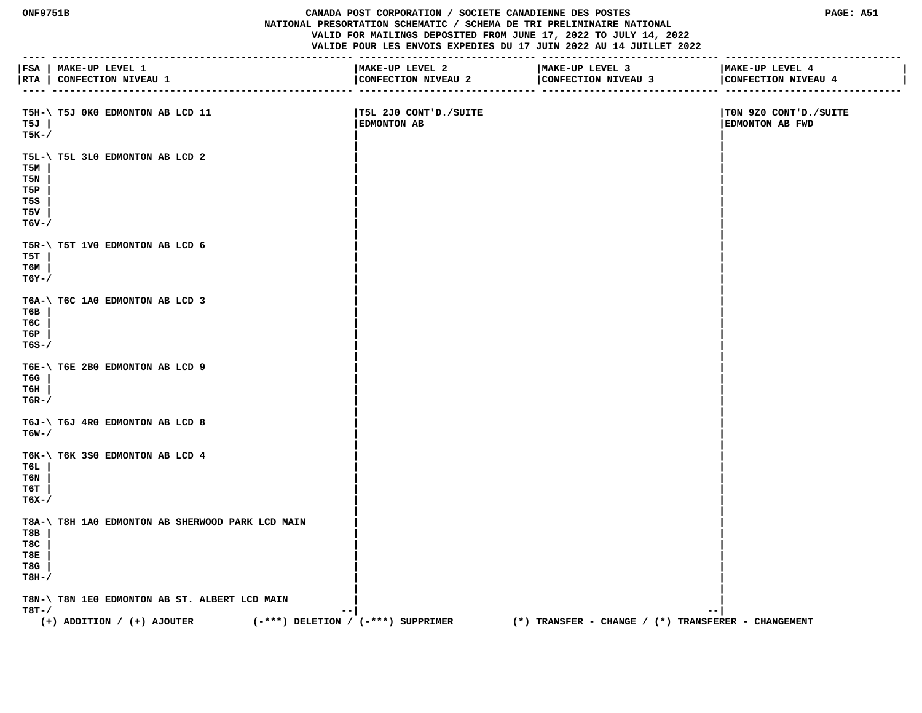**ONF9751B CANADA POST CORPORATION / SOCIETE CANADIENNE DES POSTES PAGE: A51 NATIONAL PRESORTATION SCHEMATIC / SCHEMA DE TRI PRELIMINAIRE NATIONAL VALID FOR MAILINGS DEPOSITED FROM JUNE 17, 2022 TO JULY 14, 2022 VALIDE POUR LES ENVOIS EXPEDIES DU 17 JUIN 2022 AU 14 JUILLET 2022 ---- --------------------------------------------------- ------------------------------ ------------------------------ ------------------------------ |FSA | MAKE-UP LEVEL 1 |MAKE-UP LEVEL 2 |MAKE-UP LEVEL 3 |MAKE-UP LEVEL 4 | |RTA | CONFECTION NIVEAU 1 |CONFECTION NIVEAU 2 |CONFECTION NIVEAU 3 |CONFECTION NIVEAU 4 | ---- --------------------------------------------------- ------------------------------ ------------------------------ ------------------------------ T5H-\ T5J 0K0 EDMONTON AB LCD 11 |T5L 2J0 CONT'D./SUITE |T0N 9Z0 CONT'D./SUITE T5J | |EDMONTON AB |EDMONTON AB FWD T5K-/ | | | | T5L-\ T5L 3L0 EDMONTON AB LCD 2 | | T5M | | | T5N | | | T5P | | | T5S | | | T5V | | | T6V-/ | | | | T5R-\ T5T 1V0 EDMONTON AB LCD 6 | | T5T | | | T6M | | | T6Y-/ | | | | T6A-\ T6C 1A0 EDMONTON AB LCD 3 | | T6B | | | T6C | | | T6P | | | T6S-/ | | | | T6E-\ T6E 2B0 EDMONTON AB LCD 9 | | T6G | | | T6H | | | T6R-/ | | | | T6J-\ T6J 4R0 EDMONTON AB LCD 8**<br>**T6W-/ T6W-/ | | | | T6K-\ T6K 3S0 EDMONTON AB LCD 4 | | T6L | | | T6N | | | T6T | | | T6X-/ | | | |** T8A-\ T8H 1A0 EDMONTON AB SHERWOOD PARK LCD MAIN T8B |  **T8B | | | T8C | | | T8E | | | T8G | | | T8H-/ | | | | T8N-\ T8N 1E0 EDMONTON AB ST. ALBERT LCD MAIN | | T8T-/ --| --|**

 **(+) ADDITION / (+) AJOUTER (-\*\*\*) DELETION / (-\*\*\*) SUPPRIMER (\*) TRANSFER - CHANGE / (\*) TRANSFERER - CHANGEMENT**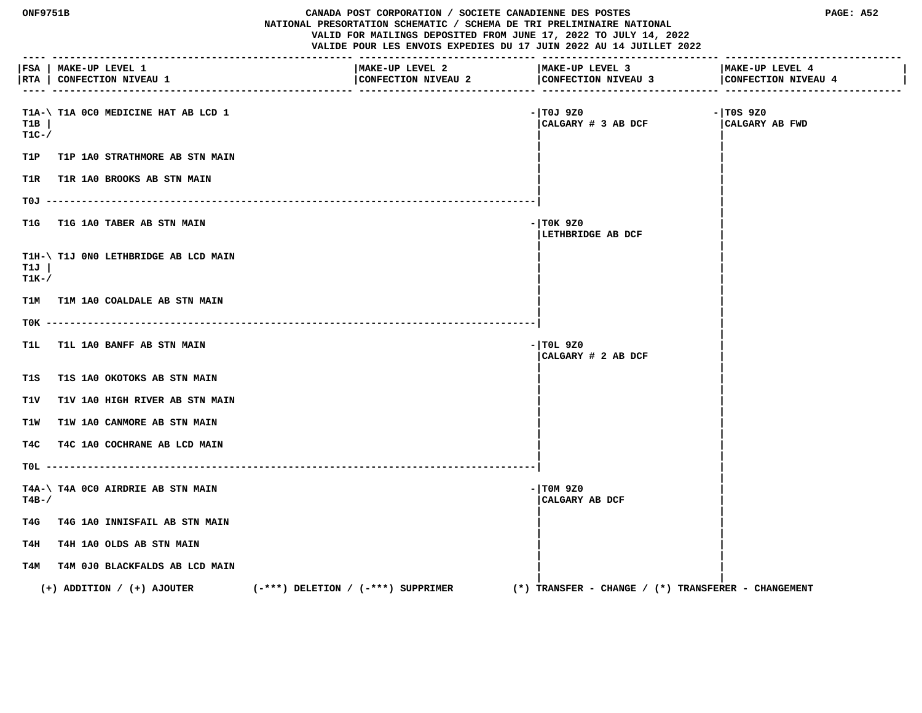| <b>ONF9751B</b> |                                                     | CANADA POST CORPORATION / SOCIETE CANADIENNE DES POSTES<br>NATIONAL PRESORTATION SCHEMATIC / SCHEMA DE TRI PRELIMINAIRE NATIONAL<br>VALID FOR MAILINGS DEPOSITED FROM JUNE 17, 2022 TO JULY 14, 2022<br>VALIDE POUR LES ENVOIS EXPEDIES DU 17 JUIN 2022 AU 14 JUILLET 2022 |                                                         | PAGE: A52                              |
|-----------------|-----------------------------------------------------|----------------------------------------------------------------------------------------------------------------------------------------------------------------------------------------------------------------------------------------------------------------------------|---------------------------------------------------------|----------------------------------------|
|                 | FSA   MAKE-UP LEVEL 1<br> RTA   CONFECTION NIVEAU 1 | MAKE-UP LEVEL 2<br>CONFECTION NIVEAU 2                                                                                                                                                                                                                                     | MAKE-UP LEVEL 3<br>CONFECTION NIVEAU 3                  | MAKE-UP LEVEL 4<br>CONFECTION NIVEAU 4 |
| T1B<br>$T1C-$   | T1A-\ T1A 0C0 MEDICINE HAT AB LCD 1                 |                                                                                                                                                                                                                                                                            | - TOJ 9Z0<br>CALGARY # 3 AB DCF                         | $-1$ TOS 9Z0<br>CALGARY AB FWD         |
| T1P             | <b>T1P 1A0 STRATHMORE AB STN MAIN</b>               |                                                                                                                                                                                                                                                                            |                                                         |                                        |
| T1R.            | T1R 1A0 BROOKS AB STN MAIN                          |                                                                                                                                                                                                                                                                            |                                                         |                                        |
|                 |                                                     |                                                                                                                                                                                                                                                                            |                                                         |                                        |
| T1G             | T1G 1A0 TABER AB STN MAIN                           |                                                                                                                                                                                                                                                                            | - TOK 9Z0<br>LETHBRIDGE AB DCF                          |                                        |
| T1J<br>$T1K-$ / | T1H-\ T1J 0N0 LETHBRIDGE AB LCD MAIN                |                                                                                                                                                                                                                                                                            |                                                         |                                        |
|                 | T1M T1M 1A0 COALDALE AB STN MAIN                    |                                                                                                                                                                                                                                                                            |                                                         |                                        |
|                 |                                                     |                                                                                                                                                                                                                                                                            |                                                         |                                        |
| T1L             | <b>T1L 1A0 BANFF AB STN MAIN</b>                    |                                                                                                                                                                                                                                                                            | $-1$ TOL 9Z0<br>CALGARY # 2 AB DCF                      |                                        |
| T1S             | T1S 1A0 OKOTOKS AB STN MAIN                         |                                                                                                                                                                                                                                                                            |                                                         |                                        |
| T1V             | T1V 1A0 HIGH RIVER AB STN MAIN                      |                                                                                                                                                                                                                                                                            |                                                         |                                        |
| T1W             | T1W 1A0 CANMORE AB STN MAIN                         |                                                                                                                                                                                                                                                                            |                                                         |                                        |
| T4C             | T4C 1A0 COCHRANE AB LCD MAIN                        |                                                                                                                                                                                                                                                                            |                                                         |                                        |
|                 |                                                     |                                                                                                                                                                                                                                                                            |                                                         |                                        |
| $T4B-$ /        | T4A-\ T4A 0C0 AIRDRIE AB STN MAIN                   |                                                                                                                                                                                                                                                                            | $-1$ TOM 9Z0<br>CALGARY AB DCF                          |                                        |
| T4G             | T4G 1A0 INNISFAIL AB STN MAIN                       |                                                                                                                                                                                                                                                                            |                                                         |                                        |
| T4H             | <b>T4H 1A0 OLDS AB STN MAIN</b>                     |                                                                                                                                                                                                                                                                            |                                                         |                                        |
|                 | T4M T4M 0J0 BLACKFALDS AB LCD MAIN                  |                                                                                                                                                                                                                                                                            |                                                         |                                        |
|                 | $(+)$ ADDITION / $(+)$ AJOUTER                      | $(-***)$ DELETION / $(-***)$ SUPPRIMER                                                                                                                                                                                                                                     | $(*)$ TRANSFER - CHANGE / $(*)$ TRANSFERER - CHANGEMENT |                                        |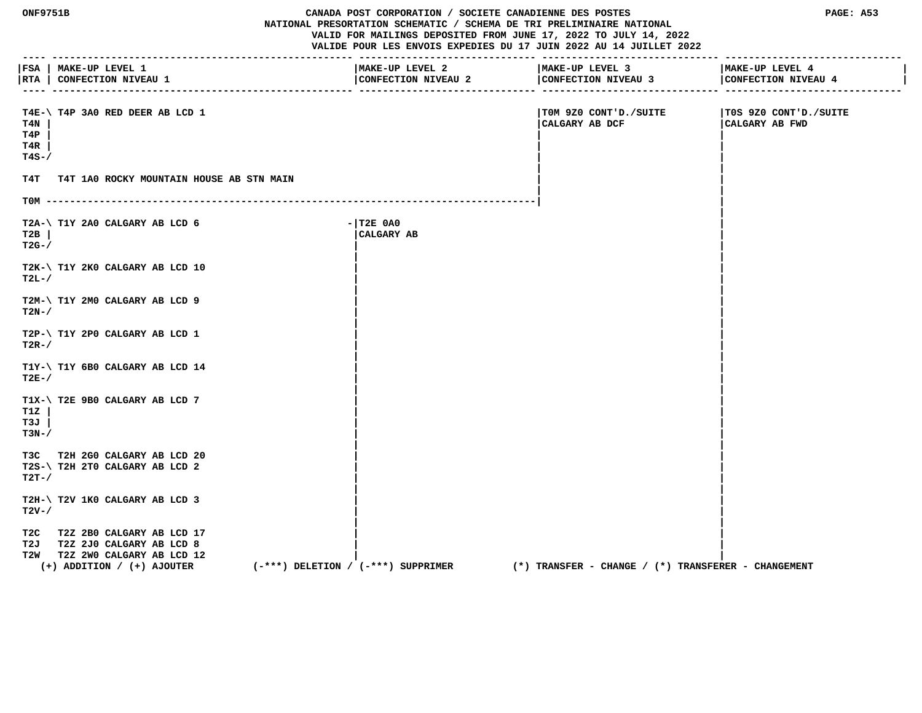| <b>ONF9751B</b>             |                                                                                                                                  |                                        | CANADA POST CORPORATION / SOCIETE CANADIENNE DES POSTES<br>NATIONAL PRESORTATION SCHEMATIC / SCHEMA DE TRI PRELIMINAIRE NATIONAL<br>VALID FOR MAILINGS DEPOSITED FROM JUNE 17, 2022 TO JULY 14, 2022<br>VALIDE POUR LES ENVOIS EXPEDIES DU 17 JUIN 2022 AU 14 JUILLET 2022 |                                                         | PAGE: A53                               |  |
|-----------------------------|----------------------------------------------------------------------------------------------------------------------------------|----------------------------------------|----------------------------------------------------------------------------------------------------------------------------------------------------------------------------------------------------------------------------------------------------------------------------|---------------------------------------------------------|-----------------------------------------|--|
|                             | FSA   MAKE-UP LEVEL 1<br> RTA   CONFECTION NIVEAU 1                                                                              |                                        | MAKE-UP LEVEL 2<br>CONFECTION NIVEAU 2                                                                                                                                                                                                                                     | MAKE-UP LEVEL 3<br>CONFECTION NIVEAU 3                  | MAKE-UP LEVEL 4<br>CONFECTION NIVEAU 4  |  |
| T4N<br>T4P<br>T4R<br>$T4S-$ | T4E-\ T4P 3A0 RED DEER AB LCD 1                                                                                                  |                                        |                                                                                                                                                                                                                                                                            | TOM 9Z0 CONT'D./SUITE<br>CALGARY AB DCF                 | T0S 9Z0 CONT'D./SUITE<br>CALGARY AB FWD |  |
| T4T                         | T4T 1A0 ROCKY MOUNTAIN HOUSE AB STN MAIN                                                                                         |                                        |                                                                                                                                                                                                                                                                            |                                                         |                                         |  |
|                             |                                                                                                                                  |                                        |                                                                                                                                                                                                                                                                            |                                                         |                                         |  |
| T2B<br>$T2G-$               | T2A-\ T1Y 2A0 CALGARY AB LCD 6                                                                                                   |                                        | $ T2E$ $0A0$<br>CALGARY AB                                                                                                                                                                                                                                                 |                                                         |                                         |  |
| $T2L-$                      | T2K-\ T1Y 2K0 CALGARY AB LCD 10                                                                                                  |                                        |                                                                                                                                                                                                                                                                            |                                                         |                                         |  |
| $T2N-$                      | T2M-\ T1Y 2M0 CALGARY AB LCD 9                                                                                                   |                                        |                                                                                                                                                                                                                                                                            |                                                         |                                         |  |
| $T2R-$                      | T2P-\ T1Y 2P0 CALGARY AB LCD 1                                                                                                   |                                        |                                                                                                                                                                                                                                                                            |                                                         |                                         |  |
| $T2E-$                      | T1Y-\ T1Y 6B0 CALGARY AB LCD 14                                                                                                  |                                        |                                                                                                                                                                                                                                                                            |                                                         |                                         |  |
| T1Z<br>T3J<br>$T3N-$        | T1X-\ T2E 9B0 CALGARY AB LCD 7                                                                                                   |                                        |                                                                                                                                                                                                                                                                            |                                                         |                                         |  |
| $T2T-$ /                    | T3C T2H 2G0 CALGARY AB LCD 20<br>T2S-\ T2H 2T0 CALGARY AB LCD 2                                                                  |                                        |                                                                                                                                                                                                                                                                            |                                                         |                                         |  |
| $T2V-$                      | T2H-\ T2V 1K0 CALGARY AB LCD 3                                                                                                   |                                        |                                                                                                                                                                                                                                                                            |                                                         |                                         |  |
|                             | T2C T2Z 2B0 CALGARY AB LCD 17<br>T2J T2Z 2J0 CALGARY AB LCD 8<br>T2W T2Z 2WO CALGARY AB LCD 12<br>$(+)$ ADDITION / $(+)$ AJOUTER | $(-***)$ DELETION / $(-***)$ SUPPRIMER |                                                                                                                                                                                                                                                                            | $(*)$ TRANSFER - CHANGE / $(*)$ TRANSFERER - CHANGEMENT |                                         |  |
|                             |                                                                                                                                  |                                        |                                                                                                                                                                                                                                                                            |                                                         |                                         |  |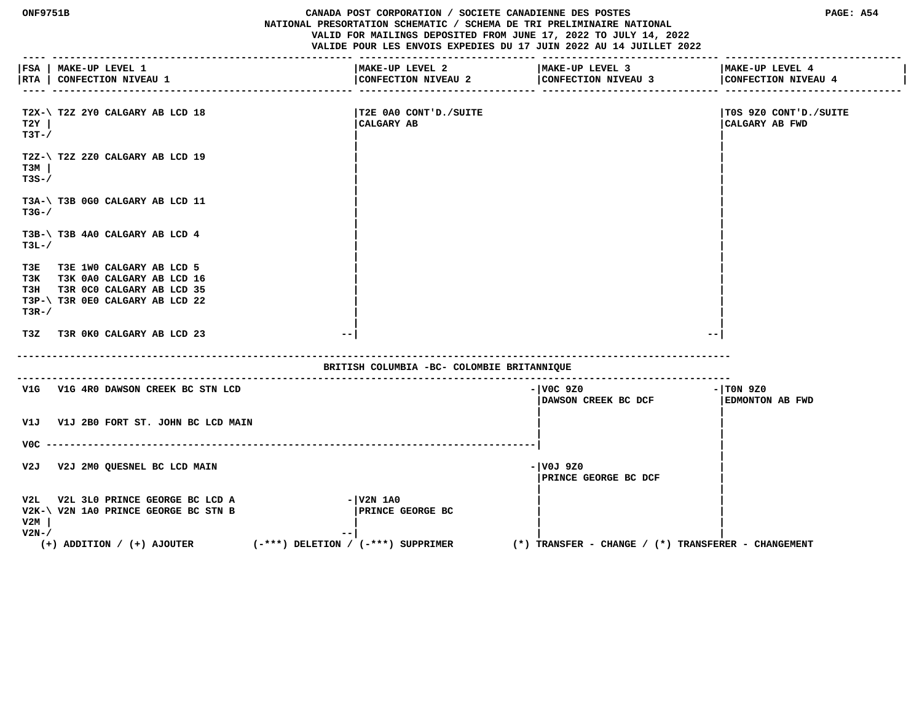| <b>ONF9751B</b>  | PAGE: A54                                                                |                                        |                                                         |                                           |  |  |
|------------------|--------------------------------------------------------------------------|----------------------------------------|---------------------------------------------------------|-------------------------------------------|--|--|
|                  | FSA   MAKE-UP LEVEL 1<br> RTA   CONFECTION NIVEAU 1                      | MAKE-UP LEVEL 2<br>CONFECTION NIVEAU 2 | MAKE-UP LEVEL 3<br>CONFECTION NIVEAU 3                  | MAKE-UP LEVEL 4<br>CONFECTION NIVEAU 4    |  |  |
| T2Y<br>$T3T - /$ | T2X-\ T2Z 2Y0 CALGARY AB LCD 18                                          | T2E 0A0 CONT'D./SUITE <br>CALGARY AB   |                                                         | TOS 9Z0 CONT'D./SUITE <br> CALGARY AB FWD |  |  |
| тзм<br>$T3S-$    | T2Z-\ T2Z 2Z0 CALGARY AB LCD 19                                          |                                        |                                                         |                                           |  |  |
| $T3G-$           | T3A-\ T3B 0G0 CALGARY AB LCD 11                                          |                                        |                                                         |                                           |  |  |
| $T3L-J$          | T3B-\ T3B 4A0 CALGARY AB LCD 4                                           |                                        |                                                         |                                           |  |  |
| T3E              | T3E 1WO CALGARY AB LCD 5                                                 |                                        |                                                         |                                           |  |  |
|                  | T3K T3K 0A0 CALGARY AB LCD 16                                            |                                        |                                                         |                                           |  |  |
|                  | T3H T3R 0C0 CALGARY AB LCD 35                                            |                                        |                                                         |                                           |  |  |
|                  | T3P-\ T3R 0E0 CALGARY AB LCD 22                                          |                                        |                                                         |                                           |  |  |
| $T3R-$           |                                                                          |                                        |                                                         |                                           |  |  |
|                  |                                                                          |                                        |                                                         |                                           |  |  |
|                  | T3Z T3R 0K0 CALGARY AB LCD 23<br>$ -$                                    |                                        | $-\,-$                                                  |                                           |  |  |
|                  | BRITISH COLUMBIA -BC- COLOMBIE BRITANNIQUE                               |                                        |                                                         |                                           |  |  |
|                  | V1G V1G 4R0 DAWSON CREEK BC STN LCD                                      |                                        | $  $ VOC 920<br>DAWSON CREEK BC DCF                     | $ T0N$ 9Z0<br><b>EDMONTON AB FWD</b>      |  |  |
| V1J              | V1J 2B0 FORT ST. JOHN BC LCD MAIN                                        |                                        |                                                         |                                           |  |  |
| V0C -            |                                                                          |                                        |                                                         |                                           |  |  |
| V2J              | V2J 2M0 QUESNEL BC LCD MAIN                                              |                                        | -lv0J 9Z0<br>PRINCE GEORGE BC DCF                       |                                           |  |  |
| V2L              | V2L 3L0 PRINCE GEORGE BC LCD A                                           | $  V2N$ 1A0                            |                                                         |                                           |  |  |
|                  | V2K-\ V2N 1A0 PRINCE GEORGE BC STN B                                     | <b>PRINCE GEORGE BC</b>                |                                                         |                                           |  |  |
| V2M              |                                                                          |                                        |                                                         |                                           |  |  |
| $V2N-$           |                                                                          |                                        |                                                         |                                           |  |  |
|                  | $(-***)$ DELETION / $(-***)$ SUPPRIMER<br>$(+)$ ADDITION / $(+)$ AJOUTER |                                        | $(*)$ TRANSFER - CHANGE / $(*)$ TRANSFERER - CHANGEMENT |                                           |  |  |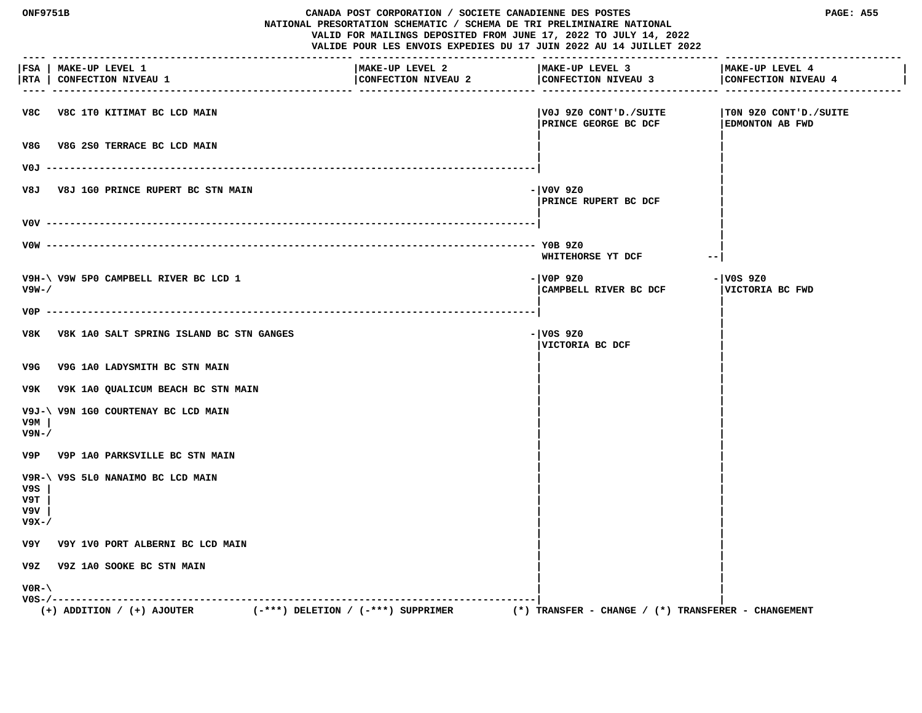| <b>ONF9751B</b>             |                                                     |                                                                                                                                        | CANADA POST CORPORATION / SOCIETE CANADIENNE DES POSTES<br>NATIONAL PRESORTATION SCHEMATIC / SCHEMA DE TRI PRELIMINAIRE NATIONAL |                                                 |
|-----------------------------|-----------------------------------------------------|----------------------------------------------------------------------------------------------------------------------------------------|----------------------------------------------------------------------------------------------------------------------------------|-------------------------------------------------|
|                             |                                                     | VALID FOR MAILINGS DEPOSITED FROM JUNE 17, 2022 TO JULY 14, 2022<br>VALIDE POUR LES ENVOIS EXPEDIES DU 17 JUIN 2022 AU 14 JUILLET 2022 |                                                                                                                                  |                                                 |
| $- - -$                     | FSA   MAKE-UP LEVEL 1<br> RTA   CONFECTION NIVEAU 1 | MAKE-UP LEVEL 2<br>CONFECTION NIVEAU 2                                                                                                 | MAKE-UP LEVEL 3<br>CONFECTION NIVEAU 3                                                                                           | MAKE-UP LEVEL 4<br>CONFECTION NIVEAU 4          |
|                             | V8C V8C 1T0 KITIMAT BC LCD MAIN                     |                                                                                                                                        | V0J 9Z0 CONT'D./SUITE<br>PRINCE GEORGE BC DCF                                                                                    | TON 9Z0 CONT'D./SUITE<br><b>EDMONTON AB FWD</b> |
| V8G                         | V8G 2S0 TERRACE BC LCD MAIN                         |                                                                                                                                        |                                                                                                                                  |                                                 |
|                             |                                                     |                                                                                                                                        |                                                                                                                                  |                                                 |
| V8J                         | <b>V8J 1G0 PRINCE RUPERT BC STN MAIN</b>            |                                                                                                                                        | - V0V 9Z0<br><b>  PRINCE RUPERT BC DCF</b>                                                                                       |                                                 |
|                             |                                                     |                                                                                                                                        |                                                                                                                                  |                                                 |
|                             |                                                     |                                                                                                                                        | WHITEHORSE YT DCF                                                                                                                | $- -$                                           |
| $V9W - /$                   | V9H-\ V9W 5P0 CAMPBELL RIVER BC LCD 1               |                                                                                                                                        | - VOP 9Z0<br>CAMPBELL RIVER BC DCF                                                                                               | - V0S 9Z0<br>VICTORIA BC FWD                    |
|                             |                                                     |                                                                                                                                        |                                                                                                                                  |                                                 |
|                             | V8K V8K 1A0 SALT SPRING ISLAND BC STN GANGES        |                                                                                                                                        | - V0S 9Z0<br>VICTORIA BC DCF                                                                                                     |                                                 |
| V9G                         | V9G 1A0 LADYSMITH BC STN MAIN                       |                                                                                                                                        |                                                                                                                                  |                                                 |
|                             | V9K V9K 1A0 QUALICUM BEACH BC STN MAIN              |                                                                                                                                        |                                                                                                                                  |                                                 |
| v9м<br>V9N-/                | V9J-\ V9N 1G0 COURTENAY BC LCD MAIN                 |                                                                                                                                        |                                                                                                                                  |                                                 |
|                             | V9P V9P 1A0 PARKSVILLE BC STN MAIN                  |                                                                                                                                        |                                                                                                                                  |                                                 |
| V9S<br>V9T.<br>V9V<br>V9X-/ | V9R-\ V9S 5L0 NANAIMO BC LCD MAIN                   |                                                                                                                                        |                                                                                                                                  |                                                 |
|                             | V9Y V9Y 1V0 PORT ALBERNI BC LCD MAIN                |                                                                                                                                        |                                                                                                                                  |                                                 |
| v9z                         | V9Z 1A0 SOOKE BC STN MAIN                           |                                                                                                                                        |                                                                                                                                  |                                                 |
| $VOR - \setminus$           |                                                     |                                                                                                                                        |                                                                                                                                  |                                                 |
|                             | $(+)$ ADDITION / $(+)$ AJOUTER                      | $(-***)$ DELETION / $(-***)$ SUPPRIMER                                                                                                 | $(*)$ TRANSFER - CHANGE / $(*)$ TRANSFERER - CHANGEMENT                                                                          |                                                 |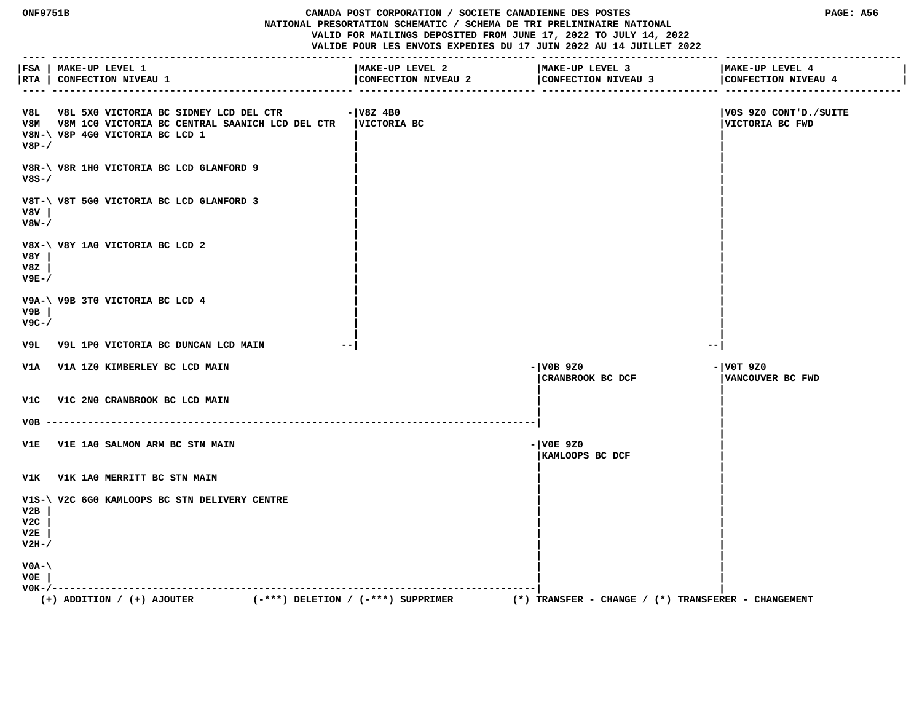**ONF9751B CANADA POST CORPORATION / SOCIETE CANADIENNE DES POSTES PAGE: A56 NATIONAL PRESORTATION SCHEMATIC / SCHEMA DE TRI PRELIMINAIRE NATIONAL VALID FOR MAILINGS DEPOSITED FROM JUNE 17, 2022 TO JULY 14, 2022 VALIDE POUR LES ENVOIS EXPEDIES DU 17 JUIN 2022 AU 14 JUILLET 2022 ---- --------------------------------------------------- ------------------------------ ------------------------------ ------------------------------ |FSA | MAKE-UP LEVEL 1 |MAKE-UP LEVEL 2 |MAKE-UP LEVEL 3 |MAKE-UP LEVEL 4 | |RTA | CONFECTION NIVEAU 1 |CONFECTION NIVEAU 2 |CONFECTION NIVEAU 3 |CONFECTION NIVEAU 4 | ---- --------------------------------------------------- ------------------------------ ------------------------------ ------------------------------ V8L V8L 5X0 VICTORIA BC SIDNEY LCD DEL CTR -|V8Z 4B0 |V0S 9Z0 CONT'D./SUITE V8M V8M 1C0 VICTORIA BC CENTRAL SAANICH LCD DEL CTR |VICTORIA BC |VICTORIA BC FWD V8N-\ V8P 4G0 VICTORIA BC LCD 1 | | V8P-/ | | | | V8R-\ V8R 1H0 VICTORIA BC LCD GLANFORD 9 | | V8S-/ | | | | V8T-\ V8T 5G0 VICTORIA BC LCD GLANFORD 3 | | V8V | | | V8W-/ | | | | V8X-\ V8Y 1A0 VICTORIA BC LCD 2 | | V8Y | | | V8Z | | | V9E-/ | | | | V9A-\ V9B 3T0 VICTORIA BC LCD 4 | | V9B | | | V9C-/ | | | | V9L V9L 1P0 VICTORIA BC DUNCAN LCD MAIN --| --| V1A V1A 1Z0 KIMBERLEY BC LCD MAIN -|V0B 9Z0 -|V0T 9Z0 |CRANBROOK BC DCF |VANCOUVER BC FWD | |**

 **| | V0B -----------------------------------------------------------------------------------| | | V1E V1E 1A0 SALMON ARM BC STN MAIN -|V0E 9Z0 | |KAMLOOPS BC DCF | | | V1K V1K 1A0 MERRITT BC STN MAIN | | | |** V1S-\ V2C 6G0 KAMLOOPS BC STN DELIVERY CENTRE  **V2B | | | V2C | | | V2E | | | V2H-/ | | | | V0A-\ | | V0E | | | V0K-/----------------------------------------------------------------------------------| |**  $(+)$  ADDITION /  $(+)$  AJOUTER  $($   $*$   $*$   $)$  DELETION /  $($   $*$   $*$   $)$  SUPPRIMER

 **V1C V1C 2N0 CRANBROOK BC LCD MAIN | |**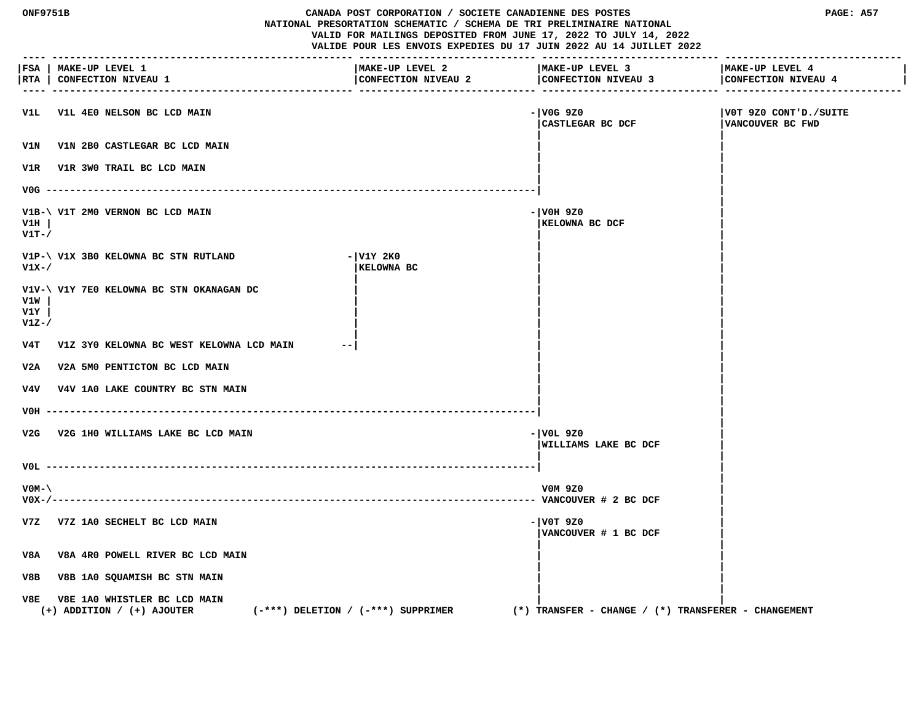| ONF9751B<br>CANADA POST CORPORATION / SOCIETE CANADIENNE DES POSTES<br>NATIONAL PRESORTATION SCHEMATIC / SCHEMA DE TRI PRELIMINAIRE NATIONAL<br>VALID FOR MAILINGS DEPOSITED FROM JUNE 17, 2022 TO JULY 14, 2022<br>VALIDE POUR LES ENVOIS EXPEDIES DU 17 JUIN 2022 AU 14 JUILLET 2022 |                                                                                                          |                                        | PAGE: A57                                               |                                            |
|----------------------------------------------------------------------------------------------------------------------------------------------------------------------------------------------------------------------------------------------------------------------------------------|----------------------------------------------------------------------------------------------------------|----------------------------------------|---------------------------------------------------------|--------------------------------------------|
|                                                                                                                                                                                                                                                                                        | FSA   MAKE-UP LEVEL 1<br> RTA   CONFECTION NIVEAU 1                                                      | MAKE-UP LEVEL 2<br>CONFECTION NIVEAU 2 | MAKE-UP LEVEL 3<br>CONFECTION NIVEAU 3                  | MAKE-UP LEVEL 4<br>CONFECTION NIVEAU 4     |
| VlL                                                                                                                                                                                                                                                                                    | V1L 4E0 NELSON BC LCD MAIN                                                                               |                                        | - V0G 9Z0<br>CASTLEGAR BC DCF                           | VOT 9Z0 CONT'D./SUITE <br>VANCOUVER BC FWD |
| V1N                                                                                                                                                                                                                                                                                    | V1N 2B0 CASTLEGAR BC LCD MAIN                                                                            |                                        |                                                         |                                            |
|                                                                                                                                                                                                                                                                                        | V1R V1R 3W0 TRAIL BC LCD MAIN                                                                            |                                        |                                                         |                                            |
|                                                                                                                                                                                                                                                                                        | $VOG$ ---------                                                                                          |                                        |                                                         |                                            |
| V1H<br>$V1T-$                                                                                                                                                                                                                                                                          | V1B-\ V1T 2M0 VERNON BC LCD MAIN                                                                         |                                        | - VOH 9Z0<br>KELOWNA BC DCF                             |                                            |
| $V1X-$                                                                                                                                                                                                                                                                                 | V1P-\ V1X 3B0 KELOWNA BC STN RUTLAND                                                                     | - V1Y 2K0<br>KELOWNA BC                |                                                         |                                            |
| V1W<br>V1Y<br>$V1Z-$                                                                                                                                                                                                                                                                   | V1V-\ V1Y 7E0 KELOWNA BC STN OKANAGAN DC                                                                 |                                        |                                                         |                                            |
| v4T                                                                                                                                                                                                                                                                                    | V1Z 3Y0 KELOWNA BC WEST KELOWNA LCD MAIN                                                                 |                                        |                                                         |                                            |
| V2A                                                                                                                                                                                                                                                                                    | V2A 5M0 PENTICTON BC LCD MAIN                                                                            |                                        |                                                         |                                            |
|                                                                                                                                                                                                                                                                                        | V4V V4V 1A0 LAKE COUNTRY BC STN MAIN                                                                     |                                        |                                                         |                                            |
| VOH -----                                                                                                                                                                                                                                                                              |                                                                                                          |                                        |                                                         |                                            |
|                                                                                                                                                                                                                                                                                        | V2G V2G 1H0 WILLIAMS LAKE BC LCD MAIN                                                                    |                                        | - VOL 9Z0<br>WILLIAMS LAKE BC DCF                       |                                            |
|                                                                                                                                                                                                                                                                                        |                                                                                                          |                                        |                                                         |                                            |
| $VOM-$<br>$V0X-/---$                                                                                                                                                                                                                                                                   |                                                                                                          |                                        | V0M 9Z0                                                 |                                            |
|                                                                                                                                                                                                                                                                                        | V7Z V7Z 1A0 SECHELT BC LCD MAIN                                                                          |                                        | $- V0T 9Z0$<br>VANCOUVER # 1 BC DCF                     |                                            |
| V8A                                                                                                                                                                                                                                                                                    | V8A 4R0 POWELL RIVER BC LCD MAIN                                                                         |                                        |                                                         |                                            |
| V8B                                                                                                                                                                                                                                                                                    | V8B 1A0 SQUAMISH BC STN MAIN                                                                             |                                        |                                                         |                                            |
| V8E                                                                                                                                                                                                                                                                                    | V8E 1A0 WHISTLER BC LCD MAIN<br>$(-***)$ DELETION / $(-***)$ SUPPRIMER<br>$(+)$ ADDITION / $(+)$ AJOUTER |                                        | $(*)$ TRANSFER - CHANGE / $(*)$ TRANSFERER - CHANGEMENT |                                            |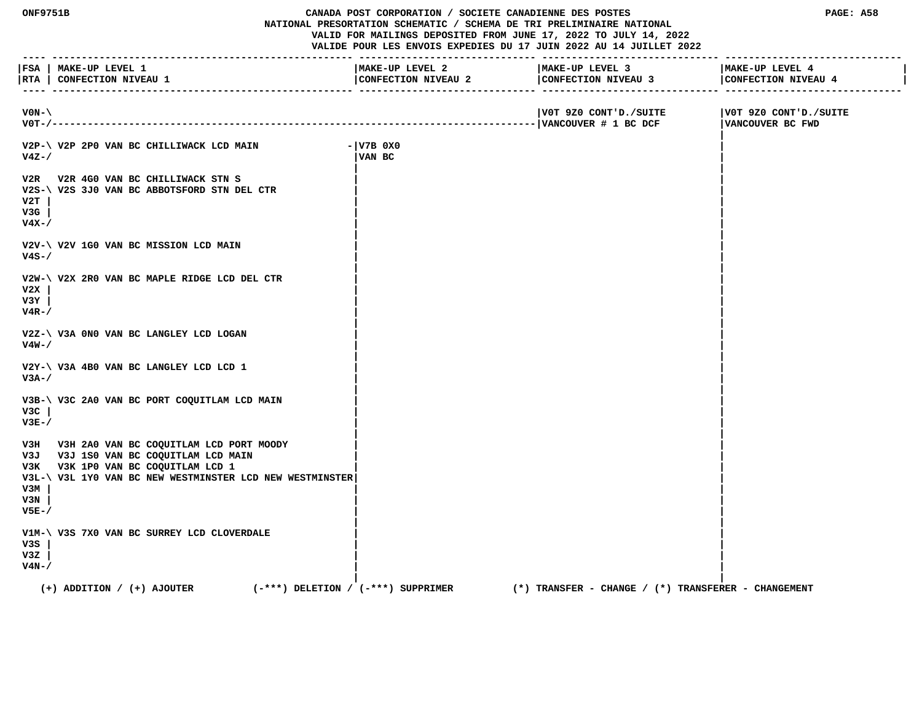**ONF9751B CANADA POST CORPORATION / SOCIETE CANADIENNE DES POSTES PAGE: A58 NATIONAL PRESORTATION SCHEMATIC / SCHEMA DE TRI PRELIMINAIRE NATIONAL VALID FOR MAILINGS DEPOSITED FROM JUNE 17, 2022 TO JULY 14, 2022 VALIDE POUR LES ENVOIS EXPEDIES DU 17 JUIN 2022 AU 14 JUILLET 2022 ---- --------------------------------------------------- ------------------------------ ------------------------------ ------------------------------ |FSA | MAKE-UP LEVEL 1 |MAKE-UP LEVEL 2 |MAKE-UP LEVEL 3 |MAKE-UP LEVEL 4 |** |RTA | CONFECTION NIVEAU 1 | CONFECTION NIVEAU 2 | CONFECTION NIVEAU 4 | CONFECTION NIVEAU 4 | CONFECTION NIVEAU 4 | CONFECTION NIVEAU 4 | CONFECTION NIVEAU 4  **---- --------------------------------------------------- ------------------------------ ------------------------------ ------------------------------ V0N-\ |V0T 9Z0 CONT'D./SUITE |V0T 9Z0 CONT'D./SUITE V0T-/----------------------------------------------------------------------------------|VANCOUVER # 1 BC DCF |VANCOUVER BC FWD | V2P-\ V2P 2P0 VAN BC CHILLIWACK LCD MAIN -|V7B 0X0 | V4Z-/ |VAN BC | | | V2R V2R 4G0 VAN BC CHILLIWACK STN S | | V2S-\ V2S 3J0 VAN BC ABBOTSFORD STN DEL CTR | | V2T | | | V3G | | | V4X-/ | | | | V2V-\ V2V 1G0 VAN BC MISSION LCD MAIN | | V4S-/ | | | | V2W-\ V2X 2R0 VAN BC MAPLE RIDGE LCD DEL CTR | | V2X | | | V3Y | | | V4R-/ | | | | V2Z-\ V3A 0N0 VAN BC LANGLEY LCD LOGAN | | V4W-/ | | | | V2Y-\ V3A 4B0 VAN BC LANGLEY LCD LCD 1 | | V3A-/ | | | | V3B-\ V3C 2A0 VAN BC PORT COQUITLAM LCD MAIN | | V3C | | | V3E-/ | | | |** V3H V3H 2A0 VAN BC COQUITLAM LCD PORT MOODY  **V3J V3J 1S0 VAN BC COQUITLAM LCD MAIN | | V3K V3K 1P0 VAN BC COQUITLAM LCD 1 | | V3L-\ V3L 1Y0 VAN BC NEW WESTMINSTER LCD NEW WESTMINSTER| | V3M | | | V3N | | | V5E-/ | | | | V1M-\ V3S 7X0 VAN BC SURREY LCD CLOVERDALE | | V3S | | | V3Z | | | V4N-/ | | | | (+) ADDITION / (+) AJOUTER (-\*\*\*) DELETION / (-\*\*\*) SUPPRIMER (\*) TRANSFER - CHANGE / (\*) TRANSFERER - CHANGEMENT**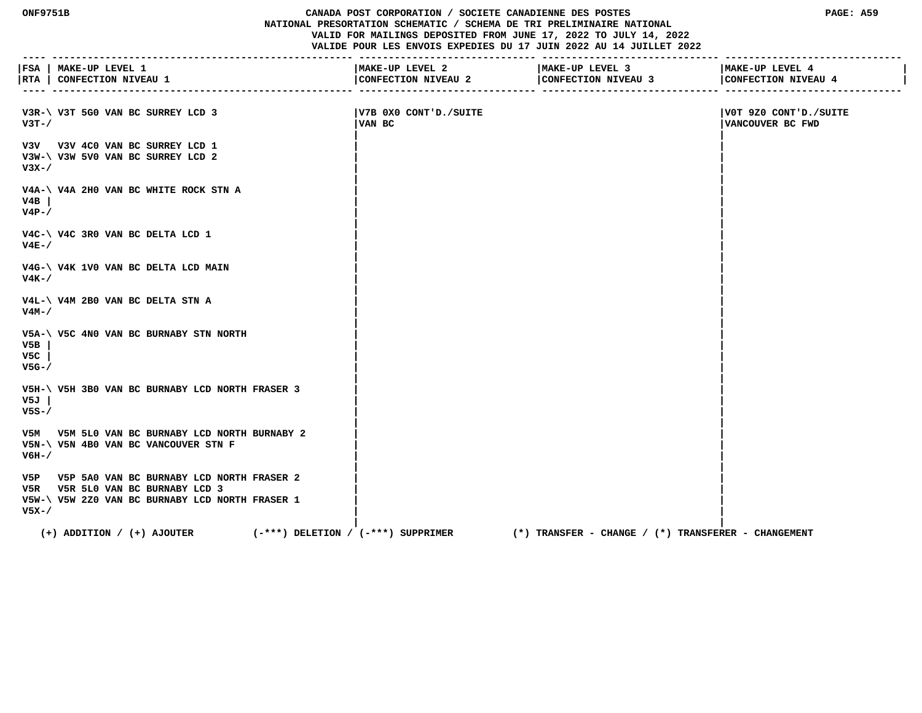## **ONF9751B CANADA POST CORPORATION / SOCIETE CANADIENNE DES POSTES PAGE: A59 NATIONAL PRESORTATION SCHEMATIC / SCHEMA DE TRI PRELIMINAIRE NATIONAL VALID FOR MAILINGS DEPOSITED FROM JUNE 17, 2022 TO JULY 14, 2022 VALIDE POUR LES ENVOIS EXPEDIES DU 17 JUIN 2022 AU 14 JUILLET 2022**

|                      | FSA   MAKE-UP LEVEL 1<br> RTA   CONFECTION NIVEAU 1                                                                                  | MAKE-UP LEVEL 2<br>CONFECTION NIVEAU 2 | MAKE-UP LEVEL 3<br>CONFECTION NIVEAU 3                  | MAKE-UP LEVEL 4<br>CONFECTION NIVEAU 4    |
|----------------------|--------------------------------------------------------------------------------------------------------------------------------------|----------------------------------------|---------------------------------------------------------|-------------------------------------------|
| $V3T - /$            | V3R-\ V3T 5G0 VAN BC SURREY LCD 3                                                                                                    | V7B 0X0 CONT'D./SUITE  <br>VAN BC      |                                                         | V0T 9Z0 CONT'D./SUITE<br>VANCOUVER BC FWD |
| $V3X-$               | V3V V3V 4C0 VAN BC SURREY LCD 1<br>V3W-\ V3W 5V0 VAN BC SURREY LCD 2                                                                 |                                        |                                                         |                                           |
| V4B<br>$V4P-$ /      | V4A-\ V4A 2H0 VAN BC WHITE ROCK STN A                                                                                                |                                        |                                                         |                                           |
| $V4E-$               | V4C-\ V4C 3R0 VAN BC DELTA LCD 1                                                                                                     |                                        |                                                         |                                           |
| $V4K - /$            | V4G-\ V4K 1V0 VAN BC DELTA LCD MAIN                                                                                                  |                                        |                                                         |                                           |
| V4M-/                | $V4L-\ U4M$ 2B0 VAN BC DELTA STN A                                                                                                   |                                        |                                                         |                                           |
| V5B<br>V5C<br>$V5G-$ | V5A-\ V5C 4N0 VAN BC BURNABY STN NORTH                                                                                               |                                        |                                                         |                                           |
| V5J<br>$V5S - /$     | V5H-\ V5H 3B0 VAN BC BURNABY LCD NORTH FRASER 3                                                                                      |                                        |                                                         |                                           |
| V6H-/                | V5M V5M 5L0 VAN BC BURNABY LCD NORTH BURNABY 2<br>V5N-\ V5N 4B0 VAN BC VANCOUVER STN F                                               |                                        |                                                         |                                           |
| $V5X-$               | V5P V5P 5A0 VAN BC BURNABY LCD NORTH FRASER 2<br>V5R V5R 5L0 VAN BC BURNABY LCD 3<br>V5W-\ V5W 2Z0 VAN BC BURNABY LCD NORTH FRASER 1 |                                        |                                                         |                                           |
|                      | $(+)$ ADDITION / $(+)$ AJOUTER<br>$(-***)$ DELETION / $(-***)$ SUPPRIMER                                                             |                                        | $(*)$ TRANSFER - CHANGE / $(*)$ TRANSFERER - CHANGEMENT |                                           |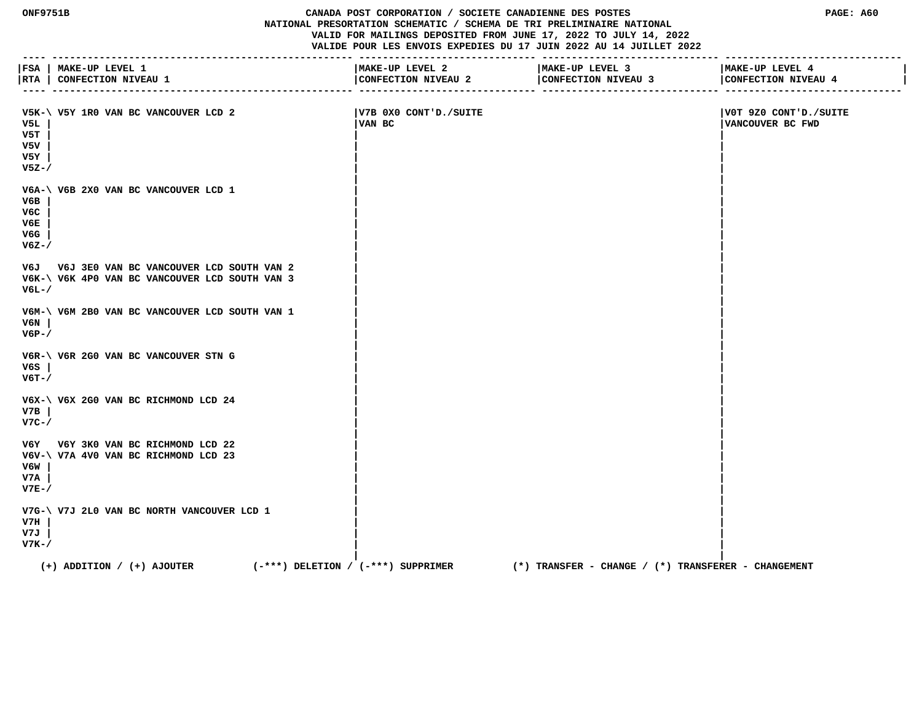## **ONF9751B CANADA POST CORPORATION / SOCIETE CANADIENNE DES POSTES PAGE: A60 NATIONAL PRESORTATION SCHEMATIC / SCHEMA DE TRI PRELIMINAIRE NATIONAL VALID FOR MAILINGS DEPOSITED FROM JUNE 17, 2022 TO JULY 14, 2022 VALIDE POUR LES ENVOIS EXPEDIES DU 17 JUIN 2022 AU 14 JUILLET 2022**

|                                       | FSA   MAKE-UP LEVEL 1<br> RTA   CONFECTION NIVEAU 1                                            | MAKE-UP LEVEL 2<br>CONFECTION NIVEAU 2 | MAKE-UP LEVEL 3<br>CONFECTION NIVEAU 3                  | MAKE-UP LEVEL 4<br>CONFECTION NIVEAU 4    |
|---------------------------------------|------------------------------------------------------------------------------------------------|----------------------------------------|---------------------------------------------------------|-------------------------------------------|
| V5L<br>V5T<br>v5v<br>V5Y<br>$V5Z - /$ | V5K-\ V5Y 1R0 VAN BC VANCOUVER LCD 2                                                           | V7B 0X0 CONT'D./SUITE<br>VAN BC        |                                                         | V0T 9Z0 CONT'D./SUITE<br>VANCOUVER BC FWD |
| V6B<br>V6C<br>V6E<br>V6G<br>$V6Z - /$ | V6A-\ V6B 2X0 VAN BC VANCOUVER LCD 1                                                           |                                        |                                                         |                                           |
| V6L-/                                 | V6J V6J 3E0 VAN BC VANCOUVER LCD SOUTH VAN 2<br>V6K-\ V6K 4P0 VAN BC VANCOUVER LCD SOUTH VAN 3 |                                        |                                                         |                                           |
| V6N<br>$V6P-$                         | V6M-\ V6M 2B0 VAN BC VANCOUVER LCD SOUTH VAN 1                                                 |                                        |                                                         |                                           |
| V6S<br>$V6T - /$                      | V6R-\ V6R 2G0 VAN BC VANCOUVER STN G                                                           |                                        |                                                         |                                           |
| V7B<br>$V7C-$                         | V6X-\ V6X 2G0 VAN BC RICHMOND LCD 24                                                           |                                        |                                                         |                                           |
| V6W<br>V7A<br>$V7E-$                  | V6Y V6Y 3K0 VAN BC RICHMOND LCD 22<br>V6V-\ V7A 4V0 VAN BC RICHMOND LCD 23                     |                                        |                                                         |                                           |
| V7H<br>V7J<br>$V7K-$                  | V7G-\ V7J 2L0 VAN BC NORTH VANCOUVER LCD 1                                                     |                                        |                                                         |                                           |
|                                       | $(+)$ ADDITION / $(+)$ AJOUTER<br>$(-***)$ DELETION / $(-***)$ SUPPRIMER                       |                                        | $(*)$ TRANSFER - CHANGE / $(*)$ TRANSFERER - CHANGEMENT |                                           |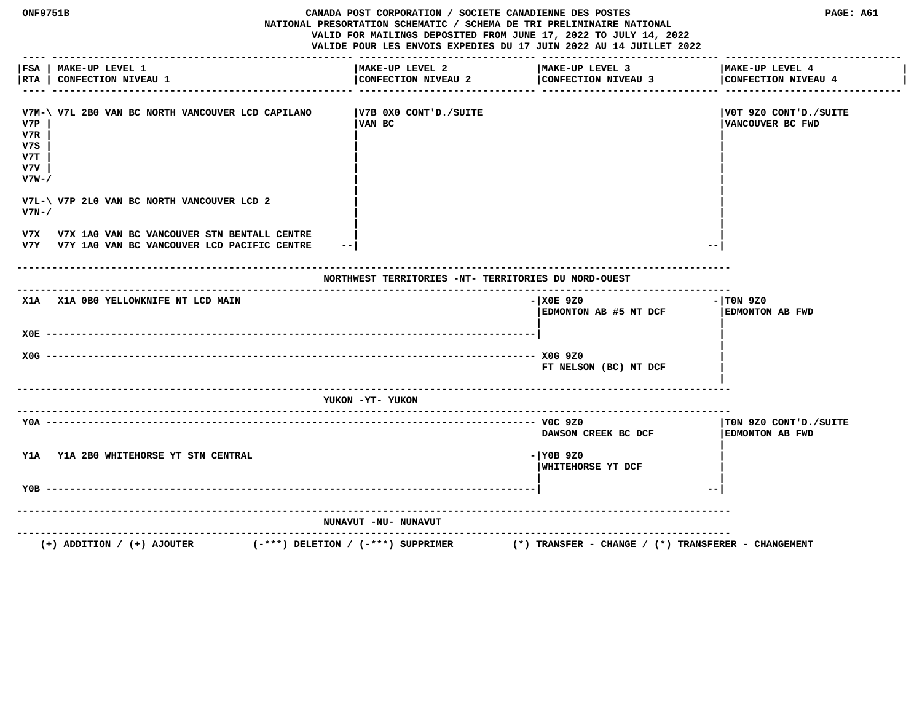| ONF9751B                                 |                                                                                                | CANADA POST CORPORATION / SOCIETE CANADIENNE DES POSTES<br>NATIONAL PRESORTATION SCHEMATIC / SCHEMA DE TRI PRELIMINAIRE NATIONAL<br>VALID FOR MAILINGS DEPOSITED FROM JUNE 17, 2022 TO JULY 14, 2022<br>VALIDE POUR LES ENVOIS EXPEDIES DU 17 JUIN 2022 AU 14 JUILLET 2022 |                                                         | PAGE: A61                                        |  |
|------------------------------------------|------------------------------------------------------------------------------------------------|----------------------------------------------------------------------------------------------------------------------------------------------------------------------------------------------------------------------------------------------------------------------------|---------------------------------------------------------|--------------------------------------------------|--|
| FSA  <br> RTA                            | MAKE-UP LEVEL 1<br><b>CONFECTION NIVEAU 1</b>                                                  | MAKE-UP LEVEL 2<br>CONFECTION NIVEAU 2                                                                                                                                                                                                                                     | MAKE-UP LEVEL 3<br>CONFECTION NIVEAU 3                  | MAKE-UP LEVEL 4<br>CONFECTION NIVEAU 4           |  |
| V7P<br>V7R<br>v7s<br>V7T<br>v7v<br>V7W-/ | V7M-\ V7L 2B0 VAN BC NORTH VANCOUVER LCD CAPILANO                                              | V7B 0X0 CONT'D./SUITE<br>VAN BC                                                                                                                                                                                                                                            |                                                         | VOT 9Z0 CONT'D./SUITE <br>VANCOUVER BC FWD       |  |
| $V7N-$                                   | V7L-\ V7P 2L0 VAN BC NORTH VANCOUVER LCD 2                                                     |                                                                                                                                                                                                                                                                            |                                                         |                                                  |  |
| V7X                                      | V7X 1A0 VAN BC VANCOUVER STN BENTALL CENTRE<br>V7Y V7Y 1A0 VAN BC VANCOUVER LCD PACIFIC CENTRE | $- -$                                                                                                                                                                                                                                                                      |                                                         |                                                  |  |
|                                          |                                                                                                | NORTHWEST TERRITORIES -NT- TERRITORIES DU NORD-OUEST                                                                                                                                                                                                                       |                                                         |                                                  |  |
|                                          | X1A X1A OBO YELLOWKNIFE NT LCD MAIN                                                            |                                                                                                                                                                                                                                                                            | $-100E$ 920<br>EDMONTON AB #5 NT DCF                    | $-1$ TON 9Z0<br>EDMONTON AB FWD                  |  |
|                                          |                                                                                                |                                                                                                                                                                                                                                                                            |                                                         |                                                  |  |
|                                          |                                                                                                |                                                                                                                                                                                                                                                                            | FT NELSON (BC) NT DCF                                   |                                                  |  |
|                                          |                                                                                                | YUKON -YT- YUKON                                                                                                                                                                                                                                                           |                                                         |                                                  |  |
|                                          | $Y0A$ ---------                                                                                |                                                                                                                                                                                                                                                                            | DAWSON CREEK BC DCF                                     | TON 9Z0 CONT'D./SUITE <br><b>EDMONTON AB FWD</b> |  |
|                                          | Y1A Y1A 2B0 WHITEHORSE YT STN CENTRAL                                                          |                                                                                                                                                                                                                                                                            | $-1$ YOB 9Z0<br>WHITEHORSE YT DCF                       |                                                  |  |
| Y0B                                      |                                                                                                |                                                                                                                                                                                                                                                                            |                                                         | $- -$                                            |  |
|                                          |                                                                                                | NUNAVUT -NU- NUNAVUT                                                                                                                                                                                                                                                       |                                                         |                                                  |  |
|                                          | $(+)$ ADDITION / $(+)$ AJOUTER                                                                 | $(-***)$ DELETION / $(-***)$ SUPPRIMER                                                                                                                                                                                                                                     | $(*)$ TRANSFER - CHANGE / $(*)$ TRANSFERER - CHANGEMENT |                                                  |  |